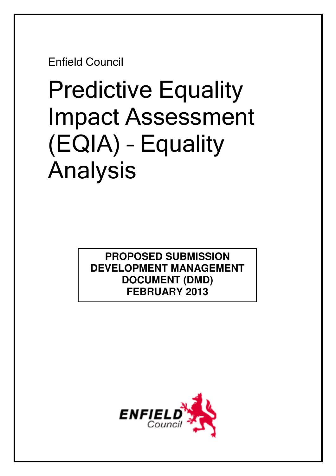Enfield Council

# Predictive Equality Impact Assessment (EQIA) – Equality Analysis

**PROPOSED SUBMISSION DEVELOPMENT MANAGEMENT DOCUMENT (DMD) FEBRUARY 2013** 

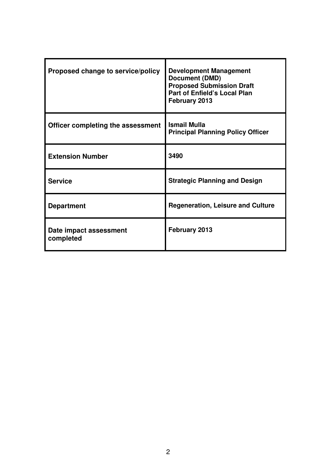| Proposed change to service/policy   | <b>Development Management</b><br><b>Document (DMD)</b><br><b>Proposed Submission Draft</b><br><b>Part of Enfield's Local Plan</b><br>February 2013 |
|-------------------------------------|----------------------------------------------------------------------------------------------------------------------------------------------------|
| Officer completing the assessment   | <b>Ismail Mulla</b><br><b>Principal Planning Policy Officer</b>                                                                                    |
| <b>Extension Number</b>             | 3490                                                                                                                                               |
| <b>Service</b>                      | <b>Strategic Planning and Design</b>                                                                                                               |
| <b>Department</b>                   | <b>Regeneration, Leisure and Culture</b>                                                                                                           |
| Date impact assessment<br>completed | February 2013                                                                                                                                      |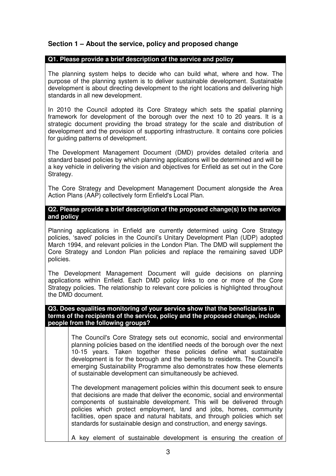# **Section 1 – About the service, policy and proposed change**

## **Q1. Please provide a brief description of the service and policy**

The planning system helps to decide who can build what, where and how. The purpose of the planning system is to deliver sustainable development. Sustainable development is about directing development to the right locations and delivering high standards in all new development.

In 2010 the Council adopted its Core Strategy which sets the spatial planning framework for development of the borough over the next 10 to 20 years. It is a strategic document providing the broad strategy for the scale and distribution of development and the provision of supporting infrastructure. It contains core policies for guiding patterns of development.

The Development Management Document (DMD) provides detailed criteria and standard based policies by which planning applications will be determined and will be a key vehicle in delivering the vision and objectives for Enfield as set out in the Core Strategy.

The Core Strategy and Development Management Document alongside the Area Action Plans (AAP) collectively form Enfield's Local Plan.

## **Q2. Please provide a brief description of the proposed change(s) to the service and policy**

Planning applications in Enfield are currently determined using Core Strategy policies, 'saved' policies in the Council's Unitary Development Plan (UDP) adopted March 1994, and relevant policies in the London Plan. The DMD will supplement the Core Strategy and London Plan policies and replace the remaining saved UDP policies.

The Development Management Document will guide decisions on planning applications within Enfield. Each DMD policy links to one or more of the Core Strategy policies. The relationship to relevant core policies is highlighted throughout the DMD document.

## **Q3. Does equalities monitoring of your service show that the beneficiaries in terms of the recipients of the service, policy and the proposed change, include people from the following groups?**

The Council's Core Strategy sets out economic, social and environmental planning policies based on the identified needs of the borough over the next 10-15 years. Taken together these policies define what sustainable development is for the borough and the benefits to residents. The Council's emerging Sustainability Programme also demonstrates how these elements of sustainable development can simultaneously be achieved.

The development management policies within this document seek to ensure that decisions are made that deliver the economic, social and environmental components of sustainable development. This will be delivered through policies which protect employment, land and jobs, homes, community facilities, open space and natural habitats, and through policies which set standards for sustainable design and construction, and energy savings.

A key element of sustainable development is ensuring the creation of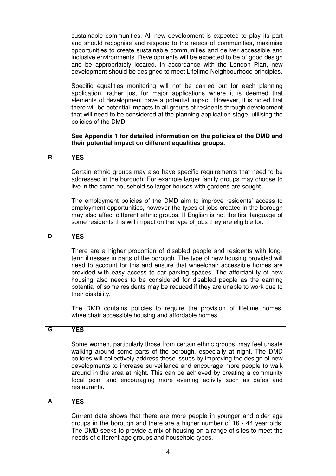|   | sustainable communities. All new development is expected to play its part<br>and should recognise and respond to the needs of communities, maximise<br>opportunities to create sustainable communities and deliver accessible and<br>inclusive environments. Developments will be expected to be of good design<br>and be appropriately located. In accordance with the London Plan, new<br>development should be designed to meet Lifetime Neighbourhood principles.<br>Specific equalities monitoring will not be carried out for each planning<br>application, rather just for major applications where it is deemed that<br>elements of development have a potential impact. However, it is noted that<br>there will be potential impacts to all groups of residents through development<br>that will need to be considered at the planning application stage, utilising the<br>policies of the DMD.<br>See Appendix 1 for detailed information on the policies of the DMD and<br>their potential impact on different equalities groups. |
|---|----------------------------------------------------------------------------------------------------------------------------------------------------------------------------------------------------------------------------------------------------------------------------------------------------------------------------------------------------------------------------------------------------------------------------------------------------------------------------------------------------------------------------------------------------------------------------------------------------------------------------------------------------------------------------------------------------------------------------------------------------------------------------------------------------------------------------------------------------------------------------------------------------------------------------------------------------------------------------------------------------------------------------------------------|
| R | <b>YES</b>                                                                                                                                                                                                                                                                                                                                                                                                                                                                                                                                                                                                                                                                                                                                                                                                                                                                                                                                                                                                                                   |
|   |                                                                                                                                                                                                                                                                                                                                                                                                                                                                                                                                                                                                                                                                                                                                                                                                                                                                                                                                                                                                                                              |
|   | Certain ethnic groups may also have specific requirements that need to be<br>addressed in the borough. For example larger family groups may choose to<br>live in the same household so larger houses with gardens are sought.                                                                                                                                                                                                                                                                                                                                                                                                                                                                                                                                                                                                                                                                                                                                                                                                                |
|   | The employment policies of the DMD aim to improve residents' access to<br>employment opportunities, however the types of jobs created in the borough<br>may also affect different ethnic groups. If English is not the first language of<br>some residents this will impact on the type of jobs they are eligible for.                                                                                                                                                                                                                                                                                                                                                                                                                                                                                                                                                                                                                                                                                                                       |
| D | <b>YES</b>                                                                                                                                                                                                                                                                                                                                                                                                                                                                                                                                                                                                                                                                                                                                                                                                                                                                                                                                                                                                                                   |
|   | There are a higher proportion of disabled people and residents with long-<br>term illnesses in parts of the borough. The type of new housing provided will<br>need to account for this and ensure that wheelchair accessible homes are<br>provided with easy access to car parking spaces. The affordability of new<br>housing also needs to be considered for disabled people as the earning<br>potential of some residents may be reduced if they are unable to work due to<br>their disability.                                                                                                                                                                                                                                                                                                                                                                                                                                                                                                                                           |
|   | The DMD contains policies to require the provision of lifetime homes,<br>wheelchair accessible housing and affordable homes.                                                                                                                                                                                                                                                                                                                                                                                                                                                                                                                                                                                                                                                                                                                                                                                                                                                                                                                 |
| G | <b>YES</b>                                                                                                                                                                                                                                                                                                                                                                                                                                                                                                                                                                                                                                                                                                                                                                                                                                                                                                                                                                                                                                   |
|   | Some women, particularly those from certain ethnic groups, may feel unsafe<br>walking around some parts of the borough, especially at night. The DMD<br>policies will collectively address these issues by improving the design of new<br>developments to increase surveillance and encourage more people to walk<br>around in the area at night. This can be achieved by creating a community<br>focal point and encouraging more evening activity such as cafes and<br>restaurants.                                                                                                                                                                                                                                                                                                                                                                                                                                                                                                                                                        |
| A | <b>YES</b>                                                                                                                                                                                                                                                                                                                                                                                                                                                                                                                                                                                                                                                                                                                                                                                                                                                                                                                                                                                                                                   |
|   | Current data shows that there are more people in younger and older age<br>groups in the borough and there are a higher number of 16 - 44 year olds.<br>The DMD seeks to provide a mix of housing on a range of sites to meet the<br>needs of different age groups and household types.                                                                                                                                                                                                                                                                                                                                                                                                                                                                                                                                                                                                                                                                                                                                                       |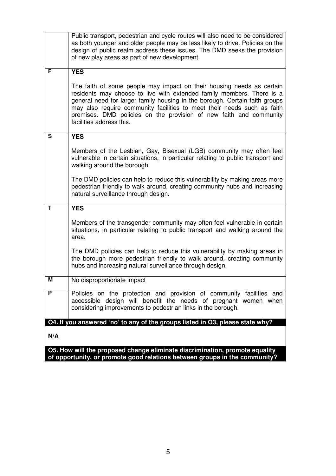|             | Public transport, pedestrian and cycle routes will also need to be considered<br>as both younger and older people may be less likely to drive. Policies on the<br>design of public realm address these issues. The DMD seeks the provision<br>of new play areas as part of new development.                                                                                                                                         |
|-------------|-------------------------------------------------------------------------------------------------------------------------------------------------------------------------------------------------------------------------------------------------------------------------------------------------------------------------------------------------------------------------------------------------------------------------------------|
| F           | <b>YES</b><br>The faith of some people may impact on their housing needs as certain<br>residents may choose to live with extended family members. There is a<br>general need for larger family housing in the borough. Certain faith groups<br>may also require community facilities to meet their needs such as faith<br>premises. DMD policies on the provision of new faith and community<br>facilities address this.            |
| $\mathbf s$ | <b>YES</b><br>Members of the Lesbian, Gay, Bisexual (LGB) community may often feel<br>vulnerable in certain situations, in particular relating to public transport and<br>walking around the borough.<br>The DMD policies can help to reduce this vulnerability by making areas more<br>pedestrian friendly to walk around, creating community hubs and increasing<br>natural surveillance through design.                          |
| T<br>М      | <b>YES</b><br>Members of the transgender community may often feel vulnerable in certain<br>situations, in particular relating to public transport and walking around the<br>area.<br>The DMD policies can help to reduce this vulnerability by making areas in<br>the borough more pedestrian friendly to walk around, creating community<br>hubs and increasing natural surveillance through design.<br>No disproportionate impact |
| P           | Policies on the protection and provision of community facilities and<br>accessible design will benefit the needs of pregnant women when<br>considering improvements to pedestrian links in the borough.                                                                                                                                                                                                                             |
| N/A         | Q4. If you answered 'no' to any of the groups listed in Q3, please state why?                                                                                                                                                                                                                                                                                                                                                       |
|             | Q5. How will the proposed change eliminate discrimination, promote equality                                                                                                                                                                                                                                                                                                                                                         |

**of opportunity, or promote good relations between groups in the community?**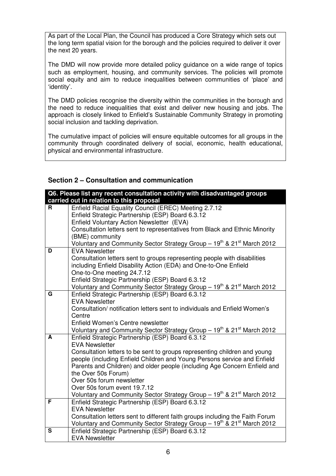As part of the Local Plan, the Council has produced a Core Strategy which sets out the long term spatial vision for the borough and the policies required to deliver it over the next 20 years.

The DMD will now provide more detailed policy guidance on a wide range of topics such as employment, housing, and community services. The policies will promote social equity and aim to reduce inequalities between communities of 'place' and 'identity'.

The DMD policies recognise the diversity within the communities in the borough and the need to reduce inequalities that exist and deliver new housing and jobs. The approach is closely linked to Enfield's Sustainable Community Strategy in promoting social inclusion and tackling deprivation.

The cumulative impact of policies will ensure equitable outcomes for all groups in the community through coordinated delivery of social, economic, health educational, physical and environmental infrastructure.

# **Section 2 – Consultation and communication**

|   | Q6. Please list any recent consultation activity with disadvantaged groups                                                                            |
|---|-------------------------------------------------------------------------------------------------------------------------------------------------------|
|   | carried out in relation to this proposal                                                                                                              |
| R | Enfield Racial Equality Council (EREC) Meeting 2.7.12                                                                                                 |
|   | Enfield Strategic Partnership (ESP) Board 6.3.12                                                                                                      |
|   | Enfield Voluntary Action Newsletter (EVA)                                                                                                             |
|   | Consultation letters sent to representatives from Black and Ethnic Minority                                                                           |
|   | (BME) community                                                                                                                                       |
|   | Voluntary and Community Sector Strategy Group - 19 <sup>th</sup> & 21 <sup>st</sup> March 2012                                                        |
| D | <b>EVA Newsletter</b>                                                                                                                                 |
|   | Consultation letters sent to groups representing people with disabilities                                                                             |
|   | including Enfield Disability Action (EDA) and One-to-One Enfield                                                                                      |
|   | One-to-One meeting 24.7.12                                                                                                                            |
|   | Enfield Strategic Partnership (ESP) Board 6.3.12                                                                                                      |
|   | Voluntary and Community Sector Strategy Group - 19 <sup>th</sup> & 21 <sup>st</sup> March 2012                                                        |
| G | Enfield Strategic Partnership (ESP) Board 6.3.12                                                                                                      |
|   | <b>EVA Newsletter</b>                                                                                                                                 |
|   | Consultation/ notification letters sent to individuals and Enfield Women's                                                                            |
|   | Centre                                                                                                                                                |
|   | Enfield Women's Centre newsletter                                                                                                                     |
| A | Voluntary and Community Sector Strategy Group - 19 <sup>th</sup> & 21 <sup>st</sup> March 2012                                                        |
|   | Enfield Strategic Partnership (ESP) Board 6.3.12<br><b>EVA Newsletter</b>                                                                             |
|   |                                                                                                                                                       |
|   | Consultation letters to be sent to groups representing children and young<br>people (including Enfield Children and Young Persons service and Enfield |
|   | Parents and Children) and older people (including Age Concern Enfield and                                                                             |
|   | the Over 50s Forum)                                                                                                                                   |
|   | Over 50s forum newsletter                                                                                                                             |
|   | Over 50s forum event 19.7.12                                                                                                                          |
|   | Voluntary and Community Sector Strategy Group - 19 <sup>th</sup> & 21 <sup>st</sup> March 2012                                                        |
| F | Enfield Strategic Partnership (ESP) Board 6.3.12                                                                                                      |
|   | <b>EVA Newsletter</b>                                                                                                                                 |
|   | Consultation letters sent to different faith groups including the Faith Forum                                                                         |
|   | Voluntary and Community Sector Strategy Group - 19 <sup>th</sup> & 21 <sup>st</sup> March 2012                                                        |
| S | Enfield Strategic Partnership (ESP) Board 6.3.12                                                                                                      |
|   | <b>EVA Newsletter</b>                                                                                                                                 |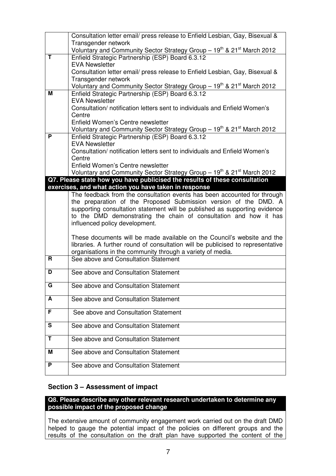|                         | Consultation letter email/ press release to Enfield Lesbian, Gay, Bisexual &                                                                       |
|-------------------------|----------------------------------------------------------------------------------------------------------------------------------------------------|
|                         | Transgender network                                                                                                                                |
| T                       | Voluntary and Community Sector Strategy Group - 19 <sup>th</sup> & 21 <sup>st</sup> March 2012<br>Enfield Strategic Partnership (ESP) Board 6.3.12 |
|                         | <b>EVA Newsletter</b>                                                                                                                              |
|                         | Consultation letter email/ press release to Enfield Lesbian, Gay, Bisexual &                                                                       |
|                         | Transgender network                                                                                                                                |
|                         | Voluntary and Community Sector Strategy Group - 19 <sup>th</sup> & 21 <sup>st</sup> March 2012                                                     |
| м                       | Enfield Strategic Partnership (ESP) Board 6.3.12                                                                                                   |
|                         | <b>EVA Newsletter</b>                                                                                                                              |
|                         | Consultation/notification letters sent to individuals and Enfield Women's                                                                          |
|                         | Centre<br>Enfield Women's Centre newsletter                                                                                                        |
|                         | Voluntary and Community Sector Strategy Group - 19 <sup>th</sup> & 21 <sup>st</sup> March 2012                                                     |
| P                       | Enfield Strategic Partnership (ESP) Board 6.3.12                                                                                                   |
|                         | <b>EVA Newsletter</b>                                                                                                                              |
|                         | Consultation/notification letters sent to individuals and Enfield Women's                                                                          |
|                         | Centre                                                                                                                                             |
|                         | Enfield Women's Centre newsletter                                                                                                                  |
|                         | Voluntary and Community Sector Strategy Group - 19 <sup>th</sup> & 21 <sup>st</sup> March 2012                                                     |
|                         | Q7. Please state how you have publicised the results of these consultation<br>exercises, and what action you have taken in response                |
|                         | The feedback from the consultation events has been accounted for through                                                                           |
|                         | the preparation of the Proposed Submission version of the DMD. A                                                                                   |
|                         | supporting consultation statement will be published as supporting evidence                                                                         |
|                         | to the DMD demonstrating the chain of consultation and how it has                                                                                  |
|                         | influenced policy development.                                                                                                                     |
|                         | These documents will be made available on the Council's website and the                                                                            |
|                         | libraries. A further round of consultation will be publicised to representative                                                                    |
|                         | organisations in the community through a variety of media.                                                                                         |
| R.                      | See above and Consultation Statement                                                                                                               |
| D                       | See above and Consultation Statement                                                                                                               |
|                         |                                                                                                                                                    |
| $\overline{\mathbf{G}}$ | See above and Consultation Statement                                                                                                               |
| A                       | See above and Consultation Statement                                                                                                               |
| F                       |                                                                                                                                                    |
|                         | See above and Consultation Statement                                                                                                               |
| S                       | See above and Consultation Statement                                                                                                               |
| Т                       | See above and Consultation Statement                                                                                                               |
| Μ                       | See above and Consultation Statement                                                                                                               |
|                         |                                                                                                                                                    |
| P.                      | See above and Consultation Statement                                                                                                               |
|                         |                                                                                                                                                    |

# **Section 3 – Assessment of impact**

# **Q8. Please describe any other relevant research undertaken to determine any possible impact of the proposed change**

The extensive amount of community engagement work carried out on the draft DMD helped to gauge the potential impact of the policies on different groups and the results of the consultation on the draft plan have supported the content of the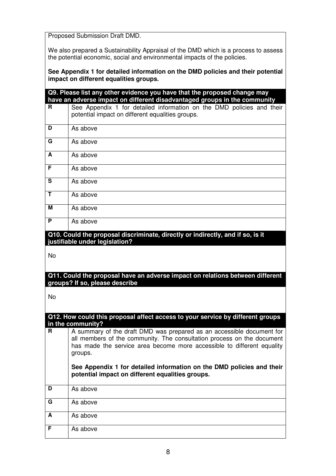Proposed Submission Draft DMD.

We also prepared a Sustainability Appraisal of the DMD which is a process to assess the potential economic, social and environmental impacts of the policies.

**See Appendix 1 for detailed information on the DMD policies and their potential impact on different equalities groups.** 

|              | Q9. Please list any other evidence you have that the proposed change may<br>have an adverse impact on different disadvantaged groups in the community |
|--------------|-------------------------------------------------------------------------------------------------------------------------------------------------------|
| R.           | See Appendix 1 for detailed information on the DMD policies and their<br>potential impact on different equalities groups.                             |
| D            | As above                                                                                                                                              |
| G            | As above                                                                                                                                              |
| A            | As above                                                                                                                                              |
| F            | As above                                                                                                                                              |
| S            | As above                                                                                                                                              |
| $\mathbf{T}$ | As above                                                                                                                                              |
| M            | As above                                                                                                                                              |
| P            | As above                                                                                                                                              |
|              | Q10. Could the proposal discriminate, directly or indirectly, and if so, is it                                                                        |
|              | justifiable under legislation?                                                                                                                        |
| <b>No</b>    |                                                                                                                                                       |
|              | Q11. Could the proposal have an adverse impact on relations between different<br>groups? If so, please describe                                       |
| <b>No</b>    |                                                                                                                                                       |
|              | Q12. How could this proposal affect access to your service by different groups<br>in the community?                                                   |
| R.           | A summary of the draft DMD was prepared as an accessible document for<br>all members of the community. The consultation process on the document       |
|              | has made the service area become more accessible to different equality<br>groups.                                                                     |
|              | See Appendix 1 for detailed information on the DMD policies and their<br>potential impact on different equalities groups.                             |
| D            | As above                                                                                                                                              |
| G            | As above                                                                                                                                              |
| A            | As above                                                                                                                                              |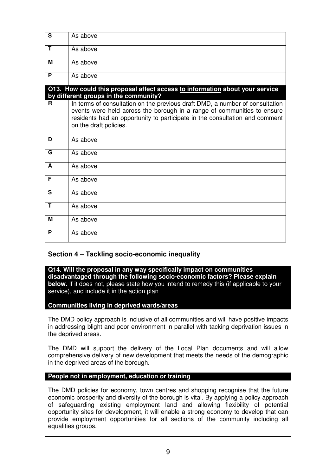| S | As above                                                                                                                                                                                                                                                         |
|---|------------------------------------------------------------------------------------------------------------------------------------------------------------------------------------------------------------------------------------------------------------------|
| T | As above                                                                                                                                                                                                                                                         |
| М | As above                                                                                                                                                                                                                                                         |
| P | As above                                                                                                                                                                                                                                                         |
|   | Q13. How could this proposal affect access to information about your service<br>by different groups in the community?                                                                                                                                            |
| R | In terms of consultation on the previous draft DMD, a number of consultation<br>events were held across the borough in a range of communities to ensure<br>residents had an opportunity to participate in the consultation and comment<br>on the draft policies. |
| D | As above                                                                                                                                                                                                                                                         |
| G | As above                                                                                                                                                                                                                                                         |
| A | As above                                                                                                                                                                                                                                                         |
| F | As above                                                                                                                                                                                                                                                         |
| S | As above                                                                                                                                                                                                                                                         |
| T | As above                                                                                                                                                                                                                                                         |
| M | As above                                                                                                                                                                                                                                                         |
| P | As above                                                                                                                                                                                                                                                         |

# **Section 4 – Tackling socio-economic inequality**

**Q14. Will the proposal in any way specifically impact on communities disadvantaged through the following socio-economic factors? Please explain below.** If it does not, please state how you intend to remedy this *(if applicable to your* service), and include it in the action plan

## **Communities living in deprived wards/areas**

The DMD policy approach is inclusive of all communities and will have positive impacts in addressing blight and poor environment in parallel with tacking deprivation issues in the deprived areas.

The DMD will support the delivery of the Local Plan documents and will allow comprehensive delivery of new development that meets the needs of the demographic in the deprived areas of the borough.

#### **People not in employment, education or training**

The DMD policies for economy, town centres and shopping recognise that the future economic prosperity and diversity of the borough is vital. By applying a policy approach of safeguarding existing employment land and allowing flexibility of potential opportunity sites for development, it will enable a strong economy to develop that can provide employment opportunities for all sections of the community including all equalities groups.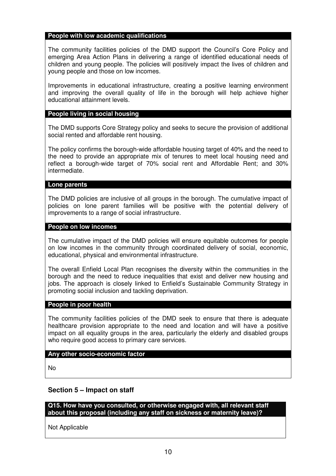## **People with low academic qualifications**

The community facilities policies of the DMD support the Council's Core Policy and emerging Area Action Plans in delivering a range of identified educational needs of children and young people. The policies will positively impact the lives of children and young people and those on low incomes.

Improvements in educational infrastructure, creating a positive learning environment and improving the overall quality of life in the borough will help achieve higher educational attainment levels.

## **People living in social housing**

The DMD supports Core Strategy policy and seeks to secure the provision of additional social rented and affordable rent housing.

The policy confirms the borough-wide affordable housing target of 40% and the need to the need to provide an appropriate mix of tenures to meet local housing need and reflect a borough-wide target of 70% social rent and Affordable Rent; and 30% intermediate.

## **Lone parents**

The DMD policies are inclusive of all groups in the borough. The cumulative impact of policies on lone parent families will be positive with the potential delivery of improvements to a range of social infrastructure.

## **People on low incomes**

The cumulative impact of the DMD policies will ensure equitable outcomes for people on low incomes in the community through coordinated delivery of social, economic, educational, physical and environmental infrastructure.

The overall Enfield Local Plan recognises the diversity within the communities in the borough and the need to reduce inequalities that exist and deliver new housing and jobs. The approach is closely linked to Enfield's Sustainable Community Strategy in promoting social inclusion and tackling deprivation.

#### **People in poor health**

The community facilities policies of the DMD seek to ensure that there is adequate healthcare provision appropriate to the need and location and will have a positive impact on all equality groups in the area, particularly the elderly and disabled groups who require good access to primary care services.

## **Any other socio-economic factor**

No

# **Section 5 – Impact on staff**

**Q15. How have you consulted, or otherwise engaged with, all relevant staff about this proposal (including any staff on sickness or maternity leave)?** 

Not Applicable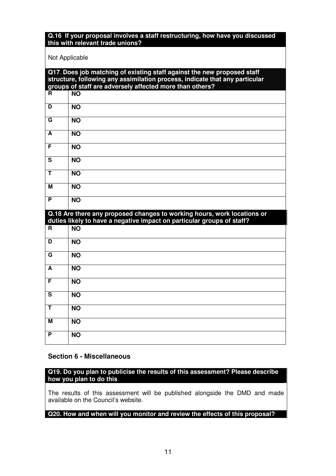## **Q.16 If your proposal involves a staff restructuring, how have you discussed this with relevant trade unions?**

## Not Applicable

|                         | Q17. Does job matching of existing staff against the new proposed staff<br>structure, following any assimilation process, indicate that any particular |
|-------------------------|--------------------------------------------------------------------------------------------------------------------------------------------------------|
|                         | groups of staff are adversely affected more than others?                                                                                               |
| R.                      | <b>NO</b>                                                                                                                                              |
| D                       | <b>NO</b>                                                                                                                                              |
| G                       | <b>NO</b>                                                                                                                                              |
| A                       | <b>NO</b>                                                                                                                                              |
| F                       | <b>NO</b>                                                                                                                                              |
| $\overline{\mathbf{s}}$ | <b>NO</b>                                                                                                                                              |
| Ŧ                       | <b>NO</b>                                                                                                                                              |
| М                       | <b>NO</b>                                                                                                                                              |
| P                       | <b>NO</b>                                                                                                                                              |
|                         | Q.18 Are there any proposed changes to working hours, work locations or                                                                                |
|                         | duties likely to have a negative impact on particular groups of staff?                                                                                 |
| R                       | <b>NO</b>                                                                                                                                              |
| D                       | <b>NO</b>                                                                                                                                              |
| G                       | <b>NO</b>                                                                                                                                              |
| A                       | <b>NO</b>                                                                                                                                              |
| F                       | <b>NO</b>                                                                                                                                              |
| $\mathbf{s}$            | <b>NO</b>                                                                                                                                              |
| Ŧ                       | <b>NO</b>                                                                                                                                              |
| м                       | <b>NO</b>                                                                                                                                              |
| P                       | <b>NO</b>                                                                                                                                              |

# **Section 6 - Miscellaneous**

**Q19. Do you plan to publicise the results of this assessment? Please describe how you plan to do this** 

The results of this assessment will be published alongside the DMD and made available on the Council's website.

## **Q20. How and when will you monitor and review the effects of this proposal?**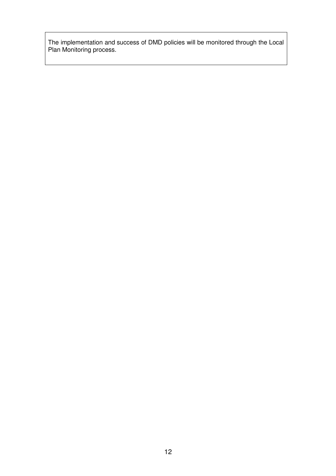The implementation and success of DMD policies will be monitored through the Local Plan Monitoring process.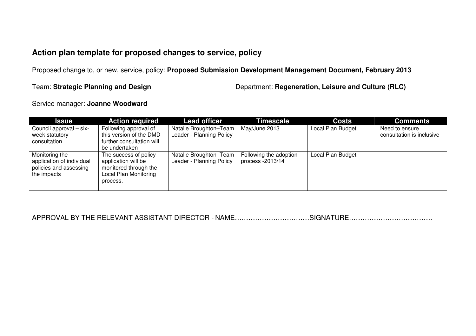# **Action plan template for proposed changes to service, policy**

Proposed change to, or new, service, policy: **Proposed Submission Development Management Document, February 2013**

Team: **Strategic Planning and Design** Department: **Regeneration, Leisure and Culture (RLC)**

Service manager: **Joanne Woodward** 

| <b>Issue</b>                                                                         | <b>Action required</b>                                                                                            | <b>Lead officer</b>                                | Timescale                                  | <b>Costs</b>      | <b>Comments</b>                             |
|--------------------------------------------------------------------------------------|-------------------------------------------------------------------------------------------------------------------|----------------------------------------------------|--------------------------------------------|-------------------|---------------------------------------------|
| Council approval - six-<br>week statutory<br>consultation                            | Following approval of<br>this version of the DMD<br>further consultation will<br>be undertaken                    | Natalie Broughton-Team<br>Leader - Planning Policy | May/June 2013                              | Local Plan Budget | Need to ensure<br>consultation is inclusive |
| Monitoring the<br>application of individual<br>policies and assessing<br>the impacts | The success of policy<br>application will be<br>monitored through the<br><b>Local Plan Monitoring</b><br>process. | Natalie Broughton-Team<br>Leader - Planning Policy | Following the adoption<br>process -2013/14 | Local Plan Budget |                                             |

APPROVAL BY THE RELEVANT ASSISTANT DIRECTOR - NAME……………………………SIGNATURE……………………………….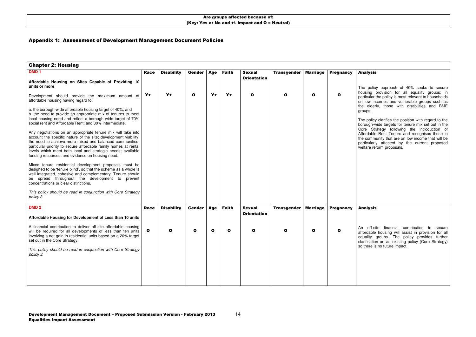# Appendix 1: Assessment of Development Management Document Policies

| <b>Chapter 2: Housing</b>                                                                                                                                                                                                                                                                                                                                                         |              |                   |              |            |              |                                     |                    |                 |                  |  |
|-----------------------------------------------------------------------------------------------------------------------------------------------------------------------------------------------------------------------------------------------------------------------------------------------------------------------------------------------------------------------------------|--------------|-------------------|--------------|------------|--------------|-------------------------------------|--------------------|-----------------|------------------|--|
| DMD <sub>1</sub>                                                                                                                                                                                                                                                                                                                                                                  | <b>Race</b>  | <b>Disability</b> | Gender       | <b>Age</b> | <b>Faith</b> | <b>Sexual</b><br><b>Orientation</b> | <b>Transgender</b> | <b>Marriage</b> | <b>Pregnancy</b> |  |
| Affordable Housing on Sites Capable of Providing 10<br>units or more                                                                                                                                                                                                                                                                                                              |              |                   |              |            |              |                                     |                    |                 |                  |  |
| Development should provide the maximum amount of<br>affordable housing having regard to:                                                                                                                                                                                                                                                                                          | Y+           | $Y+$              | $\mathbf{o}$ | $Y+$       | $Y+$         | $\mathbf o$                         | O                  | $\mathbf o$     | O                |  |
| a. the borough-wide affordable housing target of 40%; and<br>b. the need to provide an appropriate mix of tenures to meet<br>local housing need and reflect a borough wide target of 70%<br>social rent and Affordable Rent; and 30% intermediate.                                                                                                                                |              |                   |              |            |              |                                     |                    |                 |                  |  |
| Any negotiations on an appropriate tenure mix will take into<br>account the specific nature of the site; development viability;<br>the need to achieve more mixed and balanced communities;<br>particular priority to secure affordable family homes at rental<br>levels which meet both local and strategic needs; available<br>funding resources; and evidence on housing need. |              |                   |              |            |              |                                     |                    |                 |                  |  |
| Mixed tenure residential development proposals must be<br>designed to be 'tenure blind', so that the scheme as a whole is<br>well integrated, cohesive and complementary. Tenure should<br>be spread throughout the development to prevent<br>concentrations or clear distinctions.                                                                                               |              |                   |              |            |              |                                     |                    |                 |                  |  |
| This policy should be read in conjunction with Core Strategy<br>policy 3.                                                                                                                                                                                                                                                                                                         |              |                   |              |            |              |                                     |                    |                 |                  |  |
| DMD <sub>2</sub>                                                                                                                                                                                                                                                                                                                                                                  | <b>Race</b>  | <b>Disability</b> | Gender       | <b>Age</b> | <b>Faith</b> | <b>Sexual</b>                       | <b>Transgender</b> | <b>Marriage</b> | <b>Pregnancy</b> |  |
| Affordable Housing for Development of Less than 10 units                                                                                                                                                                                                                                                                                                                          |              |                   |              |            |              | <b>Orientation</b>                  |                    |                 |                  |  |
| A financial contribution to deliver off-site affordable housing<br>will be required for all developments of less than ten units<br>involving a net gain in residential units based on a 20% target<br>set out in the Core Strategy.                                                                                                                                               | $\mathbf{o}$ | O                 | $\mathbf{o}$ | O          | $\mathbf{o}$ | $\mathbf o$                         | O                  | $\mathbf o$     | O                |  |
| This policy should be read in conjunction with Core Strategy<br>policy 3.                                                                                                                                                                                                                                                                                                         |              |                   |              |            |              |                                     |                    |                 |                  |  |
|                                                                                                                                                                                                                                                                                                                                                                                   |              |                   |              |            |              |                                     |                    |                 |                  |  |

## Analysis

The policy approach of 40% seeks to secure housing provision for all equality groups; in particular the policy is most relevant to households on low incomes and vulnerable groups such as the elderly, those with disabilities and BME groups.

The policy clarifies the position with regard to the borough-wide targets for tenure mix set out in the Core Strategy following the introduction of Affordable Rent Tenure and recognises those in the community that are on low income that will be particularly affected by the current proposed welfare reform proposals.

## Analysis

An off-site financial contribution to secure affordable housing will assist in provision for all equality groups. The policy provides further clarification on an existing policy (Core Strategy)so there is no future impact.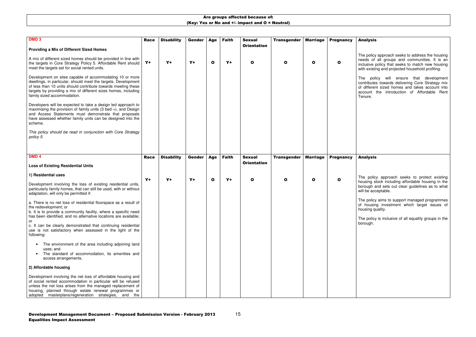15

## Analysis

The policy approach seeks to address the housing needs of all groups and communities. It is an inclusive policy that seeks to match new housing with existing and projected household profiling.

The policy will ensure that development contributes towards delivering Core Strategy mix of different sized homes and takes account into account the introduction of Affordable Rent Tenure.

| DMD <sub>3</sub>                                                                                                                                                                                                                                                                                            | <b>Race</b> | <b>Disability</b> | <b>Gender</b> | Age          | <b>Faith</b> | <b>Sexual</b><br><b>Orientation</b> | <b>Transgender</b> | <b>Marriage</b> | <b>Pregnancy</b> |  |
|-------------------------------------------------------------------------------------------------------------------------------------------------------------------------------------------------------------------------------------------------------------------------------------------------------------|-------------|-------------------|---------------|--------------|--------------|-------------------------------------|--------------------|-----------------|------------------|--|
| <b>Providing a Mix of Different Sized Homes</b>                                                                                                                                                                                                                                                             |             |                   |               |              |              |                                     |                    |                 |                  |  |
| A mix of different sized homes should be provided in line with<br>the targets in Core Strategy Policy 5. Affordable Rent should<br>meet the targets set for social rented units.                                                                                                                            | $Y+$        | $Y+$              | $Y+$          | $\mathbf{o}$ | $Y+$         | $\mathbf{o}$                        | $\mathbf{o}$       | $\mathbf o$     | $\mathbf o$      |  |
| Development on sites capable of accommodating 10 or more<br>dwellings, in particular, should meet the targets. Development<br>of less than 10 units should contribute towards meeting these<br>targets by providing a mix of different sizes homes, including<br>family sized accommodation.                |             |                   |               |              |              |                                     |                    |                 |                  |  |
| Developers will be expected to take a design led approach to<br>maximising the provision of family units $(3 \text{ bed } +)$ , and Design<br>and Access Statements must demonstrate that proposals<br>have assessed whether family units can be designed into the<br>scheme.                               |             |                   |               |              |              |                                     |                    |                 |                  |  |
| This policy should be read in conjunction with Core Strategy<br>policy 5.                                                                                                                                                                                                                                   |             |                   |               |              |              |                                     |                    |                 |                  |  |
|                                                                                                                                                                                                                                                                                                             |             |                   |               |              |              |                                     |                    |                 |                  |  |
| DMD <sub>4</sub>                                                                                                                                                                                                                                                                                            | <b>Race</b> | <b>Disability</b> | <b>Gender</b> | Age          | <b>Faith</b> | <b>Sexual</b><br><b>Orientation</b> | <b>Transgender</b> | <b>Marriage</b> | <b>Pregnancy</b> |  |
| <b>Loss of Existing Residential Units</b>                                                                                                                                                                                                                                                                   |             |                   |               |              |              |                                     |                    |                 |                  |  |
| 1) Residential uses                                                                                                                                                                                                                                                                                         |             |                   |               |              |              |                                     |                    |                 |                  |  |
| Development involving the loss of existing residential units,<br>particularly family homes, that can still be used, with or without<br>adaptation, will only be permitted if:                                                                                                                               | $Y +$       | $Y+$              | $Y+$          | $\mathbf{o}$ | $Y+$         | $\mathbf{o}$                        | $\mathbf o$        | $\mathbf{o}$    | $\mathbf{o}$     |  |
| a. There is no net loss of residential floorspace as a result of<br>the redevelopment; or<br>b. It is to provide a community facility, where a specific need<br>has been identified, and no alternative locations are available;                                                                            |             |                   |               |              |              |                                     |                    |                 |                  |  |
| or<br>c. It can be clearly demonstrated that continuing residential<br>use is not satisfactory when assessed in the light of the<br>following:                                                                                                                                                              |             |                   |               |              |              |                                     |                    |                 |                  |  |
| The environment of the area including adjoining land<br>uses; and<br>The standard of accommodation, its amenities and<br>access arrangements.                                                                                                                                                               |             |                   |               |              |              |                                     |                    |                 |                  |  |
| 2) Affordable housing                                                                                                                                                                                                                                                                                       |             |                   |               |              |              |                                     |                    |                 |                  |  |
| Development involving the net loss of affordable housing and<br>of social rented accommodation in particular will be refused<br>unless the net loss arises from the managed replacement of<br>housing, planned through estate renewal programmes or<br>adopted masterplans/regeneration strategies, and the |             |                   |               |              |              |                                     |                    |                 |                  |  |

#### Analysis

The policy approach seeks to protect existing housing stock including affordable housing in the borough and sets out clear guidelines as to what will be acceptable.

The policy aims to support managed programmes of housing investment which target issues of housing quality.

The policy is inclusive of all equality groups in the borough.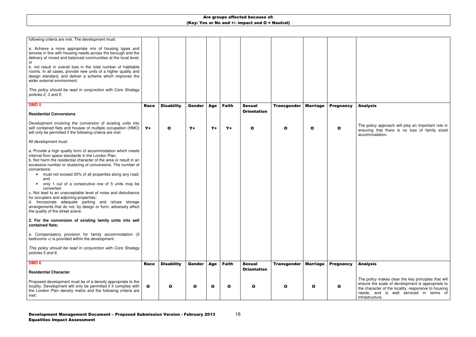| following criteria are met. The development must:                                                                                                                                                                                                                      |              |                   |               |              |              |                    |                    |                 |                  |  |
|------------------------------------------------------------------------------------------------------------------------------------------------------------------------------------------------------------------------------------------------------------------------|--------------|-------------------|---------------|--------------|--------------|--------------------|--------------------|-----------------|------------------|--|
| a. Achieve a more appropriate mix of housing types and<br>tenures in line with housing needs across the borough and the<br>delivery of mixed and balanced communities at the local level;                                                                              |              |                   |               |              |              |                    |                    |                 |                  |  |
| or<br>b. not result in overall loss in the total number of habitable<br>rooms. In all cases, provide new units of a higher quality and<br>design standard, and deliver a scheme which improves the                                                                     |              |                   |               |              |              |                    |                    |                 |                  |  |
| wider external environment.                                                                                                                                                                                                                                            |              |                   |               |              |              |                    |                    |                 |                  |  |
| This policy should be read in conjunction with Core Strategy<br>policies 2, 3 and 5.                                                                                                                                                                                   |              |                   |               |              |              |                    |                    |                 |                  |  |
| DMD <sub>5</sub>                                                                                                                                                                                                                                                       | <b>Race</b>  | <b>Disability</b> | <b>Gender</b> | <b>Age</b>   | <b>Faith</b> | <b>Sexual</b>      | <b>Transgender</b> | <b>Marriage</b> | <b>Pregnancy</b> |  |
| <b>Residential Conversions</b>                                                                                                                                                                                                                                         |              |                   |               |              |              | <b>Orientation</b> |                    |                 |                  |  |
| Development involving the conversion of existing units into<br>self contained flats and houses of multiple occupation (HMO)<br>will only be permitted if the following criteria are met:                                                                               | $Y+$         | O                 | $Y +$         | $Y+$         | $Y +$        | $\mathbf{o}$       | O                  | O               | O                |  |
| All development must:                                                                                                                                                                                                                                                  |              |                   |               |              |              |                    |                    |                 |                  |  |
| a. Provide a high quality form of accommodation which meets<br>internal floor space standards in the London Plan;<br>b. Not harm the residential character of the area or result in an<br>excessive number or clustering of conversions. The number of<br>conversions: |              |                   |               |              |              |                    |                    |                 |                  |  |
| must not exceed 20% of all properties along any road;<br>$\bullet$<br>and                                                                                                                                                                                              |              |                   |               |              |              |                    |                    |                 |                  |  |
| only 1 out of a consecutive row of 5 units may be<br>$\bullet$<br>converted.                                                                                                                                                                                           |              |                   |               |              |              |                    |                    |                 |                  |  |
| c. Not lead to an unacceptable level of noise and disturbance<br>for occupiers and adjoining properties;                                                                                                                                                               |              |                   |               |              |              |                    |                    |                 |                  |  |
| d. Incorporate adequate parking and refuse storage<br>arrangements that do not, by design or form, adversely affect<br>the quality of the street scene.                                                                                                                |              |                   |               |              |              |                    |                    |                 |                  |  |
| 2. For the conversion of existing family units into self<br>contained flats:                                                                                                                                                                                           |              |                   |               |              |              |                    |                    |                 |                  |  |
| a. Compensatory provision for family accommodation (3<br>bedrooms $+$ ) is provided within the development.                                                                                                                                                            |              |                   |               |              |              |                    |                    |                 |                  |  |
| This policy should be read in conjunction with Core Strategy<br>policies 5 and 6.                                                                                                                                                                                      |              |                   |               |              |              |                    |                    |                 |                  |  |
| DMD <sub>6</sub>                                                                                                                                                                                                                                                       | <b>Race</b>  | <b>Disability</b> | Gender        | <b>Age</b>   | <b>Faith</b> | <b>Sexual</b>      | <b>Transgender</b> | <b>Marriage</b> | <b>Pregnancy</b> |  |
| <b>Residential Character</b>                                                                                                                                                                                                                                           |              |                   |               |              |              | <b>Orientation</b> |                    |                 |                  |  |
| Proposed development must be of a density appropriate to the                                                                                                                                                                                                           |              |                   |               |              |              |                    |                    |                 |                  |  |
| locality. Development will only be permitted if it complies with<br>the London Plan density matrix and the following criteria are<br>met:                                                                                                                              | $\mathbf{o}$ | O                 | O             | $\mathbf{o}$ | $\mathbf{o}$ | O                  | O                  | $\mathbf{o}$    | O                |  |

## Analysis

The policy approach will play an important role in ensuring that there is no loss of family sized accommodation.

## Analysis

The policy makes clear the key principles that will ensure the scale of development is appropriate to the character of the locality, responsive to housing needs, and is well serviced in terms of infrastructure.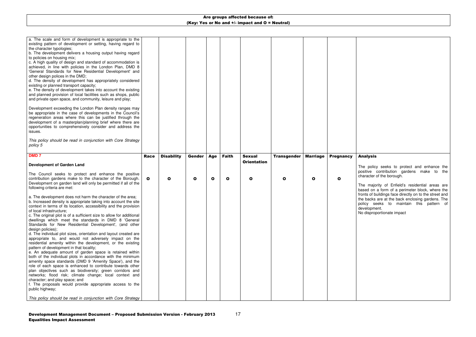The policy seeks to protect and enhance the positive contribution gardens make to the character of the borough.

| a. The scale and form of development is appropriate to the<br>existing pattern of development or setting, having regard to<br>the character typologies;<br>b. The development delivers a housing output having regard<br>to policies on housing mix;<br>c. A high quality of design and standard of accommodation is<br>achieved, in line with policies in the London Plan, DMD 8<br>'General Standards for New Residential Development' and<br>other design polices in the DMD;<br>d. The density of development has appropriately considered<br>existing or planned transport capacity;<br>e. The density of development takes into account the existing<br>and planned provision of local facilities such as shops, public<br>and private open space, and community, leisure and play;<br>Development exceeding the London Plan density ranges may<br>be appropriate in the case of developments in the Council's<br>regeneration areas where this can be justified through the<br>development of a masterplan/planning brief where there are<br>opportunities to comprehensively consider and address the<br>issues.<br>This policy should be read in conjunction with Core Strategy<br>policy 5 |              |                   |               |              |              |                    |                    |                 |                  |
|------------------------------------------------------------------------------------------------------------------------------------------------------------------------------------------------------------------------------------------------------------------------------------------------------------------------------------------------------------------------------------------------------------------------------------------------------------------------------------------------------------------------------------------------------------------------------------------------------------------------------------------------------------------------------------------------------------------------------------------------------------------------------------------------------------------------------------------------------------------------------------------------------------------------------------------------------------------------------------------------------------------------------------------------------------------------------------------------------------------------------------------------------------------------------------------------------|--------------|-------------------|---------------|--------------|--------------|--------------------|--------------------|-----------------|------------------|
| <b>DMD7</b>                                                                                                                                                                                                                                                                                                                                                                                                                                                                                                                                                                                                                                                                                                                                                                                                                                                                                                                                                                                                                                                                                                                                                                                          | <b>Race</b>  | <b>Disability</b> | <b>Gender</b> | Age          | <b>Faith</b> | <b>Sexual</b>      | <b>Transgender</b> | <b>Marriage</b> | <b>Pregnancy</b> |
| <b>Development of Garden Land</b>                                                                                                                                                                                                                                                                                                                                                                                                                                                                                                                                                                                                                                                                                                                                                                                                                                                                                                                                                                                                                                                                                                                                                                    |              |                   |               |              |              | <b>Orientation</b> |                    |                 |                  |
| The Council seeks to protect and enhance the positive<br>contribution gardens make to the character of the Borough.<br>Development on garden land will only be permitted if all of the<br>following criteria are met:                                                                                                                                                                                                                                                                                                                                                                                                                                                                                                                                                                                                                                                                                                                                                                                                                                                                                                                                                                                | $\mathbf{o}$ | O                 | $\mathbf{o}$  | $\mathbf{o}$ | $\mathbf{o}$ | $\mathbf{o}$       | $\mathbf o$        | $\mathbf{o}$    | $\mathbf{o}$     |
| a. The development does not harm the character of the area;<br>b. Increased density is appropriate taking into account the site<br>context in terms of its location, accessibility and the provision<br>of local infrastructure;<br>c. The original plot is of a sufficient size to allow for additional                                                                                                                                                                                                                                                                                                                                                                                                                                                                                                                                                                                                                                                                                                                                                                                                                                                                                             |              |                   |               |              |              |                    |                    |                 |                  |

## Analysis

The majority of Enfield's residential areas are based on a form of a perimeter block, where the fronts of buildings face directly on to the street and the backs are at the back enclosing gardens. The policy seeks to maintain this pattern of development.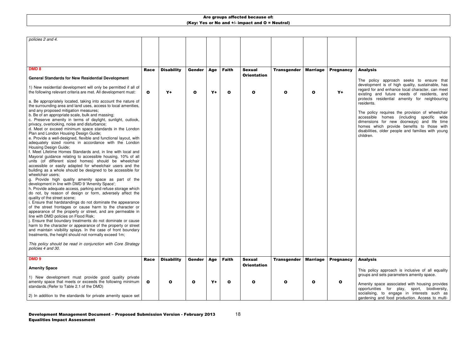| $\mathbf{o}$ | $Y+$              | $\mathbf{o}$      | $Y+$ | $\mathbf{o}$  | $\mathbf{o}$       | O                                   | $\mathbf o$        | $Y+$             |                  |
|--------------|-------------------|-------------------|------|---------------|--------------------|-------------------------------------|--------------------|------------------|------------------|
|              |                   |                   |      |               |                    |                                     |                    |                  |                  |
|              |                   |                   |      |               |                    |                                     |                    |                  |                  |
|              |                   |                   |      |               |                    |                                     |                    |                  |                  |
|              |                   |                   |      |               |                    |                                     |                    |                  |                  |
|              |                   |                   |      |               |                    |                                     |                    |                  |                  |
|              |                   |                   |      |               |                    |                                     |                    |                  |                  |
|              |                   |                   |      |               |                    |                                     |                    |                  |                  |
|              |                   |                   |      |               |                    |                                     |                    |                  |                  |
|              |                   |                   |      |               |                    |                                     |                    |                  |                  |
|              |                   |                   |      |               |                    |                                     |                    |                  |                  |
|              |                   |                   |      |               |                    |                                     |                    |                  |                  |
|              |                   |                   |      |               |                    |                                     |                    |                  |                  |
|              |                   |                   |      |               |                    |                                     |                    |                  |                  |
|              |                   |                   |      |               |                    |                                     |                    |                  |                  |
|              |                   |                   |      |               |                    |                                     |                    |                  |                  |
|              |                   |                   |      |               |                    |                                     |                    |                  |                  |
|              |                   |                   |      |               |                    |                                     |                    |                  |                  |
|              |                   |                   |      |               |                    |                                     |                    |                  |                  |
| Race         | <b>Disability</b> | Gender            | Age  | <b>Faith</b>  | <b>Sexual</b>      | <b>Transgender</b>                  | <b>Marriage</b>    | <b>Pregnancy</b> |                  |
|              |                   |                   |      |               | <b>Orientation</b> |                                     |                    |                  |                  |
|              |                   |                   |      |               |                    |                                     |                    |                  |                  |
| $\mathbf{o}$ | O                 | $\mathbf{o}$      | $Y+$ | $\mathbf{o}$  | O                  | O                                   | $\mathbf o$        | $\mathbf{o}$     |                  |
|              |                   |                   |      |               |                    |                                     |                    |                  |                  |
|              | Race              | <b>Disability</b> |      | Gender<br>Age | <b>Faith</b>       | <b>Sexual</b><br><b>Orientation</b> | <b>Transgender</b> | <b>Marriage</b>  | <b>Pregnancy</b> |

## Analysis

The policy approach seeks to ensure that development is of high quality, sustainable, has regard for and enhance local character, can meet existing and future needs of residents, and protects residential amenity for neighbouring residents.

The policy requires the provision of wheelchair accessible homes (including specific wide dimensions for new doorways) and life time homes which provide benefits to those with disabilities, older people and families with young children.

## Analysis

This policy approach is inclusive of all equality groups and sets parameters amenity space.

Amenity space associated with housing provides opportunities for play, sport, biodiversity, socialising, to engage in interests such as gardening and food production. Access to multi-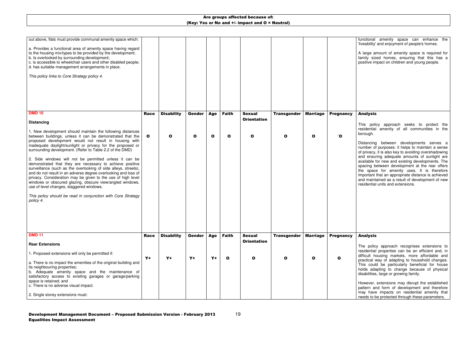functional amenity space can enhance the 'liveability' and enjoyment of people's homes.

A large amount of amenity space is required for family sized homes, ensuring that this has a positive impact on children and young people.

| out above, flats must provide communal amenity space which:                                                                    |              |                   |               |              |              |                                     |                    |                 |                  |  |
|--------------------------------------------------------------------------------------------------------------------------------|--------------|-------------------|---------------|--------------|--------------|-------------------------------------|--------------------|-----------------|------------------|--|
| a. Provides a functional area of amenity space having regard                                                                   |              |                   |               |              |              |                                     |                    |                 |                  |  |
| to the housing mix/types to be provided by the development;<br>b. Is overlooked by surrounding development;                    |              |                   |               |              |              |                                     |                    |                 |                  |  |
| c. is accessible to wheelchair users and other disabled people;<br>d. has suitable management arrangements in place.           |              |                   |               |              |              |                                     |                    |                 |                  |  |
|                                                                                                                                |              |                   |               |              |              |                                     |                    |                 |                  |  |
| This policy links to Core Strategy policy 4.                                                                                   |              |                   |               |              |              |                                     |                    |                 |                  |  |
|                                                                                                                                |              |                   |               |              |              |                                     |                    |                 |                  |  |
|                                                                                                                                |              |                   |               |              |              |                                     |                    |                 |                  |  |
|                                                                                                                                |              |                   |               |              |              |                                     |                    |                 |                  |  |
| <b>DMD 10</b>                                                                                                                  | <b>Race</b>  | <b>Disability</b> | <b>Gender</b> | <b>Age</b>   | <b>Faith</b> | <b>Sexual</b>                       | <b>Transgender</b> | <b>Marriage</b> | <b>Pregnancy</b> |  |
| <b>Distancing</b>                                                                                                              |              |                   |               |              |              | <b>Orientation</b>                  |                    |                 |                  |  |
|                                                                                                                                |              |                   |               |              |              |                                     |                    |                 |                  |  |
| 1. New development should maintain the following distances<br>between buildings, unless it can be demonstrated that the        | $\mathbf{o}$ | $\mathbf{o}$      | $\mathbf{o}$  | $\mathbf{o}$ | $\mathbf{o}$ | $\mathbf{o}$                        | O                  | $\mathbf{o}$    | 0`               |  |
| proposed development would not result in housing with<br>inadequate daylight/sunlight or privacy for the proposed or           |              |                   |               |              |              |                                     |                    |                 |                  |  |
| surrounding development. (Refer to Table 2.2 of the DMD)                                                                       |              |                   |               |              |              |                                     |                    |                 |                  |  |
| 2. Side windows will not be permitted unless it can be                                                                         |              |                   |               |              |              |                                     |                    |                 |                  |  |
| demonstrated that they are necessary to achieve positive<br>surveillance (such as the overlooking of side alleys, streets),    |              |                   |               |              |              |                                     |                    |                 |                  |  |
| and do not result in an adverse degree overlooking and loss of<br>privacy. Consideration may be given to the use of high level |              |                   |               |              |              |                                     |                    |                 |                  |  |
| windows or obscured glazing, obscure view/angled windows,<br>use of level changes, staggered windows.                          |              |                   |               |              |              |                                     |                    |                 |                  |  |
|                                                                                                                                |              |                   |               |              |              |                                     |                    |                 |                  |  |
| This policy should be read in conjunction with Core Strategy<br>policy 4.                                                      |              |                   |               |              |              |                                     |                    |                 |                  |  |
|                                                                                                                                |              |                   |               |              |              |                                     |                    |                 |                  |  |
|                                                                                                                                |              |                   |               |              |              |                                     |                    |                 |                  |  |
|                                                                                                                                |              |                   |               |              |              |                                     |                    |                 |                  |  |
| <b>DMD 11</b>                                                                                                                  |              |                   |               |              |              |                                     |                    |                 |                  |  |
|                                                                                                                                | <b>Race</b>  | <b>Disability</b> | Gender        | <b>Age</b>   | <b>Faith</b> | <b>Sexual</b><br><b>Orientation</b> | <b>Transgender</b> | <b>Marriage</b> | <b>Pregnancy</b> |  |
| <b>Rear Extensions</b>                                                                                                         |              |                   |               |              |              |                                     |                    |                 |                  |  |
| 1. Proposed extensions will only be permitted if:                                                                              | $Y+$         | $Y+$              | $Y+$          | $Y+$         | $\mathbf{o}$ | $\mathbf{o}$                        | $\mathbf{o}$       | $\mathbf{o}$    | $\mathbf{o}$     |  |
| a. There is no impact the amenities of the original building and                                                               |              |                   |               |              |              |                                     |                    |                 |                  |  |
| its neighbouring properties;<br>b. Adequate amenity space and the maintenance of                                               |              |                   |               |              |              |                                     |                    |                 |                  |  |
| satisfactory access to existing garages or garage/parking<br>space is retained; and                                            |              |                   |               |              |              |                                     |                    |                 |                  |  |
| c. There is no adverse visual impact.                                                                                          |              |                   |               |              |              |                                     |                    |                 |                  |  |
| 2. Single storey extensions must:                                                                                              |              |                   |               |              |              |                                     |                    |                 |                  |  |

## Analysis

This policy approach seeks to protect the residential amenity of all communities in the borough.

Distancing between developments serves a number of purposes: it helps to maintain a sense of privacy, it is also key to avoiding overshadowing and ensuring adequate amounts of sunlight are available for new and existing developments. The spacing between development at the rear offers the space for amenity uses. It is therefore important that an appropriate distance is achieved and maintained as a result of development of new residential units and extensions.

#### Analysis

The policy approach recognises extensions to residential properties can be an efficient and, in difficult housing markets, more affordable and practical way of adapting to household changes. This could be particularly beneficial for house holds adapting to change because of physical disabilities, large or growing family.

However, extensions may disrupt the established pattern and form of development and therefore may have impacts on residential amenity that needs to be protected through these parameters.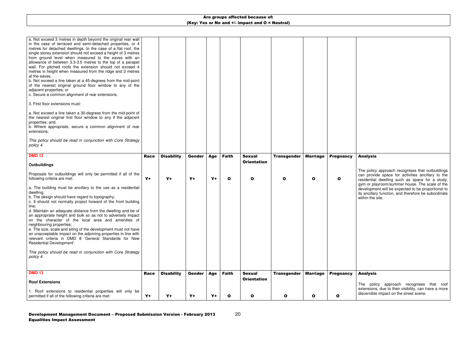| a. Not exceed 3 metres in depth beyond the original rear wall<br>in the case of terraced and semi-detached properties, or 4<br>metres for detached dwellings. In the case of a flat roof, the<br>single storey extension should not exceed a height of 3 metres<br>from ground level when measured to the eaves with an<br>allowance of between 3.3-3.5 metres to the top of a parapet<br>wall. For pitched roofs the extension should not exceed 4<br>metres in height when measured from the ridge and 3 metres<br>at the eaves.<br>b. Not exceed a line taken at a 45-degrees from the mid-point<br>of the nearest original ground floor window to any of the<br>adjacent properties; or<br>c. Secure a common alignment of rear extensions.<br>3. First floor extensions must:<br>a. Not exceed a line taken a 30-degrees from the mid-point of<br>the nearest original first floor window to any if the adjacent<br>properties; and,<br>b. Where appropriate, secure a common alignment of rear<br>extensions.<br>This policy should be read in conjunction with Core Strategy<br>policy 4. |             |                   |        |       |              |                                     |                    |                 |                  |  |
|--------------------------------------------------------------------------------------------------------------------------------------------------------------------------------------------------------------------------------------------------------------------------------------------------------------------------------------------------------------------------------------------------------------------------------------------------------------------------------------------------------------------------------------------------------------------------------------------------------------------------------------------------------------------------------------------------------------------------------------------------------------------------------------------------------------------------------------------------------------------------------------------------------------------------------------------------------------------------------------------------------------------------------------------------------------------------------------------------|-------------|-------------------|--------|-------|--------------|-------------------------------------|--------------------|-----------------|------------------|--|
| <b>DMD 12</b>                                                                                                                                                                                                                                                                                                                                                                                                                                                                                                                                                                                                                                                                                                                                                                                                                                                                                                                                                                                                                                                                                    | <b>Race</b> | <b>Disability</b> | Gender | Age   | <b>Faith</b> | <b>Sexual</b>                       | <b>Transgender</b> | <b>Marriage</b> | <b>Pregnancy</b> |  |
| <b>Outbuildings</b>                                                                                                                                                                                                                                                                                                                                                                                                                                                                                                                                                                                                                                                                                                                                                                                                                                                                                                                                                                                                                                                                              |             |                   |        |       |              | <b>Orientation</b>                  |                    |                 |                  |  |
| Proposals for outbuildings will only be permitted if all of the<br>following criteria are met:                                                                                                                                                                                                                                                                                                                                                                                                                                                                                                                                                                                                                                                                                                                                                                                                                                                                                                                                                                                                   | $Y+$        | $Y+$              | $Y+$   | $Y +$ | $\mathbf{o}$ | $\mathbf{o}$                        | O                  | $\mathbf{o}$    | $\mathbf o$      |  |
| a. The building must be ancillary to the use as a residential<br>dwelling;<br>b. The design should have regard to topography;<br>c. It should not normally project forward of the front building<br>line;<br>d. Maintain an adequate distance from the dwelling and be of<br>an appropriate height and bulk so as not to adversely impact<br>on the character of the local area and amenities of<br>neighbouring properties;<br>e. The size, scale and siting of the development must not have<br>an unacceptable impact on the adjoining properties in line with<br>relevant criteria in DMD 8 'General Standards for New<br>Residential Development'.<br>This policy should be read in conjunction with Core Strategy<br>policy 4.<br><b>DMD 13</b>                                                                                                                                                                                                                                                                                                                                            |             |                   |        |       |              |                                     |                    |                 |                  |  |
|                                                                                                                                                                                                                                                                                                                                                                                                                                                                                                                                                                                                                                                                                                                                                                                                                                                                                                                                                                                                                                                                                                  | <b>Race</b> | <b>Disability</b> | Gender | Age   | <b>Faith</b> | <b>Sexual</b><br><b>Orientation</b> | <b>Transgender</b> | <b>Marriage</b> | <b>Pregnancy</b> |  |
| <b>Roof Extensions</b>                                                                                                                                                                                                                                                                                                                                                                                                                                                                                                                                                                                                                                                                                                                                                                                                                                                                                                                                                                                                                                                                           |             |                   |        |       |              |                                     |                    |                 |                  |  |
| 1. Roof extensions to residential properties will only be<br>permitted if all of the following criteria are met:                                                                                                                                                                                                                                                                                                                                                                                                                                                                                                                                                                                                                                                                                                                                                                                                                                                                                                                                                                                 | $Y+$        | $Y+$              | $Y+$   | $Y+$  | $\bullet$    | $\bullet$                           | $\bullet$          | $\mathbf{o}$    | O                |  |

## Analysis

The policy approach recognises that outbuildings can provide space for activities ancillary to the residential dwelling such as space for a study, gym or playroom/summer house. The scale of the development will be expected to be proportional to its ancillary function, and therefore be subordinate within the site.

#### Analysis

The policy approach recognises that roof extensions, due to their visibility, can have a more discernible impact on the street scene.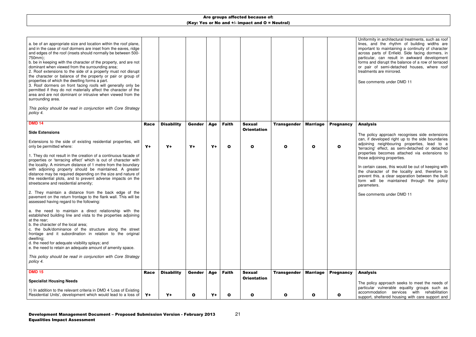niformity in architectural treatments, such as roof lines, and the rhythm of building widths are important to maintaining a continuity of character across parts of Enfield. Side facing dormers, in particular, can result in awkward development forms and disrupt the balance of a row of terraced or pair of semi-detached houses, where roof eatments are mirrored.

ee comments under DMD 11

#### nalysis

he policy approach recognises side extensions can, if developed right up to the side boundaries adjoining neighbouring properties, lead to a 'terracing' effect, as semi-detached or detached properties becomes attached via extensions to ose adjoining properties.

certain cases, this would be out of keeping with the character of the locality and, therefore to prevent this, a clear separation between the built form will be maintained through the policy arameters.

ee comments under DMD 11

#### nalysis

he policy approach seeks to meet the needs of particular vulnerable equality groups such as accommodation services with rehabilitation support, sheltered housing with care support and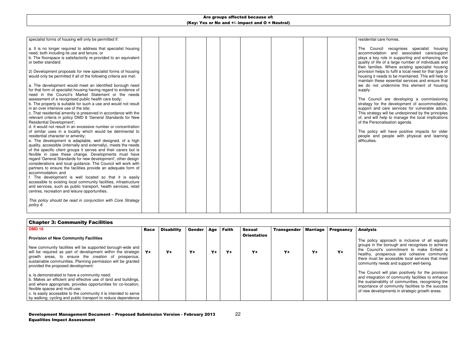22

#### esidential care homes.

| specialist forms of housing will only be permitted if:                                                                                                                                                                          |  |  |  |  |  |
|---------------------------------------------------------------------------------------------------------------------------------------------------------------------------------------------------------------------------------|--|--|--|--|--|
| a. It is no longer required to address that specialist housing<br>need, both including its use and tenure, or<br>b. The floorspace is satisfactorily re-provided to an equivalent<br>or better standard.                        |  |  |  |  |  |
| 2) Development proposals for new specialist forms of housing<br>would only be permitted if all of the following criteria are met:                                                                                               |  |  |  |  |  |
| a. The development would meet an identified borough need<br>for that form of specialist housing having regard to evidence of<br>need in the Council's Market Statement or the needs                                             |  |  |  |  |  |
| assessment of a recognised public health care body;<br>b. The property is suitable for such a use and would not result<br>in an over intensive use of the site;                                                                 |  |  |  |  |  |
| c. That residential amenity is preserved in accordance with the<br>relevant criteria in policy DMD 8 'General Standards for New<br>Residential Development';                                                                    |  |  |  |  |  |
| d. It would not result in an excessive number or concentration<br>of similar uses in a locality which would be detrimental to<br>residential character or amenity;<br>e. The development is adaptable, well designed, of a high |  |  |  |  |  |
| quality, accessible (internally and externally), meets the needs<br>of the specific client groups it serves and their carers but is<br>flexible in case these change. Developments must have                                    |  |  |  |  |  |
| regard 'General Standards for new development', other design<br>considerations and local guidance. The Council will work with<br>partners to ensure the facilities provide an adequate form of                                  |  |  |  |  |  |
| accommodation; and<br>f. The development is well located so that it is easily<br>accessible to existing local community facilities, infrastructure                                                                              |  |  |  |  |  |
| and services, such as public transport, health services, retail<br>centres, recreation and leisure opportunities.                                                                                                               |  |  |  |  |  |
| This policy should be read in conjunction with Core Strategy<br>policy 6.                                                                                                                                                       |  |  |  |  |  |

The policy will have positive impacts for older people and people with physical and learning difficulties.

The policy approach is inclusive of all equality groups in the borough and recognises to achieve the Council's commitment to make Enfield a healthy, prosperous and cohesive community there must be accessible local services that meet community needs and support well-being.

The Council will plan positively for the provision and integration of community facilities to enhance the sustainability of communities, recognising the importance of community facilities to the success f new developments in strategic growth areas.

The Council recognises specialist housing accommodation and associated care/support plays a key role in supporting and enhancing the quality of life of a large number of individuals and their families. Where existing specialist housing provision helps to fulfil a local need for that type of housing it needs to be maintained. This will help to maintain these essential services and ensure that we do not undermine this element of housing supply.

The Council are developing a commissioning strategy for the development of accommodation, support and care services for vulnerable adults. This strategy will be underpinned by the principles of, and will help to manage the local implications of the Personalisation agenda.

# Chapter 3: Community Facilities

| <b>DMD 16</b>                                                                                                                                                                                                                                                                                                                                           | <b>Race</b> | <b>Disability</b> | Gender | Age  | Faith | <b>Sexual</b>      | <b>Transgender</b> | <b>Marriage</b> | <b>Pregnancy</b> |   |
|---------------------------------------------------------------------------------------------------------------------------------------------------------------------------------------------------------------------------------------------------------------------------------------------------------------------------------------------------------|-------------|-------------------|--------|------|-------|--------------------|--------------------|-----------------|------------------|---|
| <b>Provision of New Community Facilities</b>                                                                                                                                                                                                                                                                                                            |             |                   |        |      |       | <b>Orientation</b> |                    |                 |                  |   |
| New community facilities will be supported borough-wide and<br>will be required as part of development within the strategic<br>growth areas, to ensure the creation of prosperous,<br>sustainable communities. Planning permission will be granted<br>provided the proposed development:                                                                | $Y+$        | Y+                | $Y+$   | $Y+$ | $Y +$ | $Y+$               | $Y+$               | $Y+$            | Y+               | h |
| a. Is demonstrated to have a community need;<br>b. Makes an efficient and effective use of land and buildings,<br>and where appropriate, provides opportunities for co-location,<br>flexible spaces and multi-use;<br>c. Is easily accessible to the community it is intended to serve<br>by walking, cycling and public transport to reduce dependence |             |                   |        |      |       |                    |                    |                 |                  |   |

#### Analysis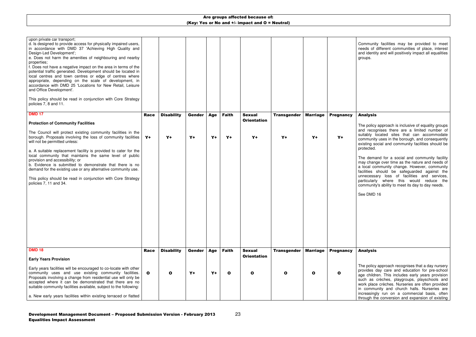23

Community facilities may be provided to meet needs of different communities of place, interest and identity and will positively impact all equalities groups.

| upon private car transport;<br>d. Is designed to provide access for physically impaired users,<br>in accordance with DMD 37 'Achieving High Quality and<br>Design-Led Development';<br>e. Does not harm the amenities of neighbouring and nearby<br>properties;<br>f. Does not have a negative impact on the area in terms of the<br>potential traffic generated. Development should be located in<br>local centres and town centres or edge of centres where<br>appropriate, depending on the scale of development, in<br>accordance with DMD 25 'Locations for New Retail, Leisure<br>and Office Development'.<br>This policy should be read in conjunction with Core Strategy<br>policies 7, 8 and 11. |              |                   |               |      |              |                                     |                    |                 |                  |  |
|-----------------------------------------------------------------------------------------------------------------------------------------------------------------------------------------------------------------------------------------------------------------------------------------------------------------------------------------------------------------------------------------------------------------------------------------------------------------------------------------------------------------------------------------------------------------------------------------------------------------------------------------------------------------------------------------------------------|--------------|-------------------|---------------|------|--------------|-------------------------------------|--------------------|-----------------|------------------|--|
| <b>DMD 17</b>                                                                                                                                                                                                                                                                                                                                                                                                                                                                                                                                                                                                                                                                                             | <b>Race</b>  | <b>Disability</b> | Gender        | Age  | <b>Faith</b> | <b>Sexual</b>                       | <b>Transgender</b> | <b>Marriage</b> | <b>Pregnancy</b> |  |
| <b>Protection of Community Facilities</b>                                                                                                                                                                                                                                                                                                                                                                                                                                                                                                                                                                                                                                                                 |              |                   |               |      |              | <b>Orientation</b>                  |                    |                 |                  |  |
| The Council will protect existing community facilities in the<br>borough. Proposals involving the loss of community facilities<br>will not be permitted unless:                                                                                                                                                                                                                                                                                                                                                                                                                                                                                                                                           | $Y+$         | $Y+$              | $Y+$          | $Y+$ | $Y+$         | $Y+$                                | $Y+$               | $Y+$            | $Y+$             |  |
| a. A suitable replacement facility is provided to cater for the<br>local community that maintains the same level of public<br>provision and accessibility; or<br>b. Evidence is submitted to demonstrate that there is no<br>demand for the existing use or any alternative community use.                                                                                                                                                                                                                                                                                                                                                                                                                |              |                   |               |      |              |                                     |                    |                 |                  |  |
| This policy should be read in conjunction with Core Strategy<br>policies 7, 11 and 34.<br><b>DMD 18</b>                                                                                                                                                                                                                                                                                                                                                                                                                                                                                                                                                                                                   |              |                   |               |      |              |                                     |                    |                 |                  |  |
|                                                                                                                                                                                                                                                                                                                                                                                                                                                                                                                                                                                                                                                                                                           | <b>Race</b>  | <b>Disability</b> | <b>Gender</b> | Age  | <b>Faith</b> | <b>Sexual</b><br><b>Orientation</b> | <b>Transgender</b> | <b>Marriage</b> | <b>Pregnancy</b> |  |
| <b>Early Years Provision</b>                                                                                                                                                                                                                                                                                                                                                                                                                                                                                                                                                                                                                                                                              |              |                   |               |      |              |                                     |                    |                 |                  |  |
| Early years facilities will be encouraged to co-locate with other<br>community uses and use existing community facilities.<br>Proposals involving a change from residential use will only be<br>accepted where it can be demonstrated that there are no<br>suitable community facilities available, subject to the following:                                                                                                                                                                                                                                                                                                                                                                             | $\mathbf{o}$ | $\mathbf{o}$      | $Y +$         | $Y+$ | $\mathbf{o}$ | O                                   | $\mathbf o$        | $\mathbf{o}$    | $\mathbf{o}$     |  |
| a. New early years facilities within existing terraced or flatted                                                                                                                                                                                                                                                                                                                                                                                                                                                                                                                                                                                                                                         |              |                   |               |      |              |                                     |                    |                 |                  |  |

## Analysis

The policy approach is inclusive of equality groups and recognises there are a limited number of suitably located sites that can accommodate community uses in the borough, and consequently existing social and community facilities should be protected.

The demand for a social and community facility may change over time as the nature and needs of a local community change. However, community facilities should be safeguarded against the unnecessary loss of facilities and services, particularly where this would reduce the community's ability to meet its day to day needs.

See DMD 16

#### Analysis

The policy approach recognises that a day nursery provides day care and education for pre-school age children. This includes early years provision such as crèches, playgroups, playschools and work place crèches. Nurseries are often provided in community and church halls. Nurseries are increasingly run on a commercial basis, often through the conversion and expansion of existing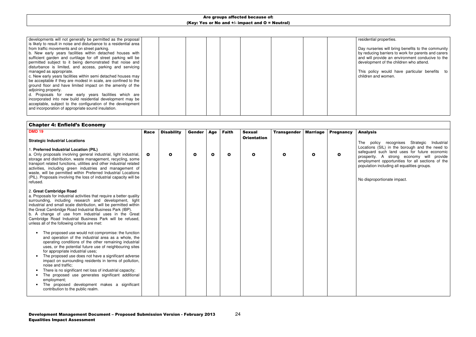#### esidential properties.

| developments will not generally be permitted as the proposal       |  |  |  |  |  |
|--------------------------------------------------------------------|--|--|--|--|--|
| is likely to result in noise and disturbance to a residential area |  |  |  |  |  |
| from traffic movements and on street parking.                      |  |  |  |  |  |
| b. New early years facilities within detached houses with          |  |  |  |  |  |
| sufficient garden and curtilage for off street parking will be     |  |  |  |  |  |
| permitted subject to it being demonstrated that noise and          |  |  |  |  |  |
| disturbance is limited, and access, parking and servicing          |  |  |  |  |  |
| managed as appropriate.                                            |  |  |  |  |  |
| c. New early years facilities within semi detached houses may      |  |  |  |  |  |
| be acceptable if they are modest in scale, are confined to the     |  |  |  |  |  |
| ground floor and have limited impact on the amenity of the         |  |  |  |  |  |
| adjoining property.                                                |  |  |  |  |  |
| d. Proposals for new early years facilities which are              |  |  |  |  |  |
| incorporated into new build residential development may be         |  |  |  |  |  |
| acceptable, subject to the configuration of the development        |  |  |  |  |  |
| and incorporation of appropriate sound insulation.                 |  |  |  |  |  |
|                                                                    |  |  |  |  |  |

Day nurseries will bring benefits to the community by reducing barriers to work for parents and carers and will provide an environment conducive to the development of the children who attend.

This policy would have particular benefits to children and women.

| <b>Chapter 4: Enfield's Economy</b>                                                                                                                                                                                                                                                                                                                                                                                                                                                                                                                                                                                                                                      |              |                   |               |             |              |                                     |                    |                 |                  |   |
|--------------------------------------------------------------------------------------------------------------------------------------------------------------------------------------------------------------------------------------------------------------------------------------------------------------------------------------------------------------------------------------------------------------------------------------------------------------------------------------------------------------------------------------------------------------------------------------------------------------------------------------------------------------------------|--------------|-------------------|---------------|-------------|--------------|-------------------------------------|--------------------|-----------------|------------------|---|
| <b>DMD 19</b>                                                                                                                                                                                                                                                                                                                                                                                                                                                                                                                                                                                                                                                            | <b>Race</b>  | <b>Disability</b> | <b>Gender</b> | Age         | <b>Faith</b> | <b>Sexual</b><br><b>Orientation</b> | <b>Transgender</b> | <b>Marriage</b> | <b>Pregnancy</b> |   |
| <b>Strategic Industrial Locations</b>                                                                                                                                                                                                                                                                                                                                                                                                                                                                                                                                                                                                                                    |              |                   |               |             |              |                                     |                    |                 |                  |   |
| 1. Preferred Industrial Location (PIL)<br>a. Only proposals involving general industrial, light industrial,<br>storage and distribution, waste management, recycling, some<br>transport related functions, utilities and other industrial related<br>activities, including green industries and management of<br>waste, will be permitted within Preferred Industrial Locations<br>(PIL). Proposals involving the loss of industrial capacity will be<br>refused.                                                                                                                                                                                                        | $\mathbf{o}$ | O                 | $\mathbf{o}$  | $\mathbf o$ | $\mathbf{o}$ | $\mathbf{o}$                        | O                  | O               | O                | р |
| 2. Great Cambridge Road<br>a. Proposals for industrial activities that require a better quality<br>surrounding, including research and development, light<br>industrial and small scale distribution, will be permitted within<br>the Great Cambridge Road Industrial Business Park (IBP).<br>b. A change of use from industrial uses in the Great<br>Cambridge Road Industrial Business Park will be refused,<br>unless all of the following criteria are met:                                                                                                                                                                                                          |              |                   |               |             |              |                                     |                    |                 |                  |   |
| The proposed use would not compromise: the function<br>$\bullet$<br>and operation of the industrial area as a whole, the<br>operating conditions of the other remaining industrial<br>uses, or the potential future use of neighbouring sites<br>for appropriate industrial uses;<br>The proposed use does not have a significant adverse<br>$\bullet$<br>impact on surrounding residents in terms of pollution,<br>noise and traffic:<br>There is no significant net loss of industrial capacity;<br>$\bullet$<br>The proposed use generates significant additional<br>employment;<br>The proposed development makes a significant<br>contribution to the public realm. |              |                   |               |             |              |                                     |                    |                 |                  |   |

#### Analysis

The policy recognises Strategic Industrial Locations (SIL) in the borough and the need to safeguard such land uses for future economic prosperity. A strong economy will provide employment opportunities for all sections of the population including all equalities groups.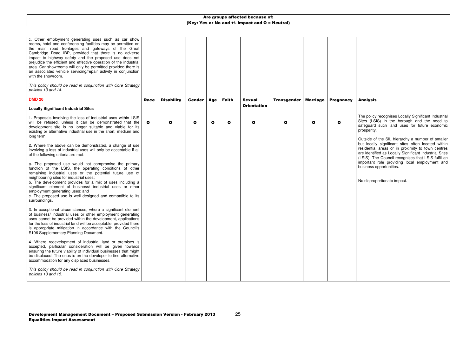| c. Other employment generating uses such as car show<br>rooms, hotel and conferencing facilities may be permitted on<br>the main road frontages and gateways of the Great<br>Cambridge Road IBP, provided that there is no adverse<br>impact to highway safety and the proposed use does not<br>prejudice the efficient and effective operation of the industrial<br>area. Car showrooms will only be permitted provided there is<br>an associated vehicle servicing/repair activity in conjunction<br>with the showroom.<br>This policy should be read in conjunction with Core Strategy<br>policies 13 and 14. |              |                   |        |            |              |                                     |                    |                 |                  |  |
|------------------------------------------------------------------------------------------------------------------------------------------------------------------------------------------------------------------------------------------------------------------------------------------------------------------------------------------------------------------------------------------------------------------------------------------------------------------------------------------------------------------------------------------------------------------------------------------------------------------|--------------|-------------------|--------|------------|--------------|-------------------------------------|--------------------|-----------------|------------------|--|
| <b>DMD 20</b>                                                                                                                                                                                                                                                                                                                                                                                                                                                                                                                                                                                                    | <b>Race</b>  | <b>Disability</b> | Gender | <b>Age</b> | <b>Faith</b> | <b>Sexual</b><br><b>Orientation</b> | <b>Transgender</b> | <b>Marriage</b> | <b>Pregnancy</b> |  |
| <b>Locally Significant Industrial Sites</b>                                                                                                                                                                                                                                                                                                                                                                                                                                                                                                                                                                      |              |                   |        |            |              |                                     |                    |                 |                  |  |
| 1. Proposals involving the loss of industrial uses within LSIS<br>will be refused, unless it can be demonstrated that the<br>development site is no longer suitable and viable for its<br>existing or alternative industrial use in the short, medium and<br>long term.                                                                                                                                                                                                                                                                                                                                          | $\mathbf{o}$ | $\mathbf{o}$      | O      | O          | $\mathbf{o}$ | $\mathbf{o}$                        | O                  | $\mathbf{o}$    | O                |  |
| 2. Where the above can be demonstrated, a change of use<br>involving a loss of industrial uses will only be acceptable if all<br>of the following criteria are met:                                                                                                                                                                                                                                                                                                                                                                                                                                              |              |                   |        |            |              |                                     |                    |                 |                  |  |
| a. The proposed use would not compromise the primary<br>function of the LSIS, the operating conditions of other<br>remaining industrial uses or the potential future use of<br>neighbouring sites for industrial uses;<br>b. The development provides for a mix of uses including a<br>significant element of business/ industrial uses or other<br>employment generating uses; and<br>c. The proposed use is well designed and compatible to its<br>surroundings.                                                                                                                                               |              |                   |        |            |              |                                     |                    |                 |                  |  |
| 3. In exceptional circumstances, where a significant element<br>of business/ industrial uses or other employment generating<br>uses cannot be provided within the development, applications<br>for the loss of industrial land will be acceptable, provided there<br>is appropriate mitigation in accordance with the Council's<br>S106 Supplementary Planning Document.                                                                                                                                                                                                                                         |              |                   |        |            |              |                                     |                    |                 |                  |  |
| 4. Where redevelopment of industrial land or premises is<br>accepted, particular consideration will be given towards<br>ensuring the future viability of individual businesses that might<br>be displaced. The onus is on the developer to find alternative<br>accommodation for any displaced businesses.                                                                                                                                                                                                                                                                                                       |              |                   |        |            |              |                                     |                    |                 |                  |  |
| This policy should be read in conjunction with Core Strategy<br>policies 13 and 15.                                                                                                                                                                                                                                                                                                                                                                                                                                                                                                                              |              |                   |        |            |              |                                     |                    |                 |                  |  |

### Analysis

The policy recognises Locally Significant Industrial Sites (LSIS) in the borough and the need to safeguard such land uses for future economic prosperity.

Outside of the SIL hierarchy a number of smaller but locally significant sites often located within residential areas or in proximity to town centres are identified as Locally Significant Industrial Sites (LSIS). The Council recognises that LSIS fulfil an important role providing local employment and business opportunities.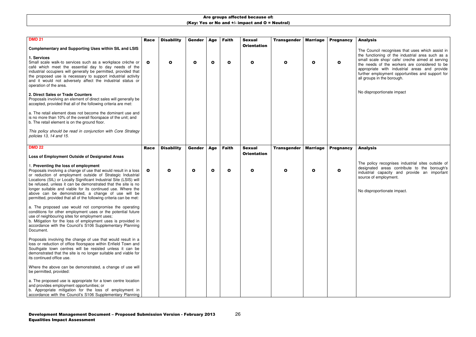#### Analysis

The Council recognises that uses which assist in the functioning of the industrial area such as a small scale shop/ cafe/ creche aimed at serving the needs of the workers are considered to be appropriate with industrial areas and provide further employment opportunities and support for all groups in the borough.

No disproportionate impact

| <b>DMD 21</b><br><b>Complementary and Supporting Uses within SIL and LSIS</b>                                                                                                                                                                                                                                                                                                                                                                                                                           | <b>Race</b>  | <b>Disability</b> | Gender       | <b>Age</b>   | <b>Faith</b> | <b>Sexual</b><br><b>Orientation</b> | <b>Transgender</b> | <b>Marriage</b> | <b>Pregnancy</b> |  |
|---------------------------------------------------------------------------------------------------------------------------------------------------------------------------------------------------------------------------------------------------------------------------------------------------------------------------------------------------------------------------------------------------------------------------------------------------------------------------------------------------------|--------------|-------------------|--------------|--------------|--------------|-------------------------------------|--------------------|-----------------|------------------|--|
| 1. Services<br>Small scale walk-to services such as a workplace crèche or<br>café which meet the essential day to day needs of the<br>industrial occupiers will generally be permitted, provided that<br>the proposed use is necessary to support industrial activity<br>and it would not adversely affect the industrial status or<br>operation of the area.                                                                                                                                           | $\mathbf{o}$ | $\mathbf o$       | $\mathbf{o}$ | $\mathbf{o}$ | $\mathbf{o}$ | $\mathbf{o}$                        | $\mathbf o$        | $\mathbf o$     | O                |  |
| 2. Direct Sales or Trade Counters<br>Proposals involving an element of direct sales will generally be<br>accepted, provided that all of the following criteria are met:                                                                                                                                                                                                                                                                                                                                 |              |                   |              |              |              |                                     |                    |                 |                  |  |
| a. The retail element does not become the dominant use and<br>is no more than 10% of the overall floorspace of the unit; and<br>b. The retail element is on the ground floor.                                                                                                                                                                                                                                                                                                                           |              |                   |              |              |              |                                     |                    |                 |                  |  |
| This policy should be read in conjunction with Core Strategy<br>policies 13, 14 and 15.                                                                                                                                                                                                                                                                                                                                                                                                                 |              |                   |              |              |              |                                     |                    |                 |                  |  |
| <b>DMD 22</b>                                                                                                                                                                                                                                                                                                                                                                                                                                                                                           | <b>Race</b>  | <b>Disability</b> | Gender       | <b>Age</b>   | <b>Faith</b> | <b>Sexual</b>                       | <b>Transgender</b> | <b>Marriage</b> | <b>Pregnancy</b> |  |
| Loss of Employment Outside of Designated Areas                                                                                                                                                                                                                                                                                                                                                                                                                                                          |              |                   |              |              |              | <b>Orientation</b>                  |                    |                 |                  |  |
| 1. Preventing the loss of employment<br>Proposals involving a change of use that would result in a loss<br>or reduction of employment outside of Strategic Industrial<br>Locations (SIL) or Locally Significant Industrial Site (LSIS) will<br>be refused, unless it can be demonstrated that the site is no<br>longer suitable and viable for its continued use. Where the<br>above can be demonstrated, a change of use will be<br>permitted, provided that all of the following criteria can be met: | $\mathbf{o}$ | O                 | $\mathbf{o}$ | $\mathbf{o}$ | $\mathbf{o}$ | $\mathbf{o}$                        | O                  | $\mathbf o$     | O                |  |
| a. The proposed use would not compromise the operating<br>conditions for other employment uses or the potential future<br>use of neighbouring sites for employment uses;<br>b. Mitigation for the loss of employment uses is provided in<br>accordance with the Council's S106 Supplementary Planning<br>Document.                                                                                                                                                                                      |              |                   |              |              |              |                                     |                    |                 |                  |  |
| Proposals involving the change of use that would result in a<br>loss or reduction of office floorspace within Enfield Town and<br>Southgate town centres will be resisted unless it can be<br>demonstrated that the site is no longer suitable and viable for<br>its continued office use.                                                                                                                                                                                                              |              |                   |              |              |              |                                     |                    |                 |                  |  |
| Where the above can be demonstrated, a change of use will<br>be permitted, provided:                                                                                                                                                                                                                                                                                                                                                                                                                    |              |                   |              |              |              |                                     |                    |                 |                  |  |
| a. The proposed use is appropriate for a town centre location<br>and provides employment opportunities; or<br>b. Appropriate mitigation for the loss of employment in<br>accordance with the Council's S106 Supplementary Planning                                                                                                                                                                                                                                                                      |              |                   |              |              |              |                                     |                    |                 |                  |  |

## Analysis

The policy recognises industrial sites outside of designated areas contribute to the borough's industrial capacity and provide an important source of employment.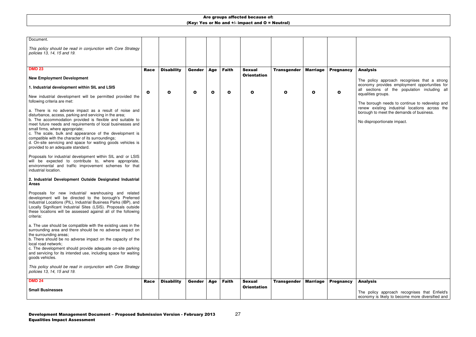| <b>Small Businesses</b>                                                                                                                                                                                                                                                                                                                                                                                                                                                                               |              |                   |              |            |              |                                     |                    |                 |                  |  |
|-------------------------------------------------------------------------------------------------------------------------------------------------------------------------------------------------------------------------------------------------------------------------------------------------------------------------------------------------------------------------------------------------------------------------------------------------------------------------------------------------------|--------------|-------------------|--------------|------------|--------------|-------------------------------------|--------------------|-----------------|------------------|--|
| <b>DMD 24</b>                                                                                                                                                                                                                                                                                                                                                                                                                                                                                         | <b>Race</b>  | <b>Disability</b> | Gender       | <b>Age</b> | <b>Faith</b> | <b>Sexual</b><br><b>Orientation</b> | <b>Transgender</b> | <b>Marriage</b> | <b>Pregnancy</b> |  |
| This policy should be read in conjunction with Core Strategy<br>policies 13, 14, 15 and 19.                                                                                                                                                                                                                                                                                                                                                                                                           |              |                   |              |            |              |                                     |                    |                 |                  |  |
| a. The use should be compatible with the existing uses in the<br>surrounding area and there should be no adverse impact on<br>the surrounding areas;<br>b. There should be no adverse impact on the capacity of the<br>local road network;<br>c. The development should provide adequate on-site parking<br>and servicing for its intended use, including space for waiting<br>goods vehicles.                                                                                                        |              |                   |              |            |              |                                     |                    |                 |                  |  |
| Proposals for new industrial/ warehousing and related<br>development will be directed to the borough's Preferred<br>Industrial Locations (PIL), Industrial Business Parks (IBP), and<br>Locally Significant Industrial Sites (LSIS). Proposals outside<br>these locations will be assessed against all of the following<br>criteria:                                                                                                                                                                  |              |                   |              |            |              |                                     |                    |                 |                  |  |
| 2. Industrial Development Outside Designated Industrial<br><b>Areas</b>                                                                                                                                                                                                                                                                                                                                                                                                                               |              |                   |              |            |              |                                     |                    |                 |                  |  |
| Proposals for industrial development within SIL and/ or LSIS<br>will be expected to contribute to, where appropriate,<br>environmental and traffic improvement schemes for that<br>industrial location.                                                                                                                                                                                                                                                                                               |              |                   |              |            |              |                                     |                    |                 |                  |  |
| a. There is no adverse impact as a result of noise and<br>disturbance, access, parking and servicing in the area;<br>b. The accommodation provided is flexible and suitable to<br>meet future needs and requirements of local businesses and<br>small firms, where appropriate;<br>c. The scale, bulk and appearance of the development is<br>compatible with the character of its surroundings;<br>d. On-site servicing and space for waiting goods vehicles is<br>provided to an adequate standard. |              |                   |              |            |              |                                     |                    |                 |                  |  |
| 1. Industrial development within SIL and LSIS<br>New industrial development will be permitted provided the<br>following criteria are met:                                                                                                                                                                                                                                                                                                                                                             | $\mathbf{o}$ | O                 | $\mathbf{o}$ | O          | $\mathbf o$  | O                                   | O                  | $\mathbf{o}$    | O                |  |
| <b>New Employment Development</b>                                                                                                                                                                                                                                                                                                                                                                                                                                                                     |              |                   |              |            |              | <b>Orientation</b>                  |                    |                 |                  |  |
| <b>DMD 23</b>                                                                                                                                                                                                                                                                                                                                                                                                                                                                                         | <b>Race</b>  | <b>Disability</b> | Gender       | Age        | <b>Faith</b> | <b>Sexual</b>                       | <b>Transgender</b> | <b>Marriage</b> | <b>Pregnancy</b> |  |
| This policy should be read in conjunction with Core Strategy<br>policies 13, 14, 15 and 19.                                                                                                                                                                                                                                                                                                                                                                                                           |              |                   |              |            |              |                                     |                    |                 |                  |  |
| Document.                                                                                                                                                                                                                                                                                                                                                                                                                                                                                             |              |                   |              |            |              |                                     |                    |                 |                  |  |

## Analysis

The policy approach recognises that a strong economy provides employment opportunities for all sections of the population including all equalities groups.

The borough needs to continue to redevelop and renew existing industrial locations across the borough to meet the demands of business.

No disproportionate impact.

## Analysis

The policy approach recognises that Enfield's economy is likely to become more diversified and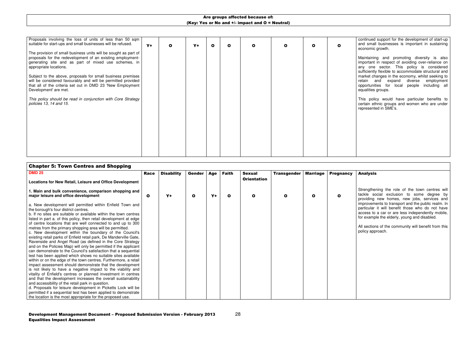28

| Proposals involving the loss of units of less than 50 sqm  <br>suitable for start-ups and small businesses will be refused.                                                                                        | $Y+$ | $\mathbf{o}$ | $Y+$ | $\mathbf o$ | $\mathbf{o}$ | $\Omega$ | O | O | О |  |
|--------------------------------------------------------------------------------------------------------------------------------------------------------------------------------------------------------------------|------|--------------|------|-------------|--------------|----------|---|---|---|--|
| The provision of small business units will be sought as part of<br>proposals for the redevelopment of an existing employment-<br>generating site and as part of mixed use schemes, in<br>appropriate locations.    |      |              |      |             |              |          |   |   |   |  |
| Subject to the above, proposals for small business premises<br>will be considered favourably and will be permitted provided<br>that all of the criteria set out in DMD 23 'New Employment<br>Development' are met. |      |              |      |             |              |          |   |   |   |  |
| This policy should be read in conjunction with Core Strategy<br>policies 13, 14 and 15.                                                                                                                            |      |              |      |             |              |          |   |   |   |  |
|                                                                                                                                                                                                                    |      |              |      |             |              |          |   |   |   |  |
|                                                                                                                                                                                                                    |      |              |      |             |              |          |   |   |   |  |

continued support for the development of start-up and small businesses is important in sustaining economic growth.

Maintaining and promoting diversity is also important in respect of avoiding over-reliance on any one sector. This policy is considered sufficiently flexible to accommodate structural and market changes in the economy, whilst seeking to retain and expand diverse employment opportunities for local people including all equalities groups.

This policy would have particular benefits to certain ethnic groups and women who are under represented in SME's.

Strengthening the role of the town centres will tackle social exclusion to some degree by providing new homes, new jobs, services and improvements to transport and the public realm. In particular it will benefit those who do not have access to a car or are less independently mobile, or example the elderly, young and disabled.

| <b>DMD 25</b>                                                                                                                     | <b>Race</b> | <b>Disability</b> | Gender       | Age  | <b>Faith</b> | <b>Sexual</b>      | <b>Transgender</b> | <b>Marriage</b> | <b>Pregnancy</b> |  |
|-----------------------------------------------------------------------------------------------------------------------------------|-------------|-------------------|--------------|------|--------------|--------------------|--------------------|-----------------|------------------|--|
| Locations for New Retail, Leisure and Office Development                                                                          |             |                   |              |      |              | <b>Orientation</b> |                    |                 |                  |  |
| 1. Main and bulk convenience, comparison shopping and<br>major leisure and office development                                     | O           | $Y +$             | $\mathbf{o}$ | $Y+$ | $\mathbf o$  | O                  | O                  | O               | O                |  |
| a. New development will permitted within Enfield Town and                                                                         |             |                   |              |      |              |                    |                    |                 |                  |  |
| the borough's four district centres.                                                                                              |             |                   |              |      |              |                    |                    |                 |                  |  |
| b. If no sites are suitable or available within the town centres                                                                  |             |                   |              |      |              |                    |                    |                 |                  |  |
| listed in part a. of this policy, then retail development at edge<br>of centre locations that are well connected to and up to 300 |             |                   |              |      |              |                    |                    |                 |                  |  |
| metres from the primary shopping area will be permitted.                                                                          |             |                   |              |      |              |                    |                    |                 |                  |  |
| c. New development within the boundary of the Council's                                                                           |             |                   |              |      |              |                    |                    |                 |                  |  |
| existing retail parks of Enfield retail park, De Manderville Gate,                                                                |             |                   |              |      |              |                    |                    |                 |                  |  |
| Ravenside and Angel Road (as defined in the Core Strategy                                                                         |             |                   |              |      |              |                    |                    |                 |                  |  |
| and on the Policies Map) will only be permitted if the applicant                                                                  |             |                   |              |      |              |                    |                    |                 |                  |  |
| can demonstrate to the Council's satisfaction that a sequential                                                                   |             |                   |              |      |              |                    |                    |                 |                  |  |
| test has been applied which shows no suitable sites available                                                                     |             |                   |              |      |              |                    |                    |                 |                  |  |
| within or on the edge of the town centres. Furthermore, a retail                                                                  |             |                   |              |      |              |                    |                    |                 |                  |  |
| impact assessment should demonstrate that the development                                                                         |             |                   |              |      |              |                    |                    |                 |                  |  |
| is not likely to have a negative impact to the viability and                                                                      |             |                   |              |      |              |                    |                    |                 |                  |  |
| vitality of Enfield's centres or planned investment in centres                                                                    |             |                   |              |      |              |                    |                    |                 |                  |  |
| and that the development increases the overall sustainability<br>and accessibility of the retail park in question.                |             |                   |              |      |              |                    |                    |                 |                  |  |
| d. Proposals for leisure development in Picketts Lock will be                                                                     |             |                   |              |      |              |                    |                    |                 |                  |  |
| permitted if a sequential test has been applied to demonstrate                                                                    |             |                   |              |      |              |                    |                    |                 |                  |  |
| the location is the most appropriate for the proposed use.                                                                        |             |                   |              |      |              |                    |                    |                 |                  |  |

#### Analysis

All sections of the community will benefit from this policy approach.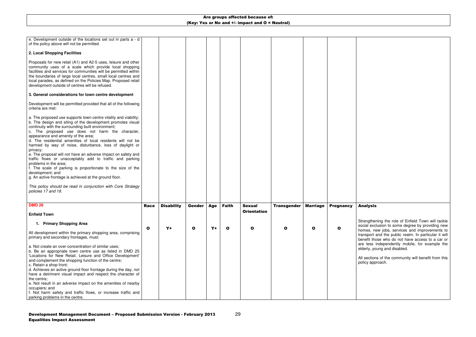Strengthening the role of Enfield Town will tackle social exclusion to some degree by providing new homes, new jobs, services and improvements to transport and the public realm. In particular it will benefit those who do not have access to a car or are less independently mobile, for example the elderly, young and disabled.

| e. Development outside of the locations set out in parts a - d<br>of the policy above will not be permitted.                                                                                                                                                                                                                                                                                                                                                                                                                                                                                                                                                                                                                                                                                                      |              |                   |               |      |              |                    |                    |                 |                  |
|-------------------------------------------------------------------------------------------------------------------------------------------------------------------------------------------------------------------------------------------------------------------------------------------------------------------------------------------------------------------------------------------------------------------------------------------------------------------------------------------------------------------------------------------------------------------------------------------------------------------------------------------------------------------------------------------------------------------------------------------------------------------------------------------------------------------|--------------|-------------------|---------------|------|--------------|--------------------|--------------------|-----------------|------------------|
| 2. Local Shopping Facilities                                                                                                                                                                                                                                                                                                                                                                                                                                                                                                                                                                                                                                                                                                                                                                                      |              |                   |               |      |              |                    |                    |                 |                  |
| Proposals for new retail (A1) and A2-5 uses, leisure and other<br>community uses of a scale which provide local shopping<br>facilities and services for communities will be permitted within<br>the boundaries of large local centres, small local centres and<br>local parades, as defined on the Policies Map. Proposed retail<br>development outside of centres will be refused.                                                                                                                                                                                                                                                                                                                                                                                                                               |              |                   |               |      |              |                    |                    |                 |                  |
| 3. General considerations for town centre development                                                                                                                                                                                                                                                                                                                                                                                                                                                                                                                                                                                                                                                                                                                                                             |              |                   |               |      |              |                    |                    |                 |                  |
| Development will be permitted provided that all of the following<br>criteria are met:                                                                                                                                                                                                                                                                                                                                                                                                                                                                                                                                                                                                                                                                                                                             |              |                   |               |      |              |                    |                    |                 |                  |
| a. The proposed use supports town centre vitality and viability;<br>b. The design and siting of the development promotes visual<br>continuity with the surrounding built environment;<br>c. The proposed use does not harm the character,<br>appearance and amenity of the area;<br>d. The residential amenities of local residents will not be<br>harmed by way of noise, disturbance, loss of daylight or<br>privacy;<br>e. The proposal will not have an adverse impact on safety and<br>traffic flows or unacceptably add to traffic and parking<br>problems in the area;<br>f. The scale of parking is proportionate to the size of the<br>development; and<br>g. An active frontage is achieved at the ground floor.<br>This policy should be read in conjunction with Core Strategy<br>policies 17 and 18. |              |                   |               |      |              |                    |                    |                 |                  |
| <b>DMD 26</b>                                                                                                                                                                                                                                                                                                                                                                                                                                                                                                                                                                                                                                                                                                                                                                                                     | <b>Race</b>  | <b>Disability</b> | <b>Gender</b> | Age  | <b>Faith</b> | <b>Sexual</b>      | <b>Transgender</b> | <b>Marriage</b> | <b>Pregnancy</b> |
| <b>Enfield Town</b>                                                                                                                                                                                                                                                                                                                                                                                                                                                                                                                                                                                                                                                                                                                                                                                               |              |                   |               |      |              | <b>Orientation</b> |                    |                 |                  |
| 1. Primary Shopping Area                                                                                                                                                                                                                                                                                                                                                                                                                                                                                                                                                                                                                                                                                                                                                                                          |              |                   |               |      |              |                    |                    |                 |                  |
| All development within the primary shopping area, comprising<br>primary and secondary frontages, must:                                                                                                                                                                                                                                                                                                                                                                                                                                                                                                                                                                                                                                                                                                            | $\mathbf{o}$ | $Y +$             | $\mathbf{o}$  | $Y+$ | $\mathbf{o}$ | $\mathbf{o}$       | $\mathbf{o}$       | $\mathbf{o}$    | O                |
| a. Not create an over-concentration of similar uses;<br>b. Be an appropriate town centre use as listed in DMD 25<br>'Locations for New Retail, Leisure and Office Development'<br>and complement the shopping function of the centre;<br>c. Retain a shop front;<br>d. Achieves an active ground floor frontage during the day, not<br>have a detriment visual impact and respect the character of<br>the centre;<br>e. Not result in an adverse impact on the amenities of nearby<br>occupiers; and<br>f. Not harm safety and traffic flows, or increase traffic and<br>parking problems in the centre.                                                                                                                                                                                                          |              |                   |               |      |              |                    |                    |                 |                  |

## Analysis

All sections of the community will benefit from this policy approach.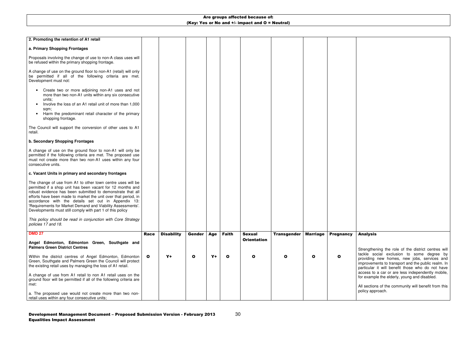30

Strengthening the role of the district centres will tackle social exclusion to some degree by providing new homes, new jobs, services and improvements to transport and the public realm. In particular it will benefit those who do not have access to a car or are less independently mobile, for example the elderly, young and disabled.

| 2. Promoting the retention of A1 retail                                                                                                                                                                                                                                                                                                                                                                                                      |              |                   |              |      |              |                    |                    |                 |                  |
|----------------------------------------------------------------------------------------------------------------------------------------------------------------------------------------------------------------------------------------------------------------------------------------------------------------------------------------------------------------------------------------------------------------------------------------------|--------------|-------------------|--------------|------|--------------|--------------------|--------------------|-----------------|------------------|
| a. Primary Shopping Frontages                                                                                                                                                                                                                                                                                                                                                                                                                |              |                   |              |      |              |                    |                    |                 |                  |
| Proposals involving the change of use to non-A class uses will<br>be refused within the primary shopping frontage.                                                                                                                                                                                                                                                                                                                           |              |                   |              |      |              |                    |                    |                 |                  |
| A change of use on the ground floor to non-A1 (retail) will only<br>be permitted if all of the following criteria are met.<br>Development must not:                                                                                                                                                                                                                                                                                          |              |                   |              |      |              |                    |                    |                 |                  |
| Create two or more adjoining non-A1 uses and not<br>$\bullet$<br>more than two non-A1 units within any six consecutive<br>units;<br>Involve the loss of an A1 retail unit of more than 1,000<br>sqm;<br>Harm the predominant retail character of the primary<br>shopping frontage.                                                                                                                                                           |              |                   |              |      |              |                    |                    |                 |                  |
| The Council will support the conversion of other uses to A1<br>retail.                                                                                                                                                                                                                                                                                                                                                                       |              |                   |              |      |              |                    |                    |                 |                  |
| b. Secondary Shopping Frontages                                                                                                                                                                                                                                                                                                                                                                                                              |              |                   |              |      |              |                    |                    |                 |                  |
| A change of use on the ground floor to non-A1 will only be<br>permitted if the following criteria are met. The proposed use<br>must not create more than two non-A1 uses within any four<br>consecutive units.                                                                                                                                                                                                                               |              |                   |              |      |              |                    |                    |                 |                  |
| c. Vacant Units in primary and secondary frontages                                                                                                                                                                                                                                                                                                                                                                                           |              |                   |              |      |              |                    |                    |                 |                  |
| The change of use from A1 to other town centre uses will be<br>permitted if a shop unit has been vacant for 12 months and<br>robust evidence has been submitted to demonstrate that all<br>efforts have been made to market the unit over that period, in<br>accordance with the details set out in Appendix 13:<br>'Requirements for Market Demand and Viability Assessments'.<br>Developments must still comply with part 1 of this policy |              |                   |              |      |              |                    |                    |                 |                  |
| This policy should be read in conjunction with Core Strategy<br>policies 17 and 18.                                                                                                                                                                                                                                                                                                                                                          |              |                   |              |      |              |                    |                    |                 |                  |
| <b>DMD 27</b>                                                                                                                                                                                                                                                                                                                                                                                                                                | <b>Race</b>  | <b>Disability</b> | Gender       | Age  | <b>Faith</b> | <b>Sexual</b>      | <b>Transgender</b> | <b>Marriage</b> | <b>Pregnancy</b> |
| Angel Edmonton, Edmonton Green, Southgate and<br><b>Palmers Green District Centres</b>                                                                                                                                                                                                                                                                                                                                                       |              |                   |              |      |              | <b>Orientation</b> |                    |                 |                  |
| Within the district centres of Angel Edmonton, Edmonton<br>Green, Southgate and Palmers Green the Council will protect<br>the existing retail uses by managing the loss of A1 retail.                                                                                                                                                                                                                                                        | $\mathbf{o}$ | $Y+$              | $\mathbf{o}$ | $Y+$ | $\mathbf{o}$ | $\bullet$          | $\mathbf{o}$       | $\mathbf{o}$    | O                |
| A change of use from A1 retail to non A1 retail uses on the<br>ground floor will be permitted if all of the following criteria are<br>met:                                                                                                                                                                                                                                                                                                   |              |                   |              |      |              |                    |                    |                 |                  |
| a. The proposed use would not create more than two non-<br>retail uses within any four consecutive units;                                                                                                                                                                                                                                                                                                                                    |              |                   |              |      |              |                    |                    |                 |                  |

# Analysis

All sections of the community will benefit from this policy approach.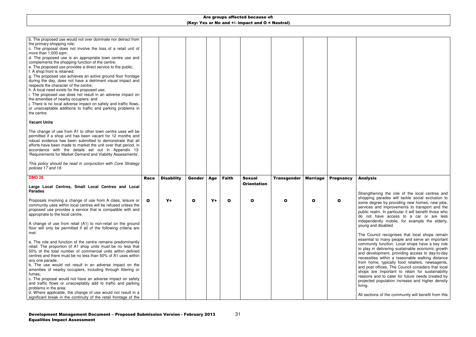| b. The proposed use would not over dominate nor detract from<br>the primary shopping role;<br>c. The proposal does not involve the loss of a retail unit of<br>more than 1,000 sqm;<br>d. The proposed use is an appropriate town centre use and<br>complements the shopping function of the centre;<br>e. The proposed use provides a direct service to the public;<br>f. A shop front is retained;<br>g. The proposed use achieves an active ground floor frontage<br>during the day, does not have a detriment visual impact and<br>respects the character of the centre;<br>h. A local need exists for the proposed use;<br>i. The proposed use does not result in an adverse impact on<br>the amenities of nearby occupiers; and<br>j. There is no local adverse impact on safety and traffic flows,<br>or unacceptable additions to traffic and parking problems in<br>the centre. |              |                   |               |       |              |                    |                    |                 |                  |  |
|------------------------------------------------------------------------------------------------------------------------------------------------------------------------------------------------------------------------------------------------------------------------------------------------------------------------------------------------------------------------------------------------------------------------------------------------------------------------------------------------------------------------------------------------------------------------------------------------------------------------------------------------------------------------------------------------------------------------------------------------------------------------------------------------------------------------------------------------------------------------------------------|--------------|-------------------|---------------|-------|--------------|--------------------|--------------------|-----------------|------------------|--|
| <b>Vacant Units</b>                                                                                                                                                                                                                                                                                                                                                                                                                                                                                                                                                                                                                                                                                                                                                                                                                                                                      |              |                   |               |       |              |                    |                    |                 |                  |  |
| The change of use from A1 to other town centre uses will be<br>permitted if a shop unit has been vacant for 12 months and<br>robust evidence has been submitted to demonstrate that all<br>efforts have been made to market the unit over that period, in<br>accordance with the details set out in Appendix 13:<br>'Requirements for Market Demand and Viability Assessments'.                                                                                                                                                                                                                                                                                                                                                                                                                                                                                                          |              |                   |               |       |              |                    |                    |                 |                  |  |
| This policy should be read in conjunction with Core Strategy<br>policies 17 and 18.                                                                                                                                                                                                                                                                                                                                                                                                                                                                                                                                                                                                                                                                                                                                                                                                      |              |                   |               |       |              |                    |                    |                 |                  |  |
| <b>DMD 28</b>                                                                                                                                                                                                                                                                                                                                                                                                                                                                                                                                                                                                                                                                                                                                                                                                                                                                            | <b>Race</b>  | <b>Disability</b> | <b>Gender</b> | Age   | <b>Faith</b> | <b>Sexual</b>      | <b>Transgender</b> | <b>Marriage</b> | <b>Pregnancy</b> |  |
| Large Local Centres, Small Local Centres and Local<br><b>Parades</b>                                                                                                                                                                                                                                                                                                                                                                                                                                                                                                                                                                                                                                                                                                                                                                                                                     |              |                   |               |       |              | <b>Orientation</b> |                    |                 |                  |  |
| Proposals involving a change of use from A class, leisure or<br>community uses within local centres will be refused unless the<br>proposed use provides a service that is compatible with and<br>appropriate to the local centre.                                                                                                                                                                                                                                                                                                                                                                                                                                                                                                                                                                                                                                                        | $\mathbf{o}$ | $Y+$              | $\mathbf{o}$  | $Y +$ | $\mathbf{o}$ | O                  | $\mathbf{o}$       | $\mathbf{o}$    | $\mathbf{o}$     |  |
| A change of use from retail (A1) to non-retail on the ground<br>floor will only be permitted if all of the following criteria are<br>met:                                                                                                                                                                                                                                                                                                                                                                                                                                                                                                                                                                                                                                                                                                                                                |              |                   |               |       |              |                    |                    |                 |                  |  |
| a. The role and function of the centre remains predominantly<br>retail. The proportion of A1 shop units must be no less that<br>50% of the total number of commercial units within defined<br>centres and there must be no less than 50% of A1 uses within<br>any one parade;<br>b. The use would not result in an adverse impact on the<br>amenities of nearby occupiers, including through littering or<br>fumes;<br>c. The proposal would not have an adverse impact on safety                                                                                                                                                                                                                                                                                                                                                                                                        |              |                   |               |       |              |                    |                    |                 |                  |  |
| and traffic flows or unacceptably add to traffic and parking<br>problems in the area;                                                                                                                                                                                                                                                                                                                                                                                                                                                                                                                                                                                                                                                                                                                                                                                                    |              |                   |               |       |              |                    |                    |                 |                  |  |
| d. Where applicable, the change of use would not result in a                                                                                                                                                                                                                                                                                                                                                                                                                                                                                                                                                                                                                                                                                                                                                                                                                             |              |                   |               |       |              |                    |                    |                 |                  |  |

#### Analysis

Strengthening the role of the local centres and shopping parades will tackle social exclusion to some degree by providing new homes, new jobs, services and improvements to transport and the public realm. In particular it will benefit those who do not have access to a car or are less independently mobile, for example the elderly, young and disabled.

The Council recognises that local shops remain essential to many people and serve an important community function. Local shops have a key role to play in delivering sustainable economic growth and development, providing access to day-to-day necessities within a reasonable walking distance from home, typically food retailers, newsagents, and post offices. The Council considers that local shops are important to retain for sustainability reasons and to cater for future needs created by projected population increase and higher density living.

All sections of the community will benefit from this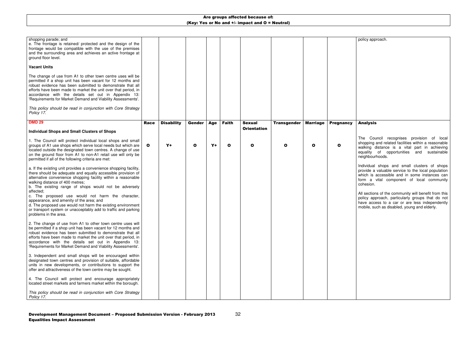policy approach.

| shopping parade; and<br>e. The frontage is retained/ protected and the design of the<br>frontage would be compatible with the use of the premises<br>and the surrounding area and achieves an active frontage at<br>ground floor level.                                                                                                                                                                                                                                                                                                                                |              |                   |             |            |              |                    |                    |                 |                  |  |
|------------------------------------------------------------------------------------------------------------------------------------------------------------------------------------------------------------------------------------------------------------------------------------------------------------------------------------------------------------------------------------------------------------------------------------------------------------------------------------------------------------------------------------------------------------------------|--------------|-------------------|-------------|------------|--------------|--------------------|--------------------|-----------------|------------------|--|
| <b>Vacant Units</b>                                                                                                                                                                                                                                                                                                                                                                                                                                                                                                                                                    |              |                   |             |            |              |                    |                    |                 |                  |  |
| The change of use from A1 to other town centre uses will be<br>permitted if a shop unit has been vacant for 12 months and<br>robust evidence has been submitted to demonstrate that all<br>efforts have been made to market the unit over that period, in<br>accordance with the details set out in Appendix 13:<br>'Requirements for Market Demand and Viability Assessments'.                                                                                                                                                                                        |              |                   |             |            |              |                    |                    |                 |                  |  |
| This policy should be read in conjunction with Core Strategy<br>Policy 17.                                                                                                                                                                                                                                                                                                                                                                                                                                                                                             |              |                   |             |            |              |                    |                    |                 |                  |  |
| <b>DMD 29</b>                                                                                                                                                                                                                                                                                                                                                                                                                                                                                                                                                          | <b>Race</b>  | <b>Disability</b> | Gender      | <b>Age</b> | <b>Faith</b> | <b>Sexual</b>      | <b>Transgender</b> | <b>Marriage</b> | <b>Pregnancy</b> |  |
| <b>Individual Shops and Small Clusters of Shops</b>                                                                                                                                                                                                                                                                                                                                                                                                                                                                                                                    |              |                   |             |            |              | <b>Orientation</b> |                    |                 |                  |  |
| 1. The Council will protect individual local shops and small<br>groups of A1 use shops which serve local needs but which are<br>located outside the designated town centres. A change of use<br>on the ground floor from A1 to non-A1 retail use will only be<br>permitted if all of the following criteria are met:                                                                                                                                                                                                                                                   | $\mathbf{o}$ | $Y+$              | $\mathbf o$ | $Y+$       | $\mathbf{o}$ | $\mathbf{o}$       | O                  | $\mathbf{o}$    | $\mathbf o$      |  |
| a. If the existing unit provides a convenience shopping facility,<br>there should be adequate and equally accessible provision of<br>alternative convenience shopping facility within a reasonable<br>walking distance of 400 metres;<br>b. The existing range of shops would not be adversely<br>affected:<br>c. The proposed use would not harm the character,<br>appearance, and amenity of the area; and<br>d. The proposed use would not harm the existing environment<br>or transport system or unacceptably add to traffic and parking<br>problems in the area. |              |                   |             |            |              |                    |                    |                 |                  |  |
| 2. The change of use from A1 to other town centre uses will<br>be permitted if a shop unit has been vacant for 12 months and<br>robust evidence has been submitted to demonstrate that all<br>efforts have been made to market the unit over that period, in<br>accordance with the details set out in Appendix 13:<br>'Requirements for Market Demand and Viability Assessments'.                                                                                                                                                                                     |              |                   |             |            |              |                    |                    |                 |                  |  |
| 3. Independent and small shops will be encouraged within<br>designated town centres and provision of suitable, affordable<br>units in new developments, or contributions to support the<br>offer and attractiveness of the town centre may be sought.                                                                                                                                                                                                                                                                                                                  |              |                   |             |            |              |                    |                    |                 |                  |  |
| 4. The Council will protect and encourage appropriately<br>located street markets and farmers market within the borough.                                                                                                                                                                                                                                                                                                                                                                                                                                               |              |                   |             |            |              |                    |                    |                 |                  |  |
| This policy should be read in conjunction with Core Strategy<br>Policy 17.                                                                                                                                                                                                                                                                                                                                                                                                                                                                                             |              |                   |             |            |              |                    |                    |                 |                  |  |

#### Analysis

The Council recognises provision of local shopping and related facilities within a reasonable walking distance is a vital part in achieving equality of opportunities and sustainable neighbourhoods.

Individual shops and small clusters of shops provide a valuable service to the local population which is accessible and in some instances can form a vital component of local community cohesion.

All sections of the community will benefit from this policy approach, particularly groups that do not have access to a car or are less independently mobile, such as disabled, young and elderly.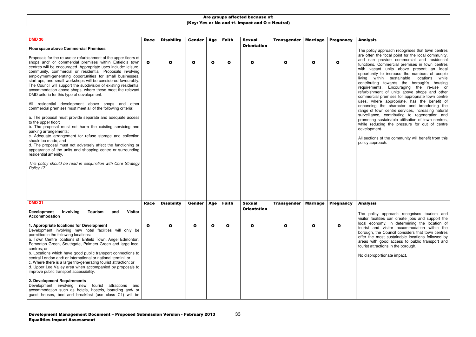33

#### Analysis

| <b>DMD 30</b>                                                                                                                                                                                                                                                                                                                                                                                                                                                                                                                                                                                     | <b>Race</b>  | <b>Disability</b> | Gender       | <b>Age</b> | <b>Faith</b> | <b>Sexual</b>                       | <b>Transgender</b> | <b>Marriage</b> | <b>Pregnancy</b> |  |
|---------------------------------------------------------------------------------------------------------------------------------------------------------------------------------------------------------------------------------------------------------------------------------------------------------------------------------------------------------------------------------------------------------------------------------------------------------------------------------------------------------------------------------------------------------------------------------------------------|--------------|-------------------|--------------|------------|--------------|-------------------------------------|--------------------|-----------------|------------------|--|
| <b>Floorspace above Commercial Premises</b>                                                                                                                                                                                                                                                                                                                                                                                                                                                                                                                                                       |              |                   |              |            |              | <b>Orientation</b>                  |                    |                 |                  |  |
| Proposals for the re-use or refurbishment of the upper floors of<br>shops and/ or commercial premises within Enfield's town<br>centres will be encouraged. Appropriate uses include: leisure,<br>community, commercial or residential. Proposals involving<br>employment-generating opportunities for small businesses,<br>start-ups, and small workshops will be considered favourably.<br>The Council will support the subdivision of existing residential<br>accommodation above shops, where these meet the relevant<br>DMD criteria for this type of development.                            | $\mathbf{o}$ | $\mathbf{o}$      | $\mathbf{o}$ | O          | $\mathbf{o}$ | $\mathbf o$                         | O                  | $\mathbf o$     | O                |  |
| All residential development above shops and other<br>commercial premises must meet all of the following criteria:                                                                                                                                                                                                                                                                                                                                                                                                                                                                                 |              |                   |              |            |              |                                     |                    |                 |                  |  |
| a. The proposal must provide separate and adequate access<br>to the upper floor;<br>b. The proposal must not harm the existing servicing and<br>parking arrangements;<br>c. Adequate arrangement for refuse storage and collection<br>should be made; and<br>d. The proposal must not adversely affect the functioning or<br>appearance of the units and shopping centre or surrounding<br>residential amenity.<br>This policy should be read in conjunction with Core Strategy<br>Policy 17.                                                                                                     |              |                   |              |            |              |                                     |                    |                 |                  |  |
| <b>DMD 31</b><br><b>Tourism</b><br><b>Visitor</b><br><b>Development</b><br>Involving<br>and<br>Accommodation                                                                                                                                                                                                                                                                                                                                                                                                                                                                                      | <b>Race</b>  | <b>Disability</b> | Gender       | Age        | <b>Faith</b> | <b>Sexual</b><br><b>Orientation</b> | <b>Transgender</b> | <b>Marriage</b> | <b>Pregnancy</b> |  |
| 1. Appropriate locations for Development<br>Development involving new hotel facilities will only be<br>permitted in the following locations:<br>a. Town Centre locations of: Enfield Town, Angel Edmonton,<br>Edmonton Green, Southgate, Palmers Green and large local<br>centres; or<br>b. Locations which have good public transport connections to<br>central London and/ or international or national termini; or<br>c. Where there is a large trip-generating tourist attraction; or<br>d. Upper Lee Valley area when accompanied by proposals to<br>improve public transport accessibility. | $\mathbf{o}$ | O                 | $\mathbf{o}$ | O          | O            | O                                   | O                  | O               | O                |  |
| 2. Development Requirements<br>Development involving new<br>tourist<br>attractions<br>and<br>accommodation such as hotels, hostels, boarding and/ or<br>guest houses, bed and breakfast (use class C1) will be                                                                                                                                                                                                                                                                                                                                                                                    |              |                   |              |            |              |                                     |                    |                 |                  |  |

The policy approach recognises that town centres are often the focal point for the local community, and can provide commercial and residential functions. Commercial premises in town centres with vacant units above present an ideal opportunity to increase the numbers of people living within sustainable locations while contributing towards the borough's housing requirements. Encouraging the re-use or refurbishment of units above shops and other commercial premises for appropriate town centre uses, where appropriate, has the benefit of enhancing the character and broadening the range of town centre services, increasing natural surveillance, contributing to regeneration and promoting sustainable utilisation of town centres, while reducing the pressure for out of centre development.

All sections of the community will benefit from this policy approach.

#### Analysis

The policy approach recognises tourism and visitor facilities can create jobs and support the local economy. In determining the location of tourist and visitor accommodation within the borough, the Council considers that town centres offer the most sustainable locations followed by areas with good access to public transport and tourist attractions in the borough.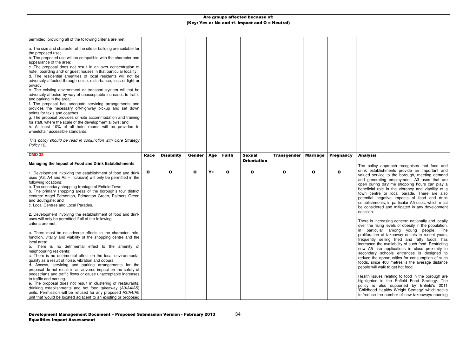| a. The size and character of the site or building are suitable for<br>the proposed use;<br>b. The proposed use will be compatible with the character and<br>appearance of the area;<br>c. The proposal does not result in an over concentration of<br>hotel, boarding and/ or guest houses in that particular locality;<br>d. The residential amenities of local residents will not be<br>adversely affected through noise, disturbance, loss of light or<br>privacy;<br>e. The existing environment or transport system will not be<br>adversely affected by way of unacceptable increases to traffic<br>and parking in the area;<br>f. The proposal has adequate servicing arrangements and<br>provides the necessary off-highway pickup and set down<br>points for taxis and coaches;<br>g. The proposal provides on-site accommodation and training<br>for staff, where the scale of the development allows; and<br>h. At least 10% of all hotel rooms will be provided to<br>wheelchair accessible standards.<br>This policy should be read in conjunction with Core Strategy<br>Policy 12. |              |                   |               |      |              |                    |                    |                 |                  |
|--------------------------------------------------------------------------------------------------------------------------------------------------------------------------------------------------------------------------------------------------------------------------------------------------------------------------------------------------------------------------------------------------------------------------------------------------------------------------------------------------------------------------------------------------------------------------------------------------------------------------------------------------------------------------------------------------------------------------------------------------------------------------------------------------------------------------------------------------------------------------------------------------------------------------------------------------------------------------------------------------------------------------------------------------------------------------------------------------|--------------|-------------------|---------------|------|--------------|--------------------|--------------------|-----------------|------------------|
| <b>DMD 32</b>                                                                                                                                                                                                                                                                                                                                                                                                                                                                                                                                                                                                                                                                                                                                                                                                                                                                                                                                                                                                                                                                                    | <b>Race</b>  | <b>Disability</b> | <b>Gender</b> | Age  | <b>Faith</b> | <b>Sexual</b>      | <b>Transgender</b> | <b>Marriage</b> | <b>Pregnancy</b> |
| Managing the Impact of Food and Drink Establishments                                                                                                                                                                                                                                                                                                                                                                                                                                                                                                                                                                                                                                                                                                                                                                                                                                                                                                                                                                                                                                             |              |                   |               |      |              | <b>Orientation</b> |                    |                 |                  |
| 1. Development involving the establishment of food and drink                                                                                                                                                                                                                                                                                                                                                                                                                                                                                                                                                                                                                                                                                                                                                                                                                                                                                                                                                                                                                                     | $\mathbf{o}$ | $\mathbf{o}$      |               |      |              |                    |                    |                 |                  |
| uses (A3, A4 and A5 $-$ inclusive) will only be permitted in the<br>following locations:<br>a. The secondary shopping frontage of Enfield Town;<br>b. The primary shopping areas of the borough's four district<br>centres: Angel Edmonton, Edmonton Green, Palmers Green<br>and Southgate; and<br>c. Local Centres and Local Parades.                                                                                                                                                                                                                                                                                                                                                                                                                                                                                                                                                                                                                                                                                                                                                           |              |                   | $\mathbf{o}$  | $Y+$ | $\mathbf o$  | O                  | O                  | $\mathbf{o}$    | $\mathbf o$      |
| 2. Development involving the establishment of food and drink<br>uses will only be permitted if all of the following<br>criteria are met:                                                                                                                                                                                                                                                                                                                                                                                                                                                                                                                                                                                                                                                                                                                                                                                                                                                                                                                                                         |              |                   |               |      |              |                    |                    |                 |                  |

#### Analysis

The policy approach recognises that food and drink establishments provide an important and valued service to the borough, meeting demand and generating employment. A3 uses that are open during daytime shopping hours can play a beneficial role in the vibrancy and viability of a town centre or local parade. There are also potential negative impacts of food and drink establishments, in particular A5 uses, which must be considered and mitigated in any development decision.

There is increasing concern nationally and locally over the rising levels of obesity in the population, in particular among young people. The proliferation of takeaway outlets in recent years, frequently selling fried and fatty foods, has increased the availability of such food. Restricting new A5 use applications in close proximity to secondary schools entrances is designed to reduce the opportunities for consumption of such foods, since 400 metres is the average distance people will walk to get hot food.

Health issues relating to food in the borough are highlighted in the Enfield Food Strategy. The policy is also supported by Enfield's 2011 'Childhood Healthy Weight Strategy' which seeks to 'reduce the number of new takeaways opening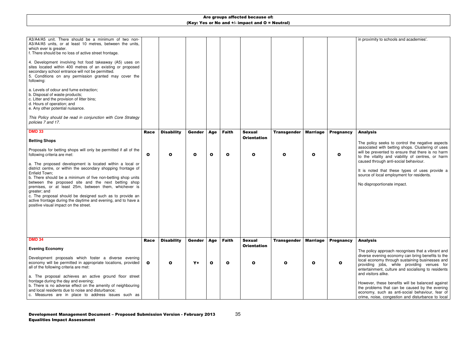in proximity to schools and academies'.

is noted that these types of uses provide a source of local employment for residents.

| A3/A4/A5 unit. There should be a minimum of two non-<br>A3/A4/A5 units, or at least 10 metres, between the units,<br>which ever is greater.<br>f. There should be no loss of active street frontage.<br>4. Development involving hot food takeaway (A5) uses on<br>sites located within 400 metres of an existing or proposed<br>secondary school entrance will not be permitted.<br>5. Conditions on any permission granted may cover the<br>following:<br>a. Levels of odour and fume extraction;<br>b. Disposal of waste products;<br>c. Litter and the provision of litter bins;<br>d. Hours of operation; and<br>e. Any other potential nuisance.<br>This Policy should be read in conjunction with Core Strategy<br>policies 7 and 17. |              |                   |               |              |              |                                     |                    |                 |                  |   |
|----------------------------------------------------------------------------------------------------------------------------------------------------------------------------------------------------------------------------------------------------------------------------------------------------------------------------------------------------------------------------------------------------------------------------------------------------------------------------------------------------------------------------------------------------------------------------------------------------------------------------------------------------------------------------------------------------------------------------------------------|--------------|-------------------|---------------|--------------|--------------|-------------------------------------|--------------------|-----------------|------------------|---|
| <b>DMD 33</b>                                                                                                                                                                                                                                                                                                                                                                                                                                                                                                                                                                                                                                                                                                                                | <b>Race</b>  | <b>Disability</b> | Gender        | Age          | <b>Faith</b> | <b>Sexual</b>                       | <b>Transgender</b> | <b>Marriage</b> | <b>Pregnancy</b> |   |
| <b>Betting Shops</b>                                                                                                                                                                                                                                                                                                                                                                                                                                                                                                                                                                                                                                                                                                                         |              |                   |               |              |              | <b>Orientation</b>                  |                    |                 |                  |   |
| Proposals for betting shops will only be permitted if all of the<br>following criteria are met:                                                                                                                                                                                                                                                                                                                                                                                                                                                                                                                                                                                                                                              | $\mathbf{o}$ | $\mathbf{o}$      | $\mathbf{o}$  | $\mathbf{o}$ | O            | $\mathbf{o}$                        | O                  | $\mathbf{o}$    | О                |   |
| a. The proposed development is located within a local or<br>district centre, or within the secondary shopping frontage of<br>Enfield Town;<br>b. There should be a minimum of five non-betting shop units                                                                                                                                                                                                                                                                                                                                                                                                                                                                                                                                    |              |                   |               |              |              |                                     |                    |                 |                  | S |
| between the proposed site and the next betting shop<br>premises, or at least 25m, between them, whichever is<br>greater; and<br>c. The proposal should be designed such as to provide an<br>active frontage during the daytime and evening, and to have a<br>positive visual impact on the street.                                                                                                                                                                                                                                                                                                                                                                                                                                           |              |                   |               |              |              |                                     |                    |                 |                  |   |
|                                                                                                                                                                                                                                                                                                                                                                                                                                                                                                                                                                                                                                                                                                                                              |              |                   |               |              |              |                                     |                    |                 |                  |   |
| <b>DMD 34</b>                                                                                                                                                                                                                                                                                                                                                                                                                                                                                                                                                                                                                                                                                                                                | <b>Race</b>  | <b>Disability</b> | <b>Gender</b> | Age          | <b>Faith</b> | <b>Sexual</b><br><b>Orientation</b> | <b>Transgender</b> | <b>Marriage</b> | <b>Pregnancy</b> |   |
| <b>Evening Economy</b>                                                                                                                                                                                                                                                                                                                                                                                                                                                                                                                                                                                                                                                                                                                       |              |                   |               |              |              |                                     |                    |                 |                  |   |
| Development proposals which foster a diverse evening<br>economy will be permitted in appropriate locations, provided<br>all of the following criteria are met:                                                                                                                                                                                                                                                                                                                                                                                                                                                                                                                                                                               | $\mathbf{o}$ | $\mathbf{o}$      | $Y+$          | $\mathbf{o}$ | $\mathbf{o}$ | O                                   | О                  | O               | O                | e |
| a. The proposal achieves an active ground floor street<br>frontage during the day and evening;<br>b. There is no adverse effect on the amenity of neighbouring                                                                                                                                                                                                                                                                                                                                                                                                                                                                                                                                                                               |              |                   |               |              |              |                                     |                    |                 |                  | г |
| and local residents due to noise and disturbance;<br>c. Measures are in place to address issues such as                                                                                                                                                                                                                                                                                                                                                                                                                                                                                                                                                                                                                                      |              |                   |               |              |              |                                     |                    |                 |                  |   |

#### Analysis

The policy seeks to control the negative aspects associated with betting shops. Clustering of uses will be prevented to ensure that there is no harm to the vitality and viability of centres, or harm caused through anti-social behaviour.

No disproportionate impact.

#### Analysis

The policy approach recognises that a vibrant and diverse evening economy can bring benefits to the local economy through sustaining businesses and providing jobs, while providing venues for entertainment, culture and socialising to residentsand visitors alike.

However, these benefits will be balanced against the problems that can be caused by the evening economy, such as anti-social behaviour, fear of crime, noise, congestion and disturbance to local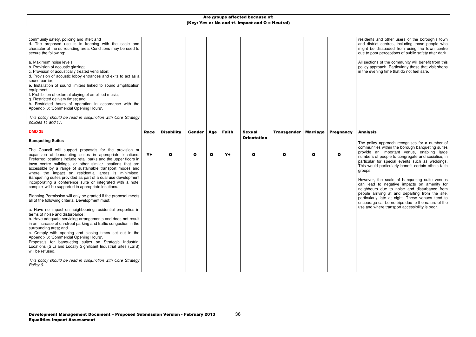residents and other users of the borough's town and district centres, including those people who might be dissuaded from using the town centre due to poor perceptions of public safety after dark.

All sections of the community will benefit from this policy approach. Particularly those that visit shops in the evening time that do not feel safe.

| community safety, policing and litter; and<br>d. The proposed use is in keeping with the scale and<br>character of the surrounding area. Conditions may be used to<br>secure the following:                                                                                                                                                                                                                                                                                                                                                                    |             |                   |               |             |              |                                     |                    |                 |                  |  |
|----------------------------------------------------------------------------------------------------------------------------------------------------------------------------------------------------------------------------------------------------------------------------------------------------------------------------------------------------------------------------------------------------------------------------------------------------------------------------------------------------------------------------------------------------------------|-------------|-------------------|---------------|-------------|--------------|-------------------------------------|--------------------|-----------------|------------------|--|
| a. Maximum noise levels;<br>b. Provision of acoustic glazing;<br>c. Provision of acoustically treated ventilation;<br>d. Provision of acoustic lobby entrances and exits to act as a<br>sound barrier;<br>e. Installation of sound limiters linked to sound amplification<br>equipment;<br>f. Prohibition of external playing of amplified music;<br>g. Restricted delivery times; and<br>h. Restricted hours of operation in accordance with the<br>Appendix 6: 'Commercial Opening Hours'.                                                                   |             |                   |               |             |              |                                     |                    |                 |                  |  |
| This policy should be read in conjunction with Core Strategy<br>policies 11 and 17.                                                                                                                                                                                                                                                                                                                                                                                                                                                                            |             |                   |               |             |              |                                     |                    |                 |                  |  |
| <b>DMD 35</b><br><b>Banqueting Suites</b>                                                                                                                                                                                                                                                                                                                                                                                                                                                                                                                      | <b>Race</b> | <b>Disability</b> | <b>Gender</b> | <b>Age</b>  | <b>Faith</b> | <b>Sexual</b><br><b>Orientation</b> | <b>Transgender</b> | <b>Marriage</b> | <b>Pregnancy</b> |  |
| The Council will support proposals for the provision or<br>expansion of banqueting suites in appropriate locations.<br>Preferred locations include retail parks and the upper floors in<br>town centre buildings, or other similar locations that are<br>accessible by a range of sustainable transport modes and<br>where the impact on residential areas is minimised.<br>Banqueting suites provided as part of a dual use development<br>incorporating a conference suite or integrated with a hotel<br>complex will be supported in appropriate locations. | $Y+$        | $\mathbf{o}$      | $\mathbf{o}$  | $\mathbf o$ | $Y+$         | $\mathbf{o}$                        | O                  | $\mathbf o$     | O                |  |
| Planning Permission will only be granted if the proposal meets<br>all of the following criteria. Development must:                                                                                                                                                                                                                                                                                                                                                                                                                                             |             |                   |               |             |              |                                     |                    |                 |                  |  |
| a. Have no impact on neighbouring residential properties in<br>terms of noise and disturbance:<br>b. Have adequate servicing arrangements and does not result<br>in an increase of on-street parking and traffic congestion in the<br>surrounding area; and<br>c. Comply with opening and closing times set out in the<br>Appendix 6: 'Commercial Opening Hours'.<br>Proposals for banqueting suites on Strategic Industrial<br>Locations (SIL) and Locally Significant Industrial Sites (LSIS)<br>will be refused.                                            |             |                   |               |             |              |                                     |                    |                 |                  |  |
| This policy should be read in conjunction with Core Strategy<br>Policy 6.                                                                                                                                                                                                                                                                                                                                                                                                                                                                                      |             |                   |               |             |              |                                     |                    |                 |                  |  |
|                                                                                                                                                                                                                                                                                                                                                                                                                                                                                                                                                                |             |                   |               |             |              |                                     |                    |                 |                  |  |

#### Analysis

The policy approach recognises for a number of communities within the borough banqueting suites provide an important venue, enabling large numbers of people to congregate and socialise, in particular for special events such as weddings. This would particularly benefit certain ethnic faith groups.

However, the scale of banqueting suite venues can lead to negative impacts on amenity for neighbours due to noise and disturbance from people arriving at and departing from the site, particularly late at night. These venues tend to encourage car borne trips due to the nature of the use and where transport accessibility is poor.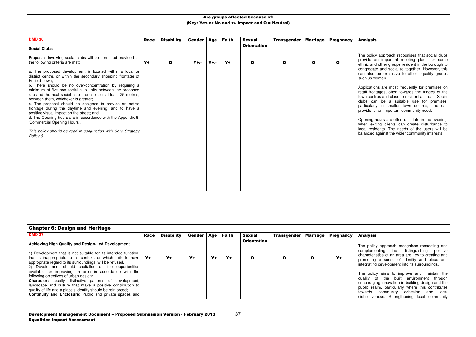| <b>DMD 36</b>                                                                                                                              | <b>Race</b> | <b>Disability</b> | Gender | Age    | <b>Faith</b> | <b>Sexual</b>      | <b>Transgender</b> | <b>Marriage</b> | <b>Pregnancy</b> |  |
|--------------------------------------------------------------------------------------------------------------------------------------------|-------------|-------------------|--------|--------|--------------|--------------------|--------------------|-----------------|------------------|--|
| <b>Social Clubs</b>                                                                                                                        |             |                   |        |        |              | <b>Orientation</b> |                    |                 |                  |  |
| Proposals involving social clubs will be permitted provided all<br>the following criteria are met:                                         | $Y +$       | $\mathbf{o}$      | $Y+/-$ | $Y+/-$ | $Y+$         | $\mathbf{o}$       | O                  | $\mathbf{o}$    | $\mathbf o$      |  |
| a. The proposed development is located within a local or<br>district centre, or within the secondary shopping frontage of<br>Enfield Town; |             |                   |        |        |              |                    |                    |                 |                  |  |
| b. There should be no over-concentration by requiring a<br>minimum of five non-social club units between the proposed                      |             |                   |        |        |              |                    |                    |                 |                  |  |
| site and the next social club premises, or at least 25 metres,<br>between them, whichever is greater;                                      |             |                   |        |        |              |                    |                    |                 |                  |  |
| c. The proposal should be designed to provide an active<br>frontage during the daytime and evening, and to have a                          |             |                   |        |        |              |                    |                    |                 |                  |  |
| positive visual impact on the street; and<br>d. The Opening hours are in accordance with the Appendix 6:                                   |             |                   |        |        |              |                    |                    |                 |                  |  |
| 'Commercial Opening Hours'.                                                                                                                |             |                   |        |        |              |                    |                    |                 |                  |  |
| This policy should be read in conjunction with Core Strategy<br>Policy 6.                                                                  |             |                   |        |        |              |                    |                    |                 |                  |  |
|                                                                                                                                            |             |                   |        |        |              |                    |                    |                 |                  |  |
|                                                                                                                                            |             |                   |        |        |              |                    |                    |                 |                  |  |
|                                                                                                                                            |             |                   |        |        |              |                    |                    |                 |                  |  |
|                                                                                                                                            |             |                   |        |        |              |                    |                    |                 |                  |  |
|                                                                                                                                            |             |                   |        |        |              |                    |                    |                 |                  |  |
|                                                                                                                                            |             |                   |        |        |              |                    |                    |                 |                  |  |

### Analysis

The policy approach recognises that social clubs provide an important meeting place for some ethnic and other groups resident in the borough to congregate and socialise together. However, this can also be exclusive to other equality groups such us women.

Applications are most frequently for premises on retail frontages, often towards the fringes of the town centres and close to residential areas. Social clubs can be a suitable use for premises, particularly in smaller town centres, and can provide for an important community need.

The policy aims to improve and maintain the quality of the built environment through encouraging innovation in building design and the public realm, particularly where this contributes towards community cohesion and local distinctiveness. Strengthening local community

Opening hours are often until late in the evening, when exiting clients can create disturbance to local residents. The needs of the users will be balanced against the wider community interests.

| <b>Chapter 6: Design and Heritage</b>                                                                                                                                                                                                               |      |                   |        |     |              |                    |                    |                 |                  |                        |
|-----------------------------------------------------------------------------------------------------------------------------------------------------------------------------------------------------------------------------------------------------|------|-------------------|--------|-----|--------------|--------------------|--------------------|-----------------|------------------|------------------------|
| <b>DMD 37</b>                                                                                                                                                                                                                                       | Race | <b>Disability</b> | Gender | Age | <b>Faith</b> | <b>Sexual</b>      | <b>Transgender</b> | <b>Marriage</b> | <b>Pregnancy</b> |                        |
| <b>Achieving High Quality and Design-Led Development</b>                                                                                                                                                                                            |      |                   |        |     |              | <b>Orientation</b> |                    |                 |                  |                        |
| 1) Development that is not suitable for its intended function,<br>that is inappropriate to its context, or which fails to have<br>appropriate regard to its surroundings, will be refused.<br>2) Development should capitalise on the opportunities | Y+   | Y+                | Y+     | Y+  | Y+           | O                  |                    |                 | Y+               | C<br><sub>C</sub><br>p |
| available for improving an area in accordance with the<br>following objectives of urban design:                                                                                                                                                     |      |                   |        |     |              |                    |                    |                 |                  |                        |
| <b>Character:</b> Locally distinctive patterns of development,                                                                                                                                                                                      |      |                   |        |     |              |                    |                    |                 |                  |                        |
| landscape and culture that make a positive contribution to<br>quality of life and a place's identity should be reinforced;<br><b>Continuity and Enclosure:</b> Public and private spaces and                                                        |      |                   |        |     |              |                    |                    |                 |                  |                        |
|                                                                                                                                                                                                                                                     |      |                   |        |     |              |                    |                    |                 |                  |                        |

#### Analysis

The policy approach recognises respecting and complementing the distinguishing positive characteristics of an area are key to creating and promoting a sense of identity and place and ntegrating development into its surroundings.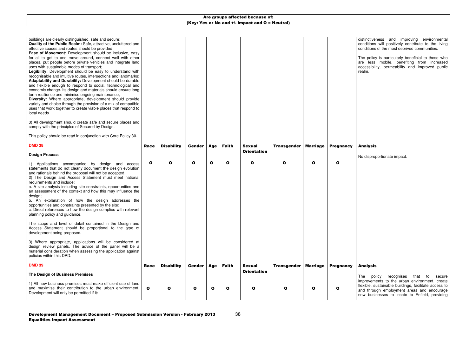distinctiveness and improving environmental conditions will positively contribute to the livingconditions of the most deprived communities.

The policy is particularly beneficial to those who are less mobile, benefiting from increased accessibility, permeability and improved public realm.

| buildings are clearly distinguished, safe and secure;<br>Quality of the Public Realm: Safe, attractive, uncluttered and<br>effective spaces and routes should be provided;<br>Ease of Movement: Development should be inclusive, easy<br>for all to get to and move around, connect well with other<br>places, put people before private vehicles and integrate land<br>uses with sustainable modes of transport;<br>Legibility: Development should be easy to understand with<br>recognisable and intuitive routes, intersections and landmarks;<br>Adaptability and Durability: Development should be durable<br>and flexible enough to respond to social, technological and<br>economic change. Its design and materials should ensure long<br>term resilience and minimise ongoing maintenance;<br>Diversity: Where appropriate, development should provide<br>variety and choice through the provision of a mix of compatible<br>uses that work together to create viable places that respond to<br>local needs. |              |                   |               |              |              |                                     |                    |                 |                  | d<br>C<br>C   |
|-----------------------------------------------------------------------------------------------------------------------------------------------------------------------------------------------------------------------------------------------------------------------------------------------------------------------------------------------------------------------------------------------------------------------------------------------------------------------------------------------------------------------------------------------------------------------------------------------------------------------------------------------------------------------------------------------------------------------------------------------------------------------------------------------------------------------------------------------------------------------------------------------------------------------------------------------------------------------------------------------------------------------|--------------|-------------------|---------------|--------------|--------------|-------------------------------------|--------------------|-----------------|------------------|---------------|
| 3) All development should create safe and secure places and<br>comply with the principles of Secured by Design.                                                                                                                                                                                                                                                                                                                                                                                                                                                                                                                                                                                                                                                                                                                                                                                                                                                                                                       |              |                   |               |              |              |                                     |                    |                 |                  |               |
| This policy should be read in conjunction with Core Policy 30.                                                                                                                                                                                                                                                                                                                                                                                                                                                                                                                                                                                                                                                                                                                                                                                                                                                                                                                                                        |              |                   |               |              |              |                                     |                    |                 |                  |               |
| <b>DMD 38</b>                                                                                                                                                                                                                                                                                                                                                                                                                                                                                                                                                                                                                                                                                                                                                                                                                                                                                                                                                                                                         | Race         | <b>Disability</b> | Gender        | <b>Age</b>   | <b>Faith</b> | <b>Sexual</b><br><b>Orientation</b> | <b>Transgender</b> | <b>Marriage</b> | <b>Pregnancy</b> |               |
| <b>Design Process</b>                                                                                                                                                                                                                                                                                                                                                                                                                                                                                                                                                                                                                                                                                                                                                                                                                                                                                                                                                                                                 |              |                   |               |              |              |                                     |                    |                 |                  |               |
| 1) Applications accompanied by design and access<br>statements that do not clearly document the design evolution<br>and rationale behind the proposal will not be accepted.<br>2) The Design and Access Statement must meet national<br>requirements and include:<br>a. A site analysis including site constraints, opportunities and<br>an assessment of the context and how this may influence the<br>design;<br>b. An explanation of how the design addresses the<br>opportunities and constraints presented by the site;<br>c. Direct references to how the design complies with relevant<br>planning policy and guidance.                                                                                                                                                                                                                                                                                                                                                                                        | $\mathbf{o}$ | O                 | $\mathbf o$   | $\mathbf{o}$ | $\mathbf{o}$ | $\mathbf{o}$                        | O                  | $\mathbf{o}$    | O                |               |
| The scope and level of detail contained in the Design and<br>Access Statement should be proportional to the type of<br>development being proposed.                                                                                                                                                                                                                                                                                                                                                                                                                                                                                                                                                                                                                                                                                                                                                                                                                                                                    |              |                   |               |              |              |                                     |                    |                 |                  |               |
| 3) Where appropriate, applications will be considered at<br>design review panels. The advice of the panel will be a<br>material consideration when assessing the application against<br>policies within this DPD.                                                                                                                                                                                                                                                                                                                                                                                                                                                                                                                                                                                                                                                                                                                                                                                                     |              |                   |               |              |              |                                     |                    |                 |                  |               |
| <b>DMD 39</b>                                                                                                                                                                                                                                                                                                                                                                                                                                                                                                                                                                                                                                                                                                                                                                                                                                                                                                                                                                                                         | Race         | <b>Disability</b> | <b>Gender</b> | Age          | <b>Faith</b> | <b>Sexual</b>                       | <b>Transgender</b> | <b>Marriage</b> | <b>Pregnancy</b> |               |
| The Design of Business Premises                                                                                                                                                                                                                                                                                                                                                                                                                                                                                                                                                                                                                                                                                                                                                                                                                                                                                                                                                                                       |              |                   |               |              |              | <b>Orientation</b>                  |                    |                 |                  |               |
| 1) All new business premises must make efficient use of land<br>and maximise their contribution to the urban environment.                                                                                                                                                                                                                                                                                                                                                                                                                                                                                                                                                                                                                                                                                                                                                                                                                                                                                             |              |                   |               |              |              |                                     |                    |                 |                  | <sub>ir</sub> |

The policy recognises that to secure improvements to the urban environment, create flexible, sustainable buildings, facilitate access to and through employment areas and encourage new businesses to locate to Enfield, providing

### Analysis

No disproportionate impact.

### Analysis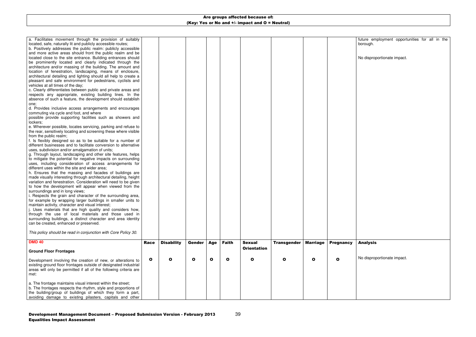39

| a. Facilitates movement through the provision of suitably         |              |                   |              |              |              |                    |                    |                 |                  |  |
|-------------------------------------------------------------------|--------------|-------------------|--------------|--------------|--------------|--------------------|--------------------|-----------------|------------------|--|
| located, safe, naturally lit and publicly accessible routes;      |              |                   |              |              |              |                    |                    |                 |                  |  |
| b. Positively addresses the public realm: publicly accessible     |              |                   |              |              |              |                    |                    |                 |                  |  |
| and more active areas should front the public realm and be        |              |                   |              |              |              |                    |                    |                 |                  |  |
| located close to the site entrance. Building entrances should     |              |                   |              |              |              |                    |                    |                 |                  |  |
| be prominently located and clearly indicated through the          |              |                   |              |              |              |                    |                    |                 |                  |  |
| architecture and/or massing of the building. The amount and       |              |                   |              |              |              |                    |                    |                 |                  |  |
| location of fenestration, landscaping, means of enclosure,        |              |                   |              |              |              |                    |                    |                 |                  |  |
| architectural detailing and lighting should all help to create a  |              |                   |              |              |              |                    |                    |                 |                  |  |
| pleasant and safe environment for pedestrians, cyclists and       |              |                   |              |              |              |                    |                    |                 |                  |  |
| vehicles at all times of the day;                                 |              |                   |              |              |              |                    |                    |                 |                  |  |
| c. Clearly differentiates between public and private areas and    |              |                   |              |              |              |                    |                    |                 |                  |  |
| respects any appropriate, existing building lines. In the         |              |                   |              |              |              |                    |                    |                 |                  |  |
| absence of such a feature, the development should establish       |              |                   |              |              |              |                    |                    |                 |                  |  |
| one;                                                              |              |                   |              |              |              |                    |                    |                 |                  |  |
| d. Provides inclusive access arrangements and encourages          |              |                   |              |              |              |                    |                    |                 |                  |  |
| commuting via cycle and foot, and where                           |              |                   |              |              |              |                    |                    |                 |                  |  |
| possible provide supporting facilities such as showers and        |              |                   |              |              |              |                    |                    |                 |                  |  |
| lockers;                                                          |              |                   |              |              |              |                    |                    |                 |                  |  |
| e. Wherever possible, locates servicing, parking and refuse to    |              |                   |              |              |              |                    |                    |                 |                  |  |
| the rear, sensitively locating and screening these where visible  |              |                   |              |              |              |                    |                    |                 |                  |  |
| from the public realm;                                            |              |                   |              |              |              |                    |                    |                 |                  |  |
| f. Is flexibly designed so as to be suitable for a number of      |              |                   |              |              |              |                    |                    |                 |                  |  |
| different businesses and to facilitate conversion to alternative  |              |                   |              |              |              |                    |                    |                 |                  |  |
| uses, subdivision and/or amalgamation of units;                   |              |                   |              |              |              |                    |                    |                 |                  |  |
| g. Through layout, landscaping and other site features, helps     |              |                   |              |              |              |                    |                    |                 |                  |  |
| to mitigate the potential for negative impacts on surrounding     |              |                   |              |              |              |                    |                    |                 |                  |  |
| uses, including consideration of access arrangements for          |              |                   |              |              |              |                    |                    |                 |                  |  |
| different uses within the site and wider area;                    |              |                   |              |              |              |                    |                    |                 |                  |  |
| h. Ensures that the massing and facades of buildings are          |              |                   |              |              |              |                    |                    |                 |                  |  |
| made visually interesting through architectural detailing, height |              |                   |              |              |              |                    |                    |                 |                  |  |
| variation and fenestration. Consideration will need to be given   |              |                   |              |              |              |                    |                    |                 |                  |  |
| to how the development will appear when viewed from the           |              |                   |              |              |              |                    |                    |                 |                  |  |
| surroundings and in long views;                                   |              |                   |              |              |              |                    |                    |                 |                  |  |
| i. Respects the grain and character of the surrounding area,      |              |                   |              |              |              |                    |                    |                 |                  |  |
|                                                                   |              |                   |              |              |              |                    |                    |                 |                  |  |
| for example by wrapping larger buildings in smaller units to      |              |                   |              |              |              |                    |                    |                 |                  |  |
| maintain activity, character and visual interest;                 |              |                   |              |              |              |                    |                    |                 |                  |  |
| j. Uses materials that are high quality and considers how,        |              |                   |              |              |              |                    |                    |                 |                  |  |
| through the use of local materials and those used in              |              |                   |              |              |              |                    |                    |                 |                  |  |
| surrounding buildings, a distinct character and area identity     |              |                   |              |              |              |                    |                    |                 |                  |  |
| can be created, enhanced or preserved.                            |              |                   |              |              |              |                    |                    |                 |                  |  |
|                                                                   |              |                   |              |              |              |                    |                    |                 |                  |  |
| This policy should be read in conjunction with Core Policy 30.    |              |                   |              |              |              |                    |                    |                 |                  |  |
| <b>DMD 40</b>                                                     |              |                   | Gender       |              | <b>Faith</b> | <b>Sexual</b>      |                    | <b>Marriage</b> |                  |  |
|                                                                   | <b>Race</b>  | <b>Disability</b> |              | <b>Age</b>   |              |                    | <b>Transgender</b> |                 | <b>Pregnancy</b> |  |
| <b>Ground Floor Frontages</b>                                     |              |                   |              |              |              | <b>Orientation</b> |                    |                 |                  |  |
|                                                                   |              |                   |              |              |              |                    |                    |                 |                  |  |
| Development involving the creation of new, or alterations to      | $\mathbf{o}$ | O                 | $\mathbf{o}$ | $\mathbf{o}$ | $\mathbf{o}$ | O                  | O                  | O               | O                |  |
| existing ground floor frontages outside of designated industrial  |              |                   |              |              |              |                    |                    |                 |                  |  |
| areas will only be permitted if all of the following criteria are |              |                   |              |              |              |                    |                    |                 |                  |  |
| met:                                                              |              |                   |              |              |              |                    |                    |                 |                  |  |
|                                                                   |              |                   |              |              |              |                    |                    |                 |                  |  |
| a. The frontage maintains visual interest within the street;      |              |                   |              |              |              |                    |                    |                 |                  |  |
| b. The frontages respects the rhythm, style and proportions of    |              |                   |              |              |              |                    |                    |                 |                  |  |
| the building/group of buildings of which they form a part,        |              |                   |              |              |              |                    |                    |                 |                  |  |
| avoiding damage to existing pilasters, capitals and other         |              |                   |              |              |              |                    |                    |                 |                  |  |
|                                                                   |              |                   |              |              |              |                    |                    |                 |                  |  |

future employment opportunities for all in the borough.

No disproportionate impact.

## Analysis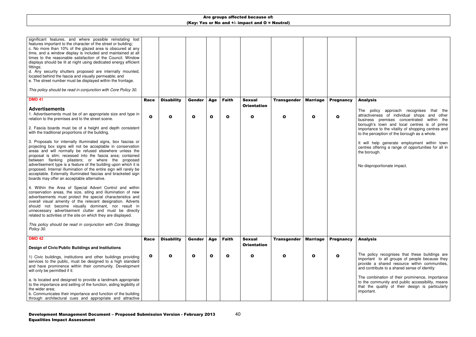| significant features, and where possible reinstating lost<br>features important to the character of the street or building;<br>c. No more than 10% of the glazed area is obscured at any<br>time, and a window display is included and maintained at all<br>times to the reasonable satisfaction of the Council. Window<br>displays should be lit at night using dedicated energy efficient<br>fittings;<br>d. Any security shutters proposed are internally mounted,<br>located behind the fascia and visually permeable; and<br>e. The street number must be displayed within the frontage.<br>This policy should be read in conjunction with Core Policy 30. |              |                   |               |             |              |                                    |                    |                 |                  |  |
|-----------------------------------------------------------------------------------------------------------------------------------------------------------------------------------------------------------------------------------------------------------------------------------------------------------------------------------------------------------------------------------------------------------------------------------------------------------------------------------------------------------------------------------------------------------------------------------------------------------------------------------------------------------------|--------------|-------------------|---------------|-------------|--------------|------------------------------------|--------------------|-----------------|------------------|--|
| <b>DMD 41</b>                                                                                                                                                                                                                                                                                                                                                                                                                                                                                                                                                                                                                                                   | <b>Race</b>  | <b>Disability</b> | Gender        | Age         | <b>Faith</b> | <b>Sexual</b>                      | <b>Transgender</b> | <b>Marriage</b> | <b>Pregnancy</b> |  |
| <b>Advertisements</b><br>1. Advertisements must be of an appropriate size and type in<br>relation to the premises and to the street scene.                                                                                                                                                                                                                                                                                                                                                                                                                                                                                                                      | $\mathbf{o}$ | O                 | $\mathbf{o}$  | $\mathbf o$ | $\mathbf o$  | <b>Orientation</b><br>$\mathbf{o}$ | Ω                  | $\mathbf o$     | O                |  |
| 2. Fascia boards must be of a height and depth consistent<br>with the traditional proportions of the building.                                                                                                                                                                                                                                                                                                                                                                                                                                                                                                                                                  |              |                   |               |             |              |                                    |                    |                 |                  |  |
| 3. Proposals for internally illuminated signs, box fascias or<br>projecting box signs will not be acceptable in conservation<br>areas and will normally be refused elsewhere unless the<br>proposal is slim; recessed into the fascia area; contained<br>between flanking pilasters; or where the proposed                                                                                                                                                                                                                                                                                                                                                      |              |                   |               |             |              |                                    |                    |                 |                  |  |
| advertisement type is a feature of the building upon which it is<br>proposed. Internal illumination of the entire sign will rarely be<br>acceptable. Externally illuminated fascias and bracketed sign<br>boards may offer an acceptable alternative.                                                                                                                                                                                                                                                                                                                                                                                                           |              |                   |               |             |              |                                    |                    |                 |                  |  |
| 4. Within the Area of Special Advert Control and within<br>conservation areas, the size, siting and illumination of new<br>advertisements must protect the special characteristics and<br>overall visual amenity of the relevant designation. Adverts<br>should not become visually dominant, nor result in<br>unnecessary advertisement clutter and must be directly<br>related to activities of the site on which they are displayed.                                                                                                                                                                                                                         |              |                   |               |             |              |                                    |                    |                 |                  |  |
| This policy should be read in conjunction with Core Strategy<br>Policy 30.                                                                                                                                                                                                                                                                                                                                                                                                                                                                                                                                                                                      |              |                   |               |             |              |                                    |                    |                 |                  |  |
| <b>DMD 42</b>                                                                                                                                                                                                                                                                                                                                                                                                                                                                                                                                                                                                                                                   | <b>Race</b>  | <b>Disability</b> | <b>Gender</b> | Age         | <b>Faith</b> | <b>Sexual</b>                      | <b>Transgender</b> | <b>Marriage</b> | <b>Pregnancy</b> |  |
| Design of Civic/Public Buildings and Institutions                                                                                                                                                                                                                                                                                                                                                                                                                                                                                                                                                                                                               |              |                   |               |             |              | <b>Orientation</b>                 |                    |                 |                  |  |
| 1) Civic buildings, institutions and other buildings providing<br>services to the public, must be designed to a high standard<br>and have prominence within their community. Development<br>will only be permitted if it:                                                                                                                                                                                                                                                                                                                                                                                                                                       | $\mathbf{o}$ | O                 | $\mathbf o$   | O           | O            | O                                  |                    | O               | O                |  |
| a. Is located and designed to provide a landmark appropriate<br>to the importance and setting of the function, aiding legibility of<br>the wider area;<br>b. Communicates their importance and function of the building                                                                                                                                                                                                                                                                                                                                                                                                                                         |              |                   |               |             |              |                                    |                    |                 |                  |  |
| through architectural cues and appropriate and attractive                                                                                                                                                                                                                                                                                                                                                                                                                                                                                                                                                                                                       |              |                   |               |             |              |                                    |                    |                 |                  |  |

The combination of their prominence, importance to the community and public accessibility, means that the quality of their design is particularly mportant.

### Analysis

The policy approach recognises that the attractiveness of individual shops and other business premises concentrated within the borough's town and local centres is of prime importance to the vitality of shopping centres and to the perception of the borough as a whole.

will help generate employment within town centres offering a range of opportunities for all in the borough.

No disproportionate impact.

### Analysis

The policy recognises that these buildings are important to all groups of people because they provide a shared resource within communities, and contribute to a shared sense of identity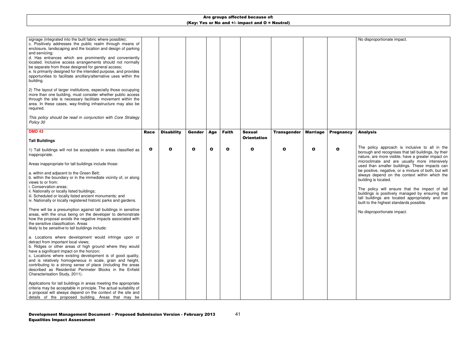41

No disproportionate impact.

| signage (integrated into the built fabric where possible);<br>c. Positively addresses the public realm through means of<br>enclosure, landscaping and the location and design of parking<br>and servicing;<br>d. Has entrances which are prominently and conveniently<br>located. Inclusive access arrangements should not normally<br>be separate from those designed for general access;<br>e. Is primarily designed for the intended purpose, and provides<br>opportunities to facilitate ancillary/alternative uses within the<br>building.<br>2) The layout of larger institutions, especially those occupying |              |                   |               |              |              |                    |                    |                 |                  |  |
|---------------------------------------------------------------------------------------------------------------------------------------------------------------------------------------------------------------------------------------------------------------------------------------------------------------------------------------------------------------------------------------------------------------------------------------------------------------------------------------------------------------------------------------------------------------------------------------------------------------------|--------------|-------------------|---------------|--------------|--------------|--------------------|--------------------|-----------------|------------------|--|
| more than one building, must consider whether public access<br>through the site is necessary facilitate movement within the<br>area. In these cases, way-finding infrastructure may also be<br>required.                                                                                                                                                                                                                                                                                                                                                                                                            |              |                   |               |              |              |                    |                    |                 |                  |  |
| This policy should be read in conjunction with Core Strategy<br>Policy 30                                                                                                                                                                                                                                                                                                                                                                                                                                                                                                                                           |              |                   |               |              |              |                    |                    |                 |                  |  |
| <b>DMD 43</b>                                                                                                                                                                                                                                                                                                                                                                                                                                                                                                                                                                                                       | Race         | <b>Disability</b> | <b>Gender</b> | Age          | <b>Faith</b> | <b>Sexual</b>      | <b>Transgender</b> | <b>Marriage</b> | <b>Pregnancy</b> |  |
| <b>Tall Buildings</b>                                                                                                                                                                                                                                                                                                                                                                                                                                                                                                                                                                                               |              |                   |               |              |              | <b>Orientation</b> |                    |                 |                  |  |
| 1) Tall buildings will not be acceptable in areas classified as<br>inappropriate.                                                                                                                                                                                                                                                                                                                                                                                                                                                                                                                                   | $\mathbf{o}$ | O                 | $\mathbf{o}$  | $\mathbf{o}$ | O            | O                  | O                  | $\mathbf o$     | O                |  |
| Areas inappropriate for tall buildings include those:                                                                                                                                                                                                                                                                                                                                                                                                                                                                                                                                                               |              |                   |               |              |              |                    |                    |                 |                  |  |
| a. within and adjacent to the Green Belt;<br>b. within the boundary or in the immediate vicinity of, or along<br>views to or from:<br>i. Conservation areas;<br>ii. Nationally or locally listed buildings;<br>iii. Scheduled or locally listed ancient monuments; and<br>iv. Nationally or locally registered historic parks and gardens.                                                                                                                                                                                                                                                                          |              |                   |               |              |              |                    |                    |                 |                  |  |
| There will be a presumption against tall buildings in sensitive<br>areas, with the onus being on the developer to demonstrate<br>how the proposal avoids the negative impacts associated with<br>the sensitive classification. Areas<br>likely to be <i>sensitive</i> to tall buildings include:                                                                                                                                                                                                                                                                                                                    |              |                   |               |              |              |                    |                    |                 |                  |  |
| a. Locations where development would infringe upon or<br>detract from important local views;<br>b. Ridges or other areas of high ground where they would<br>have a significant impact on the horizon;<br>c. Locations where existing development is of good quality,<br>and is relatively homogeneous in scale, grain and height,<br>contributing to a strong sense of place (including the areas<br>described as Residential Perimeter Blocks in the Enfield<br>Characterisation Study, 2011).                                                                                                                     |              |                   |               |              |              |                    |                    |                 |                  |  |
| Applications for tall buildings in areas meeting the appropriate<br>criteria may be acceptable in principle. The actual suitability of<br>a proposal will always depend on the context of the site and<br>details of the proposed building. Areas that may be                                                                                                                                                                                                                                                                                                                                                       |              |                   |               |              |              |                    |                    |                 |                  |  |

#### Analysis

The policy approach is inclusive to all in the borough and recognises that tall buildings, by their nature, are more visible, have a greater impact on microclimate and are usually more intensively used than smaller buildings. These impacts can be positive, negative, or a mixture of both, but will always depend on the context within which the building is located.

The policy will ensure that the impact of tall buildings is positively managed by ensuring that tall buildings are located appropriately and are built to the highest standards possible.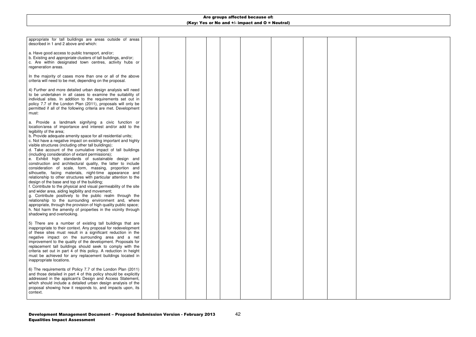

42

| appropriate for tall buildings are areas outside of areas<br>described in 1 and 2 above and which:                                                                                                                                                                                                                                                                                                                                                                                                                                                                                                                                                                                                                                                                                                                                                                                                                                                                                                                                                                                                                                                                                                                                         |  |  |  |  |  |
|--------------------------------------------------------------------------------------------------------------------------------------------------------------------------------------------------------------------------------------------------------------------------------------------------------------------------------------------------------------------------------------------------------------------------------------------------------------------------------------------------------------------------------------------------------------------------------------------------------------------------------------------------------------------------------------------------------------------------------------------------------------------------------------------------------------------------------------------------------------------------------------------------------------------------------------------------------------------------------------------------------------------------------------------------------------------------------------------------------------------------------------------------------------------------------------------------------------------------------------------|--|--|--|--|--|
| a. Have good access to public transport, and/or;<br>b. Existing and <i>appropriate</i> clusters of tall buildings, and/or;<br>c. Are within designated town centres, activity hubs or<br>regeneration areas.                                                                                                                                                                                                                                                                                                                                                                                                                                                                                                                                                                                                                                                                                                                                                                                                                                                                                                                                                                                                                               |  |  |  |  |  |
| In the majority of cases more than one or all of the above<br>criteria will need to be met, depending on the proposal.                                                                                                                                                                                                                                                                                                                                                                                                                                                                                                                                                                                                                                                                                                                                                                                                                                                                                                                                                                                                                                                                                                                     |  |  |  |  |  |
| 4) Further and more detailed urban design analysis will need<br>to be undertaken in all cases to examine the suitability of<br>individual sites. In addition to the requirements set out in<br>policy 7.7 of the London Plan (2011), proposals will only be<br>permitted if all of the following criteria are met. Development<br>must:                                                                                                                                                                                                                                                                                                                                                                                                                                                                                                                                                                                                                                                                                                                                                                                                                                                                                                    |  |  |  |  |  |
| a. Provide a landmark signifying a civic function or<br>location/area of importance and interest and/or add to the<br>legibility of the area;<br>b. Provide adequate amenity space for all residential units;<br>c. Not have a negative impact on existing important and highly<br>visible structures (including other tall buildings);<br>d. Take account of the cumulative impact of tall buildings<br>(including consideration of extant permissions);<br>e. Exhibit high standards of sustainable design and<br>construction and architectural quality, the latter to include<br>consideration of scale, form, massing, proportion and<br>silhouette, facing materials, night-time appearance and<br>relationship to other structures with particular attention to the<br>design of the base and top of the building;<br>f. Contribute to the physical and visual permeability of the site<br>and wider area, aiding legibility and movement;<br>g. Contribute positively to the public realm through the<br>relationship to the surrounding environment and, where<br>appropriate, through the provision of high quality public space;<br>h. Not harm the amenity of properties in the vicinity through<br>shadowing and overlooking. |  |  |  |  |  |
| 5) There are a number of existing tall buildings that are<br>inappropriate to their context. Any proposal for redevelopment<br>of these sites must result in a significant reduction in the<br>negative impact on the surrounding area and a net<br>improvement to the quality of the development. Proposals for<br>replacement tall buildings should seek to comply with the<br>criteria set out in part 4 of this policy. A reduction in height<br>must be achieved for any replacement buildings located in<br>inappropriate locations.                                                                                                                                                                                                                                                                                                                                                                                                                                                                                                                                                                                                                                                                                                 |  |  |  |  |  |
| 6) The requirements of Policy 7.7 of the London Plan (2011)<br>and those detailed in part 4 of this policy should be explicitly<br>addressed in the applicant's Design and Access Statement,<br>which should include a detailed urban design analysis of the<br>proposal showing how it responds to, and impacts upon, its<br>context.                                                                                                                                                                                                                                                                                                                                                                                                                                                                                                                                                                                                                                                                                                                                                                                                                                                                                                     |  |  |  |  |  |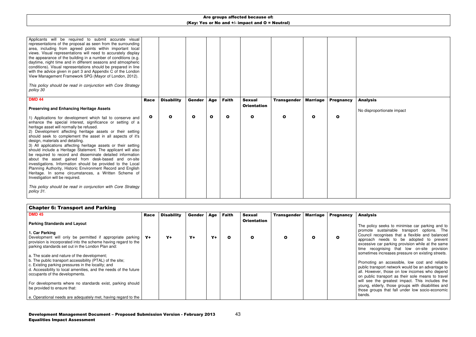43

|                                                                                                                                                                                                                                                                                                                                                                                                                                                                                                                                                                                                                                                                | <b>Marriage</b><br><b>Pregnancy</b>                              | $\mathbf{o}$<br>O<br>Ω                                                                                                                                                                                                                                                                                                                                                                                                                                                                                                                                                                                                                                   |
|----------------------------------------------------------------------------------------------------------------------------------------------------------------------------------------------------------------------------------------------------------------------------------------------------------------------------------------------------------------------------------------------------------------------------------------------------------------------------------------------------------------------------------------------------------------------------------------------------------------------------------------------------------------|------------------------------------------------------------------|----------------------------------------------------------------------------------------------------------------------------------------------------------------------------------------------------------------------------------------------------------------------------------------------------------------------------------------------------------------------------------------------------------------------------------------------------------------------------------------------------------------------------------------------------------------------------------------------------------------------------------------------------------|
|                                                                                                                                                                                                                                                                                                                                                                                                                                                                                                                                                                                                                                                                | <b>Transgender</b>                                               |                                                                                                                                                                                                                                                                                                                                                                                                                                                                                                                                                                                                                                                          |
|                                                                                                                                                                                                                                                                                                                                                                                                                                                                                                                                                                                                                                                                | <b>Sexual</b><br><b>Orientation</b>                              | $\mathbf{o}$                                                                                                                                                                                                                                                                                                                                                                                                                                                                                                                                                                                                                                             |
|                                                                                                                                                                                                                                                                                                                                                                                                                                                                                                                                                                                                                                                                | <b>Faith</b>                                                     | $\mathbf{o}$                                                                                                                                                                                                                                                                                                                                                                                                                                                                                                                                                                                                                                             |
|                                                                                                                                                                                                                                                                                                                                                                                                                                                                                                                                                                                                                                                                | <b>Age</b>                                                       | $\mathbf{o}$                                                                                                                                                                                                                                                                                                                                                                                                                                                                                                                                                                                                                                             |
|                                                                                                                                                                                                                                                                                                                                                                                                                                                                                                                                                                                                                                                                | <b>Gender</b>                                                    | $\mathbf{o}$                                                                                                                                                                                                                                                                                                                                                                                                                                                                                                                                                                                                                                             |
|                                                                                                                                                                                                                                                                                                                                                                                                                                                                                                                                                                                                                                                                | <b>Disability</b>                                                | O                                                                                                                                                                                                                                                                                                                                                                                                                                                                                                                                                                                                                                                        |
|                                                                                                                                                                                                                                                                                                                                                                                                                                                                                                                                                                                                                                                                | <b>Race</b>                                                      | $\mathbf{o}$                                                                                                                                                                                                                                                                                                                                                                                                                                                                                                                                                                                                                                             |
| Applicants will be required to submit accurate visual<br>representations of the proposal as seen from the surrounding<br>area, including from agreed points within important local<br>views. Visual representations will need to accurately display<br>the appearance of the building in a number of conditions (e.g.<br>daytime, night time and in different seasons and atmospheric<br>conditions). Visual representations should be prepared in line<br>with the advice given in part 3 and Appendix C of the London<br>View Management Framework SPG (Mayor of London, 2012).<br>This policy should be read in conjunction with Core Strategy<br>policy 30 | <b>DMD 44</b><br><b>Preserving and Enhancing Heritage Assets</b> | 1) Applications for development which fail to conserve and<br>enhance the special interest, significance or setting of a<br>heritage asset will normally be refused.<br>2) Development affecting heritage assets or their setting<br>should seek to complement the asset in all aspects of it's<br>design, materials and detailing.<br>3) All applications affecting heritage assets or their setting<br>should include a Heritage Statement. The applicant will also<br>be required to record and disseminate detailed information<br>about the asset gained from desk-based and on-site<br>investigations. Information should be provided to the Local |

### Analysis

No disproportionate impact

| <b>Chapter 6: Transport and Parking</b>                                                                                                                  |      |                   |        |       |       |                    |                    |              |                  |  |
|----------------------------------------------------------------------------------------------------------------------------------------------------------|------|-------------------|--------|-------|-------|--------------------|--------------------|--------------|------------------|--|
| <b>DMD 45</b>                                                                                                                                            | Race | <b>Disability</b> | Gender | Age   | Faith | <b>Sexual</b>      | <b>Transgender</b> | Marriage     | <b>Pregnancy</b> |  |
| <b>Parking Standards and Layout</b>                                                                                                                      |      |                   |        |       |       | <b>Orientation</b> |                    |              |                  |  |
| 1. Car Parking<br>Development will only be permitted if appropriate parking                                                                              | $Y+$ | $Y+$              | $Y+$   | $Y +$ | O     | $\mathbf{o}$       |                    | $\mathbf{o}$ | O                |  |
| provision is incorporated into the scheme having regard to the<br>parking standards set out in the London Plan and:                                      |      |                   |        |       |       |                    |                    |              |                  |  |
| a. The scale and nature of the development;<br>b. The public transport accessibility (PTAL) of the site;                                                 |      |                   |        |       |       |                    |                    |              |                  |  |
| c. Existing parking pressures in the locality; and<br>d. Accessibility to local amenities, and the needs of the future<br>occupants of the developments. |      |                   |        |       |       |                    |                    |              |                  |  |
| For developments where no standards exist, parking should                                                                                                |      |                   |        |       |       |                    |                    |              |                  |  |
| be provided to ensure that:<br>e. Operational needs are adequately met, having regard to the                                                             |      |                   |        |       |       |                    |                    |              |                  |  |

#### Analysis

The policy seeks to minimise car parking and to promote sustainable transport options. The Council recognises that a flexible and balanced approach needs to be adopted to prevent excessive car parking provision while at the same time recognising that low on-site provision sometimes increases pressure on existing streets.

Promoting an accessible, low cost and reliable public transport network would be an advantage to all. However, those on low incomes who depend on public transport as their sole means to travel will see the greatest impact. This includes the young, elderly, those groups with disabilities and those groups that fall under low socio-economic bands.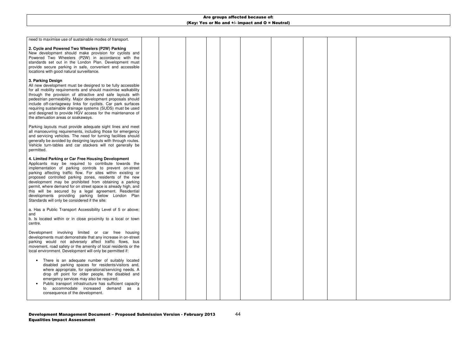

44

| need to maximise use of sustainable modes of transport.                                                                                                                                                                                                                                                                                                                                                                                                                                                                                                                                                                                                                                                                                                                                                                                                |  |  |  |  |  |
|--------------------------------------------------------------------------------------------------------------------------------------------------------------------------------------------------------------------------------------------------------------------------------------------------------------------------------------------------------------------------------------------------------------------------------------------------------------------------------------------------------------------------------------------------------------------------------------------------------------------------------------------------------------------------------------------------------------------------------------------------------------------------------------------------------------------------------------------------------|--|--|--|--|--|
| 2. Cycle and Powered Two Wheelers (P2W) Parking<br>New development should make provision for cyclists and<br>Powered Two Wheelers (P2W) in accordance with the<br>standards set out in the London Plan. Development must<br>provide secure parking in safe, convenient and accessible<br>locations with good natural surveillance.<br>3. Parking Design<br>All new development must be designed to be fully accessible<br>for all mobility requirements and should maximise walkability<br>through the provision of attractive and safe layouts with<br>pedestrian permeability. Major development proposals should<br>include off-carriageway links for cyclists. Car park surfaces<br>requiring sustainable drainage systems (SUDS) must be used<br>and designed to provide HGV access for the maintenance of<br>the attenuation areas or soakaways. |  |  |  |  |  |
| Parking layouts must provide adequate sight lines and meet<br>all manoeuvring requirements, including those for emergency<br>and servicing vehicles. The need for turning facilities should<br>generally be avoided by designing layouts with through routes.<br>Vehicle turn-tables and car stackers will not generally be<br>permitted.                                                                                                                                                                                                                                                                                                                                                                                                                                                                                                              |  |  |  |  |  |
| 4. Limited Parking or Car Free Housing Development<br>Applicants may be required to contribute towards the<br>implementation of parking controls to prevent on-street<br>parking affecting traffic flow. For sites within existing or<br>proposed controlled parking zones, residents of the new<br>development may be prohibited from obtaining a parking<br>permit, where demand for on street space is already high, and<br>this will be secured by a legal agreement. Residential<br>developments providing parking below London Plan<br>Standards will only be considered if the site:                                                                                                                                                                                                                                                            |  |  |  |  |  |
| a. Has a Public Transport Accessibility Level of 5 or above;<br>and<br>b. Is located within or in close proximity to a local or town<br>centre.                                                                                                                                                                                                                                                                                                                                                                                                                                                                                                                                                                                                                                                                                                        |  |  |  |  |  |
| Development involving limited or car free housing<br>developments must demonstrate that any increase in on-street<br>parking would not adversely affect traffic flows, bus<br>movement, road safety or the amenity of local residents or the<br>local environment. Development will only be permitted if:                                                                                                                                                                                                                                                                                                                                                                                                                                                                                                                                              |  |  |  |  |  |
| There is an adequate number of suitably located<br>$\bullet$<br>disabled parking spaces for residents/visitors and,<br>where appropriate, for operational/servicing needs. A<br>drop off point for older people, the disabled and<br>emergency services may also be required;<br>Public transport infrastructure has sufficient capacity<br>accommodate increased<br>demand<br>as<br>a<br>consequence of the development.                                                                                                                                                                                                                                                                                                                                                                                                                              |  |  |  |  |  |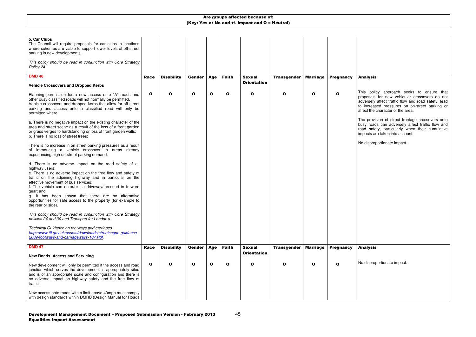The provision of direct frontage crossovers onto busy roads can adversely affect traffic flow and road safety, particularly when their cumulative mpacts are taken into account.

| 5. Car Clubs<br>The Council will require proposals for car clubs in locations<br>where schemes are viable to support lower levels of off-street<br>parking in new developments.                                                                                                                                                                                                                                                                                          |              |                   |             |             |              |                    |                    |                 |                  |  |
|--------------------------------------------------------------------------------------------------------------------------------------------------------------------------------------------------------------------------------------------------------------------------------------------------------------------------------------------------------------------------------------------------------------------------------------------------------------------------|--------------|-------------------|-------------|-------------|--------------|--------------------|--------------------|-----------------|------------------|--|
| This policy should be read in conjunction with Core Strategy<br>Policy 24.                                                                                                                                                                                                                                                                                                                                                                                               |              |                   |             |             |              |                    |                    |                 |                  |  |
| <b>DMD 46</b>                                                                                                                                                                                                                                                                                                                                                                                                                                                            | <b>Race</b>  | <b>Disability</b> | Gender      | Age         | <b>Faith</b> | <b>Sexual</b>      | <b>Transgender</b> | <b>Marriage</b> | <b>Pregnancy</b> |  |
| <b>Vehicle Crossovers and Dropped Kerbs</b>                                                                                                                                                                                                                                                                                                                                                                                                                              |              |                   |             |             |              | <b>Orientation</b> |                    |                 |                  |  |
| Planning permission for a new access onto "A" roads and<br>other busy classified roads will not normally be permitted.<br>Vehicle crossovers and dropped kerbs that allow for off-street<br>parking and access onto a classified road will only be<br>permitted where:                                                                                                                                                                                                   | $\mathbf{o}$ | $\mathbf{o}$      | $\mathbf o$ | $\mathbf o$ | $\mathbf{o}$ | $\mathbf{o}$       | $\mathbf{o}$       | $\mathbf{o}$    | O                |  |
| a. There is no negative impact on the existing character of the<br>area and street scene as a result of the loss of a front garden<br>or grass verges to hardstanding or loss of front garden walls;<br>b. There is no loss of street trees;                                                                                                                                                                                                                             |              |                   |             |             |              |                    |                    |                 |                  |  |
| There is no increase in on street parking pressures as a result<br>of introducing a vehicle crossover in areas already<br>experiencing high on-street parking demand;                                                                                                                                                                                                                                                                                                    |              |                   |             |             |              |                    |                    |                 |                  |  |
| d. There is no adverse impact on the road safety of all<br>highway users;<br>e. There is no adverse impact on the free flow and safety of<br>traffic on the adjoining highway and in particular on the<br>effective movement of bus services;<br>f. The vehicle can enter/exit a driveway/forecourt in forward<br>gear; and<br>g. It has been shown that there are no alternative<br>opportunities for safe access to the property (for example to<br>the rear or side). |              |                   |             |             |              |                    |                    |                 |                  |  |
| This policy should be read in conjunction with Core Strategy<br>policies 24 and 30 and Transport for London's                                                                                                                                                                                                                                                                                                                                                            |              |                   |             |             |              |                    |                    |                 |                  |  |
| Technical Guidance on footways and carriages<br>http://www.tfl.gov.uk/assets/downloads/streetscape-guidance-<br>2009-footways-and-carriageways-107.Pdf.                                                                                                                                                                                                                                                                                                                  |              |                   |             |             |              |                    |                    |                 |                  |  |
| <b>DMD 47</b>                                                                                                                                                                                                                                                                                                                                                                                                                                                            | <b>Race</b>  | <b>Disability</b> | Gender      | Age         | <b>Faith</b> | <b>Sexual</b>      | <b>Transgender</b> | <b>Marriage</b> | <b>Pregnancy</b> |  |
| <b>New Roads, Access and Servicing</b>                                                                                                                                                                                                                                                                                                                                                                                                                                   |              |                   |             |             |              | <b>Orientation</b> |                    |                 |                  |  |
| New development will only be permitted if the access and road<br>junction which serves the development is appropriately sited<br>and is of an appropriate scale and configuration and there is<br>no adverse impact on highway safety and the free flow of<br>traffic.                                                                                                                                                                                                   | $\mathbf{o}$ | O                 | $\mathbf o$ | O           | O            | O                  | O                  | $\mathbf o$     | O                |  |
| New access onto roads with a limit above 40mph must comply<br>with design standards within DMRB (Design Manual for Roads                                                                                                                                                                                                                                                                                                                                                 |              |                   |             |             |              |                    |                    |                 |                  |  |

### Analysis

This policy approach seeks to ensure that proposals for new vehicular crossovers do not adversely affect traffic flow and road safety, lead to increased pressures on on-street parking or affect the character of the area.

No disproportionate impact.

### Analysis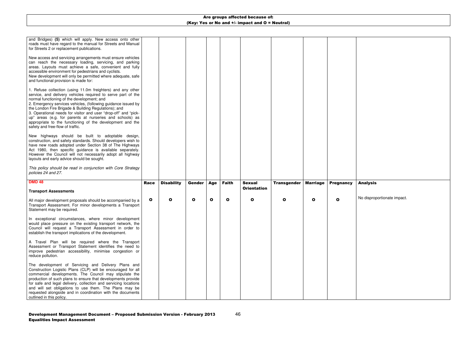| and Bridges) (5) which will apply. New access onto other<br>roads must have regard to the manual for Streets and Manual<br>for Streets 2 or replacement publications.                                                                                                                                                                                                                                                                                                                                                              |              |                   |        |     |              |                                     |                    |                 |                  |  |
|------------------------------------------------------------------------------------------------------------------------------------------------------------------------------------------------------------------------------------------------------------------------------------------------------------------------------------------------------------------------------------------------------------------------------------------------------------------------------------------------------------------------------------|--------------|-------------------|--------|-----|--------------|-------------------------------------|--------------------|-----------------|------------------|--|
| New access and servicing arrangements must ensure vehicles<br>can reach the necessary loading, servicing, and parking<br>areas. Layouts must achieve a safe, convenient and fully<br>accessible environment for pedestrians and cyclists.<br>New development will only be permitted where adequate, safe<br>and functional provision is made for:                                                                                                                                                                                  |              |                   |        |     |              |                                     |                    |                 |                  |  |
| 1. Refuse collection (using 11.0m freighters) and any other<br>service, and delivery vehicles required to serve part of the<br>normal functioning of the development; and<br>2. Emergency services vehicles, (following guidance issued by<br>the London Fire Brigade & Building Regulations); and<br>3. Operational needs for visitor and user "drop-off" and "pick-<br>up" areas (e.g. for parents at nurseries and schools) as<br>appropriate to the functioning of the development and the<br>safety and free-flow of traffic. |              |                   |        |     |              |                                     |                    |                 |                  |  |
| New highways should be built to adoptable design,<br>construction, and safety standards. Should developers wish to<br>have new roads adopted under Section 38 of The Highways<br>Act 1980, then specific guidance is available separately.<br>However the Council will not necessarily adopt all highway<br>layouts and early advice should be sought.                                                                                                                                                                             |              |                   |        |     |              |                                     |                    |                 |                  |  |
| This policy should be read in conjunction with Core Strategy<br>policies 24 and 27.                                                                                                                                                                                                                                                                                                                                                                                                                                                |              |                   |        |     |              |                                     |                    |                 |                  |  |
| <b>DMD 48</b><br><b>Transport Assessments</b>                                                                                                                                                                                                                                                                                                                                                                                                                                                                                      | <b>Race</b>  | <b>Disability</b> | Gender | Age | <b>Faith</b> | <b>Sexual</b><br><b>Orientation</b> | <b>Transgender</b> | <b>Marriage</b> | <b>Pregnancy</b> |  |
| All major development proposals should be accompanied by a<br>Transport Assessment. For minor developments a Transport<br>Statement may be required.                                                                                                                                                                                                                                                                                                                                                                               | $\mathbf{o}$ | O                 | O      | O   | $\bullet$    | $\mathbf{o}$                        | O                  | O               | O                |  |
| In exceptional circumstances, where minor development<br>would place pressure on the existing transport network, the<br>Council will request a Transport Assessment in order to<br>establish the transport implications of the development.                                                                                                                                                                                                                                                                                        |              |                   |        |     |              |                                     |                    |                 |                  |  |
| A Travel Plan will be required where the Transport<br>Assessment or Transport Statement identifies the need to<br>improve pedestrian accessibility, minimise congestion or<br>reduce pollution.                                                                                                                                                                                                                                                                                                                                    |              |                   |        |     |              |                                     |                    |                 |                  |  |
| The development of Servicing and Delivery Plans and<br>Construction Logistic Plans (CLP) will be encouraged for all<br>commercial developments. The Council may stipulate the<br>production of such plans to ensure that developments provide                                                                                                                                                                                                                                                                                      |              |                   |        |     |              |                                     |                    |                 |                  |  |

## Analysis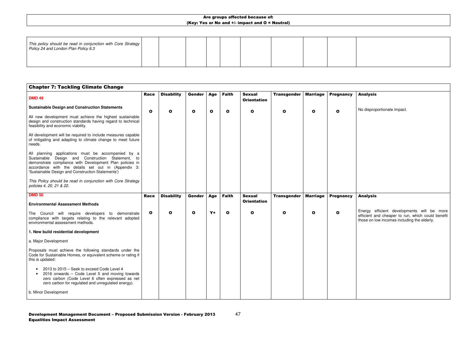| This policy should be read in conjunction with Core Strategy  <br>Policy 24 and London Plan Policy 6.3 |  |  |  |  |  |  |  |  |  |  |
|--------------------------------------------------------------------------------------------------------|--|--|--|--|--|--|--|--|--|--|
|--------------------------------------------------------------------------------------------------------|--|--|--|--|--|--|--|--|--|--|

| <b>Chapter 7: Tackling Climate Change</b>                                                                                                                                                                                                                                             |              |                   |               |              |              |                                     |                    |                 |                  |    |
|---------------------------------------------------------------------------------------------------------------------------------------------------------------------------------------------------------------------------------------------------------------------------------------|--------------|-------------------|---------------|--------------|--------------|-------------------------------------|--------------------|-----------------|------------------|----|
| <b>DMD 49</b>                                                                                                                                                                                                                                                                         | <b>Race</b>  | <b>Disability</b> | <b>Gender</b> | <b>Age</b>   | <b>Faith</b> | <b>Sexual</b><br><b>Orientation</b> | <b>Transgender</b> | <b>Marriage</b> | <b>Pregnancy</b> |    |
| <b>Sustainable Design and Construction Statements</b>                                                                                                                                                                                                                                 | $\mathbf{o}$ | $\mathbf{o}$      | $\mathbf o$   | $\mathbf{o}$ | O            | $\mathbf o$                         | $\mathbf{o}$       | $\mathbf{o}$    | $\mathbf{o}$     |    |
| All new development must achieve the highest sustainable<br>design and construction standards having regard to technical<br>feasibility and economic viability.                                                                                                                       |              |                   |               |              |              |                                     |                    |                 |                  |    |
| All development will be required to include measures capable<br>of mitigating and adapting to climate change to meet future<br>needs.                                                                                                                                                 |              |                   |               |              |              |                                     |                    |                 |                  |    |
| All planning applications must be accompanied by a<br>Design and Construction Statement,<br>Sustainable<br>to<br>demonstrate compliance with Development Plan policies in<br>accordance with the details set out in (Appendix 3:<br>'Sustainable Design and Construction Statements') |              |                   |               |              |              |                                     |                    |                 |                  |    |
| This Policy should be read in conjunction with Core Strategy<br>policies 4, 20, 21 & 22.                                                                                                                                                                                              |              |                   |               |              |              |                                     |                    |                 |                  |    |
| <b>DMD 50</b>                                                                                                                                                                                                                                                                         | <b>Race</b>  | <b>Disability</b> | <b>Gender</b> | <b>Age</b>   | <b>Faith</b> | <b>Sexual</b>                       | <b>Transgender</b> | <b>Marriage</b> | <b>Pregnancy</b> |    |
| <b>Environmental Assessment Methods</b>                                                                                                                                                                                                                                               |              |                   |               |              |              | <b>Orientation</b>                  |                    |                 |                  |    |
| The Council will require developers to demonstrate<br>compliance with targets relating to the relevant adopted<br>environmental assessment methods.                                                                                                                                   | $\mathbf{o}$ | $\mathbf{o}$      | $\mathbf{o}$  | $Y+$         | O            | $\mathbf{o}$                        | $\mathbf{o}$       | $\mathbf{o}$    | $\mathbf{o}$     | tl |
| 1. New build residential development                                                                                                                                                                                                                                                  |              |                   |               |              |              |                                     |                    |                 |                  |    |
| a. Major Development                                                                                                                                                                                                                                                                  |              |                   |               |              |              |                                     |                    |                 |                  |    |
| Proposals must achieve the following standards under the<br>Code for Sustainable Homes, or equivalent scheme or rating if<br>this is updated:                                                                                                                                         |              |                   |               |              |              |                                     |                    |                 |                  |    |
| 2013 to 2015 - Seek to exceed Code Level 4<br>2016 onwards - Code Level 5 and moving towards<br>zero carbon (Code Level 6 often expressed as net<br>zero carbon for regulated and unregulated energy).                                                                                |              |                   |               |              |              |                                     |                    |                 |                  |    |
| b. Minor Development                                                                                                                                                                                                                                                                  |              |                   |               |              |              |                                     |                    |                 |                  |    |

### Analysis

No disproportionate impact.

### Analysis

Energy efficient developments will be more efficient and cheaper to run, which could benefit those on low incomes including the elderly.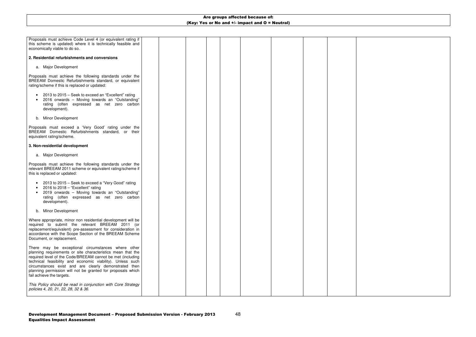48

| Proposals must achieve Code Level 4 (or equivalent rating if<br>this scheme is updated) where it is technically feasible and<br>economically viable to do so.                                                                                                                                                                                                                                      |  |  |  |  |  |
|----------------------------------------------------------------------------------------------------------------------------------------------------------------------------------------------------------------------------------------------------------------------------------------------------------------------------------------------------------------------------------------------------|--|--|--|--|--|
| 2. Residential refurbishments and conversions                                                                                                                                                                                                                                                                                                                                                      |  |  |  |  |  |
| a. Major Development                                                                                                                                                                                                                                                                                                                                                                               |  |  |  |  |  |
| Proposals must achieve the following standards under the<br>BREEAM Domestic Refurbishments standard, or equivalent<br>rating/scheme if this is replaced or updated:                                                                                                                                                                                                                                |  |  |  |  |  |
| 2013 to 2015 – Seek to exceed an "Excellent" rating<br>2016 onwards - Moving towards an "Outstanding"<br>rating (often expressed as net zero carbon<br>development).                                                                                                                                                                                                                               |  |  |  |  |  |
| b. Minor Development                                                                                                                                                                                                                                                                                                                                                                               |  |  |  |  |  |
| Proposals must exceed a 'Very Good' rating under the<br>BREEAM Domestic Refurbishments standard, or their<br>equivalent rating/scheme.                                                                                                                                                                                                                                                             |  |  |  |  |  |
| 3. Non-residential development                                                                                                                                                                                                                                                                                                                                                                     |  |  |  |  |  |
| a. Major Development                                                                                                                                                                                                                                                                                                                                                                               |  |  |  |  |  |
| Proposals must achieve the following standards under the<br>relevant BREEAM 2011 scheme or equivalent rating/scheme if<br>this is replaced or updated:                                                                                                                                                                                                                                             |  |  |  |  |  |
| 2013 to 2015 – Seek to exceed a "Very Good" rating<br>2016 to $2018 -$ "Excellent" rating<br>2019 onwards - Moving towards an "Outstanding"<br>rating (often expressed as net zero carbon<br>development).                                                                                                                                                                                         |  |  |  |  |  |
| b. Minor Development                                                                                                                                                                                                                                                                                                                                                                               |  |  |  |  |  |
| Where appropriate, minor non residential development will be<br>required to submit the relevant BREEAM 2011 (or<br>replacement/equivalent) pre-assessment for consideration in<br>accordance with the Scope Section of the BREEAM Scheme<br>Document, or replacement.                                                                                                                              |  |  |  |  |  |
| There may be exceptional circumstances where other<br>planning requirements or site characteristics mean that the<br>required level of the Code/BREEAM cannot be met (including<br>technical feasibility and economic viability). Unless such<br>circumstances exist and are clearly demonstrated then<br>planning permission will not be granted for proposals which<br>fail achieve the targets. |  |  |  |  |  |
| This Policy should be read in conjunction with Core Strategy<br>policies 4, 20, 21, 22, 28, 32 & 36.                                                                                                                                                                                                                                                                                               |  |  |  |  |  |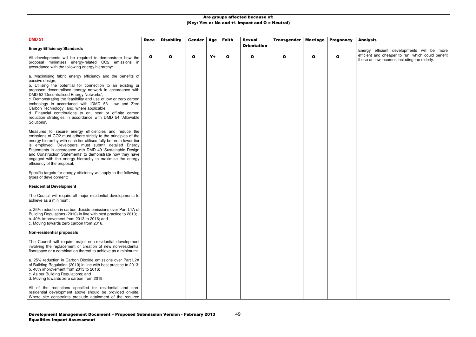| <b>DMD 51</b>                                                                                                                                                                                                                                                                                                                                                                                                                                                                                                                                                                                                                                                                                                                                                                                                               | <b>Race</b>  | <b>Disability</b> | Gender       | Age  | <b>Faith</b> | <b>Sexual</b><br><b>Orientation</b> | <b>Transgender</b> | <b>Marriage</b> | <b>Pregnancy</b> |  |
|-----------------------------------------------------------------------------------------------------------------------------------------------------------------------------------------------------------------------------------------------------------------------------------------------------------------------------------------------------------------------------------------------------------------------------------------------------------------------------------------------------------------------------------------------------------------------------------------------------------------------------------------------------------------------------------------------------------------------------------------------------------------------------------------------------------------------------|--------------|-------------------|--------------|------|--------------|-------------------------------------|--------------------|-----------------|------------------|--|
| <b>Energy Efficiency Standards</b>                                                                                                                                                                                                                                                                                                                                                                                                                                                                                                                                                                                                                                                                                                                                                                                          |              |                   |              |      |              |                                     |                    |                 |                  |  |
| All developments will be required to demonstrate how the<br>proposal minimises energy-related CO2 emissions in<br>accordance with the following energy hierarchy:                                                                                                                                                                                                                                                                                                                                                                                                                                                                                                                                                                                                                                                           | $\mathbf{o}$ | $\mathbf o$       | $\mathbf{o}$ | $Y+$ | $\mathbf o$  | $\mathbf{o}$                        | O                  | $\mathbf{o}$    | O                |  |
| a. Maximising fabric energy efficiency and the benefits of<br>passive design;<br>b. Utilising the potential for connection to an existing or<br>proposed decentralised energy network in accordance with<br>DMD 52 'Decentralised Energy Networks';<br>c. Demonstrating the feasibility and use of low or zero carbon<br>technology in accordance with IDMD 53 'Low and Zero<br>Carbon Technology'; and, where applicable,<br>d. Financial contributions to on, near or off-site carbon<br>reduction strategies in accordance with DMD 54 'Allowable<br>Solutions'.<br>Measures to secure energy efficiencies and reduce the<br>emissions of CO2 must adhere strictly to the principles of the<br>energy hierarchy with each tier utilised fully before a lower tier<br>is employed. Developers must submit detailed Energy |              |                   |              |      |              |                                     |                    |                 |                  |  |
| Statements in accordance with DMD 49 'Sustainable Design<br>and Construction Statements' to demonstrate how they have<br>engaged with the energy hierarchy to maximise the energy<br>efficiency of the proposal.                                                                                                                                                                                                                                                                                                                                                                                                                                                                                                                                                                                                            |              |                   |              |      |              |                                     |                    |                 |                  |  |
| Specific targets for energy efficiency will apply to the following<br>types of development:                                                                                                                                                                                                                                                                                                                                                                                                                                                                                                                                                                                                                                                                                                                                 |              |                   |              |      |              |                                     |                    |                 |                  |  |
| <b>Residential Development</b>                                                                                                                                                                                                                                                                                                                                                                                                                                                                                                                                                                                                                                                                                                                                                                                              |              |                   |              |      |              |                                     |                    |                 |                  |  |
| The Council will require all major residential developments to<br>achieve as a minimum:                                                                                                                                                                                                                                                                                                                                                                                                                                                                                                                                                                                                                                                                                                                                     |              |                   |              |      |              |                                     |                    |                 |                  |  |
| a. 25% reduction in carbon dioxide emissions over Part L1A of<br>Building Regulations (2010) in line with best practice to 2013;<br>b. 40% improvement from 2013 to 2016; and<br>c. Moving towards zero carbon from 2016.                                                                                                                                                                                                                                                                                                                                                                                                                                                                                                                                                                                                   |              |                   |              |      |              |                                     |                    |                 |                  |  |
| <b>Non-residential proposals</b>                                                                                                                                                                                                                                                                                                                                                                                                                                                                                                                                                                                                                                                                                                                                                                                            |              |                   |              |      |              |                                     |                    |                 |                  |  |
| The Council will require major non-residential development<br>involving the replacement or creation of new non-residential<br>floorspace or a combination thereof to achieve as a minimum:                                                                                                                                                                                                                                                                                                                                                                                                                                                                                                                                                                                                                                  |              |                   |              |      |              |                                     |                    |                 |                  |  |
| a. 25% reduction in Carbon Dioxide emissions over Part L2A<br>of Building Regulation (2010) in line with best practice to 2013;<br>b. 40% improvement from 2013 to 2016;<br>c. As per Building Regulations; and<br>d. Moving towards zero carbon from 2019.                                                                                                                                                                                                                                                                                                                                                                                                                                                                                                                                                                 |              |                   |              |      |              |                                     |                    |                 |                  |  |
| All of the reductions specified for residential and non-<br>residential development above should be provided on-site.<br>Where site constraints preclude attainment of the required                                                                                                                                                                                                                                                                                                                                                                                                                                                                                                                                                                                                                                         |              |                   |              |      |              |                                     |                    |                 |                  |  |

### Analysis

Energy efficient developments will be more efficient and cheaper to run, which could benefit those on low incomes including the elderly.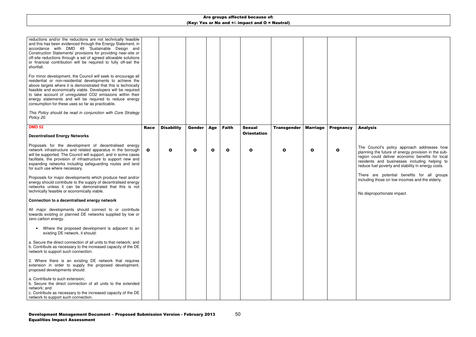50

| reductions and/or the reductions are not technically feasible<br>and this has been evidenced through the Energy Statement, in<br>accordance with DMD 49 'Sustainable Design and<br>Construction Statements' provisions for providing near-site or<br>off-site reductions through a set of agreed allowable solutions<br>or financial contribution will be required to fully off-set the<br>shortfall.                                        |              |                   |              |              |              |                    |                    |                 |                  |  |
|----------------------------------------------------------------------------------------------------------------------------------------------------------------------------------------------------------------------------------------------------------------------------------------------------------------------------------------------------------------------------------------------------------------------------------------------|--------------|-------------------|--------------|--------------|--------------|--------------------|--------------------|-----------------|------------------|--|
| For minor development, the Council will seek to encourage all<br>residential or non-residential developments to achieve the<br>above targets where it is demonstrated that this is technically<br>feasible and economically viable. Developers will be required<br>to take account of unregulated CO2 emissions within their<br>energy statements and will be required to reduce energy<br>consumption for these uses so far as practicable. |              |                   |              |              |              |                    |                    |                 |                  |  |
| This Policy should be read in conjunction with Core Strategy<br>Policy 20.                                                                                                                                                                                                                                                                                                                                                                   |              |                   |              |              |              |                    |                    |                 |                  |  |
| <b>DMD 52</b>                                                                                                                                                                                                                                                                                                                                                                                                                                | <b>Race</b>  | <b>Disability</b> | Gender       | <b>Age</b>   | <b>Faith</b> | <b>Sexual</b>      | <b>Transgender</b> | <b>Marriage</b> | <b>Pregnancy</b> |  |
| <b>Decentralised Energy Networks</b>                                                                                                                                                                                                                                                                                                                                                                                                         |              |                   |              |              |              | <b>Orientation</b> |                    |                 |                  |  |
| Proposals for the development of decentralised energy<br>network infrastructure and related apparatus in the borough<br>will be supported. The Council will support, and in some cases<br>facilitate, the provision of infrastructure to support new and<br>expanding networks including safeguarding routes and land<br>for such use where necessary.                                                                                       | $\mathbf{o}$ | $\mathbf o$       | $\mathbf{o}$ | $\mathbf{o}$ | $\mathbf o$  | $\mathbf{o}$       | O                  | O               | O                |  |
| Proposals for major developments which produce heat and/or<br>energy should contribute to the supply of decentralised energy<br>networks unless it can be demonstrated that this is not<br>technically feasible or economically viable.                                                                                                                                                                                                      |              |                   |              |              |              |                    |                    |                 |                  |  |
| Connection to a decentralised energy network                                                                                                                                                                                                                                                                                                                                                                                                 |              |                   |              |              |              |                    |                    |                 |                  |  |
| All major developments should connect to or contribute<br>towards existing or planned DE networks supplied by low or<br>zero carbon energy.                                                                                                                                                                                                                                                                                                  |              |                   |              |              |              |                    |                    |                 |                  |  |
| Where the proposed development is adjacent to an<br>existing DE network, it should:                                                                                                                                                                                                                                                                                                                                                          |              |                   |              |              |              |                    |                    |                 |                  |  |
| a. Secure the direct connection of all units to that network; and<br>b. Contribute as necessary to the increased capacity of the DE<br>network to support such connection.                                                                                                                                                                                                                                                                   |              |                   |              |              |              |                    |                    |                 |                  |  |
| 2. Where there is an existing DE network that requires<br>extension in order to supply the proposed development,<br>proposed developments should:                                                                                                                                                                                                                                                                                            |              |                   |              |              |              |                    |                    |                 |                  |  |
| a. Contribute to such extension;<br>b. Secure the direct connection of all units to the extended<br>network; and<br>c. Contribute as necessary to the increased capacity of the DE                                                                                                                                                                                                                                                           |              |                   |              |              |              |                    |                    |                 |                  |  |
| network to support such connection.                                                                                                                                                                                                                                                                                                                                                                                                          |              |                   |              |              |              |                    |                    |                 |                  |  |

### Analysis

The Council's policy approach addresses how planning the future of energy provision in the subregion could deliver economic benefits for local residents and businesses including helping to reduce fuel poverty and stability in energy costs.

There are potential benefits for all groups including those on low incomes and the elderly.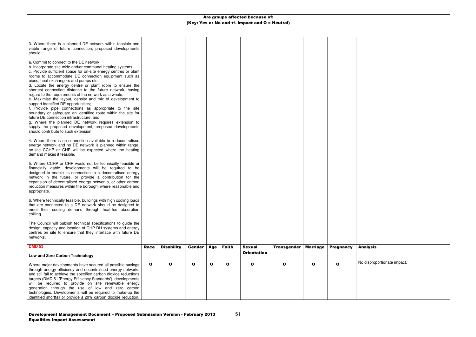## **Analysis**

| 3. Where there is a planned DE network within feasible and<br>viable range of future connection, proposed developments<br>should:                                                                                                                                                                                                                                                                                                                                                                                                                                                                                                                                                                                                                                                                                                                                                                 |             |                   |               |           |              |                                     |                    |          |                  |
|---------------------------------------------------------------------------------------------------------------------------------------------------------------------------------------------------------------------------------------------------------------------------------------------------------------------------------------------------------------------------------------------------------------------------------------------------------------------------------------------------------------------------------------------------------------------------------------------------------------------------------------------------------------------------------------------------------------------------------------------------------------------------------------------------------------------------------------------------------------------------------------------------|-------------|-------------------|---------------|-----------|--------------|-------------------------------------|--------------------|----------|------------------|
| a. Commit to connect to the DE network;<br>b. Incorporate site-wide and/or communal heating systems;<br>c. Provide sufficient space for on-site energy centres or plant<br>rooms to accommodate DE connection equipment such as<br>pipes, heat exchangers and pumps etc;<br>d. Locate the energy centre or plant room to ensure the<br>shortest connection distance to the future network, having<br>regard to the requirements of the network as a whole;<br>e. Maximise the layout, density and mix of development to<br>support identified DE opportunities;<br>f. Provide pipe connections as appropriate to the site<br>boundary or safeguard an identified route within the site for<br>future DE connection infrastructure; and<br>g. Where the planned DE network requires extension to<br>supply the proposed development, proposed developments<br>should contribute to such extension. |             |                   |               |           |              |                                     |                    |          |                  |
| 4. Where there is no connection available to a decentralised<br>energy network and no DE network is planned within range,<br>on-site CCHP or CHP will be expected where the heating<br>demand makes it feasible.                                                                                                                                                                                                                                                                                                                                                                                                                                                                                                                                                                                                                                                                                  |             |                   |               |           |              |                                     |                    |          |                  |
| 5. Where CCHP or CHP would not be technically feasible or<br>financially viable, developments will be required to be<br>designed to enable its connection to a decentralised energy<br>network in the future, or provide a contribution for the<br>expansion of decentralised energy networks, or other carbon<br>reduction measures within the borough, where reasonable and<br>appropriate.                                                                                                                                                                                                                                                                                                                                                                                                                                                                                                     |             |                   |               |           |              |                                     |                    |          |                  |
| 6. Where technically feasible, buildings with high cooling loads<br>that are connected to a DE network should be designed to<br>meet their cooling demand through heat-fed absorption<br>chilling.                                                                                                                                                                                                                                                                                                                                                                                                                                                                                                                                                                                                                                                                                                |             |                   |               |           |              |                                     |                    |          |                  |
| The Council will publish technical specifications to guide the<br>design, capacity and location of CHP DH systems and energy<br>centres on site to ensure that they interface with future DE<br>networks.                                                                                                                                                                                                                                                                                                                                                                                                                                                                                                                                                                                                                                                                                         |             |                   |               |           |              |                                     |                    |          |                  |
| <b>DMD 53</b>                                                                                                                                                                                                                                                                                                                                                                                                                                                                                                                                                                                                                                                                                                                                                                                                                                                                                     | <b>Race</b> | <b>Disability</b> | <b>Gender</b> | Age       | <b>Faith</b> | <b>Sexual</b><br><b>Orientation</b> | <b>Transgender</b> | Marriage | <b>Pregnancy</b> |
| Low and Zero Carbon Technology                                                                                                                                                                                                                                                                                                                                                                                                                                                                                                                                                                                                                                                                                                                                                                                                                                                                    |             |                   |               |           |              |                                     |                    |          |                  |
| Where major developments have secured all possible savings<br>through energy efficiency and decentralised energy networks<br>and still fail to achieve the specified carbon dioxide reductions<br>targets (DMD 51 'Energy Efficiency Standards'), developments<br>will be required to provide on site renewable energy<br>generation through the use of low and zero carbon<br>technologies. Developments will be required to make-up the<br>identified shortfall or provide a 20% carbon dioxide reduction,                                                                                                                                                                                                                                                                                                                                                                                      | O           | $\mathbf{o}$      | $\mathbf{o}$  | $\bullet$ | $\mathbf{o}$ | O                                   | O                  | O        | O                |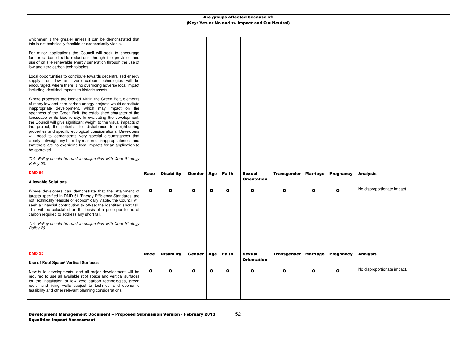| whichever is the greater unless it can be demonstrated that<br>this is not technically feasible or economically viable.<br>For minor applications the Council will seek to encourage<br>further carbon dioxide reductions through the provision and<br>use of on site renewable energy generation through the use of<br>low and zero carbon technologies.<br>Local opportunities to contribute towards decentralised energy<br>supply from low and zero carbon technologies will be<br>encouraged, where there is no overriding adverse local impact<br>including identified impacts to historic assets.<br>Where proposals are located within the Green Belt, elements<br>of many low and zero carbon energy projects would constitute<br>inappropriate development, which may impact on the<br>openness of the Green Belt, the established character of the<br>landscape or its biodiversity. In evaluating the development,<br>the Council will give significant weight to the visual impacts of<br>the project, the potential for disturbance to neighbouring<br>properties and specific ecological considerations. Developers<br>will need to demonstrate very special circumstances that<br>clearly outweigh any harm by reason of inappropriateness and<br>that there are no overriding local impacts for an application to<br>be approved.<br>This Policy should be read in conjunction with Core Strategy<br>Policy 20. |              |                   |               |              |              |                                     |                    |                 |                  |  |
|----------------------------------------------------------------------------------------------------------------------------------------------------------------------------------------------------------------------------------------------------------------------------------------------------------------------------------------------------------------------------------------------------------------------------------------------------------------------------------------------------------------------------------------------------------------------------------------------------------------------------------------------------------------------------------------------------------------------------------------------------------------------------------------------------------------------------------------------------------------------------------------------------------------------------------------------------------------------------------------------------------------------------------------------------------------------------------------------------------------------------------------------------------------------------------------------------------------------------------------------------------------------------------------------------------------------------------------------------------------------------------------------------------------------------------|--------------|-------------------|---------------|--------------|--------------|-------------------------------------|--------------------|-----------------|------------------|--|
| <b>DMD 54</b>                                                                                                                                                                                                                                                                                                                                                                                                                                                                                                                                                                                                                                                                                                                                                                                                                                                                                                                                                                                                                                                                                                                                                                                                                                                                                                                                                                                                                    | <b>Race</b>  | <b>Disability</b> | <b>Gender</b> | <b>Age</b>   | <b>Faith</b> | <b>Sexual</b><br><b>Orientation</b> | <b>Transgender</b> | <b>Marriage</b> | <b>Pregnancy</b> |  |
| <b>Allowable Solutions</b><br>Where developers can demonstrate that the attainment of<br>targets specified in DMD 51 'Energy Efficiency Standards' are<br>not technically feasible or economically viable, the Council will<br>seek a financial contribution to off-set the identified short fall.<br>This will be calculated on the basis of a price per tonne of<br>carbon required to address any short fall.<br>This Policy should be read in conjunction with Core Strategy<br>Policy 20.                                                                                                                                                                                                                                                                                                                                                                                                                                                                                                                                                                                                                                                                                                                                                                                                                                                                                                                                   | $\mathbf{o}$ | $\mathbf o$       | $\mathbf o$   | $\mathbf{o}$ | $\mathbf{o}$ | $\mathbf{o}$                        | O                  | $\mathbf{o}$    | O                |  |
| <b>DMD 55</b>                                                                                                                                                                                                                                                                                                                                                                                                                                                                                                                                                                                                                                                                                                                                                                                                                                                                                                                                                                                                                                                                                                                                                                                                                                                                                                                                                                                                                    | <b>Race</b>  | <b>Disability</b> | <b>Gender</b> | Age          | <b>Faith</b> | <b>Sexual</b><br><b>Orientation</b> | <b>Transgender</b> | <b>Marriage</b> | <b>Pregnancy</b> |  |
| Use of Roof Space/ Vertical Surfaces                                                                                                                                                                                                                                                                                                                                                                                                                                                                                                                                                                                                                                                                                                                                                                                                                                                                                                                                                                                                                                                                                                                                                                                                                                                                                                                                                                                             |              |                   |               |              |              |                                     |                    |                 |                  |  |
| New-build developments, and all major development will be<br>required to use all available roof space and vertical surfaces<br>for the installation of low zero carbon technologies, green<br>roofs, and living walls subject to technical and economic<br>feasibility and other relevant planning considerations.                                                                                                                                                                                                                                                                                                                                                                                                                                                                                                                                                                                                                                                                                                                                                                                                                                                                                                                                                                                                                                                                                                               | $\mathbf{o}$ | $\mathbf{o}$      | $\mathbf{o}$  | $\mathbf{o}$ | $\mathbf{o}$ | $\mathbf{o}$                        | O                  | $\mathbf{o}$    | O                |  |

## Analysis

No disproportionate impact.

## Analysis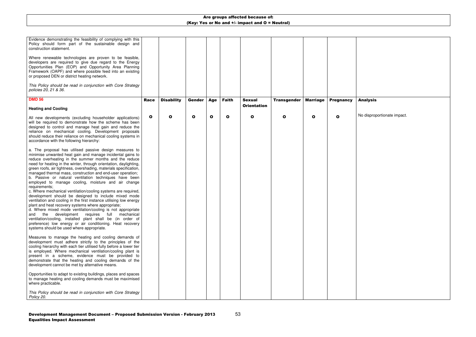53

| Evidence demonstrating the feasibility of complying with this<br>Policy should form part of the sustainable design and<br>construction statement.                                                                                                                                                                                                                                                                                                                                                                                                                                                                                                                                                                                                                                                                                                                                                                                                                                                                                                                    |              |                   |              |     |              |                    |                    |                 |                  |  |
|----------------------------------------------------------------------------------------------------------------------------------------------------------------------------------------------------------------------------------------------------------------------------------------------------------------------------------------------------------------------------------------------------------------------------------------------------------------------------------------------------------------------------------------------------------------------------------------------------------------------------------------------------------------------------------------------------------------------------------------------------------------------------------------------------------------------------------------------------------------------------------------------------------------------------------------------------------------------------------------------------------------------------------------------------------------------|--------------|-------------------|--------------|-----|--------------|--------------------|--------------------|-----------------|------------------|--|
| Where renewable technologies are proven to be feasible,<br>developers are required to give due regard to the Energy<br>Opportunities Plan (EOP) and Opportunity Area Planning<br>Framework (OAPF) and where possible feed into an existing<br>or proposed DEN or district heating network.                                                                                                                                                                                                                                                                                                                                                                                                                                                                                                                                                                                                                                                                                                                                                                           |              |                   |              |     |              |                    |                    |                 |                  |  |
| This Policy should be read in conjunction with Core Strategy<br>policies 20, 21 & 36.                                                                                                                                                                                                                                                                                                                                                                                                                                                                                                                                                                                                                                                                                                                                                                                                                                                                                                                                                                                |              |                   |              |     |              |                    |                    |                 |                  |  |
| <b>DMD 56</b>                                                                                                                                                                                                                                                                                                                                                                                                                                                                                                                                                                                                                                                                                                                                                                                                                                                                                                                                                                                                                                                        | <b>Race</b>  | <b>Disability</b> | Gender       | Age | <b>Faith</b> | <b>Sexual</b>      | <b>Transgender</b> | <b>Marriage</b> | <b>Pregnancy</b> |  |
| <b>Heating and Cooling</b>                                                                                                                                                                                                                                                                                                                                                                                                                                                                                                                                                                                                                                                                                                                                                                                                                                                                                                                                                                                                                                           |              |                   |              |     |              | <b>Orientation</b> |                    |                 |                  |  |
| All new developments (excluding householder applications)<br>will be required to demonstrate how the scheme has been<br>designed to control and manage heat gain and reduce the<br>reliance on mechanical cooling. Development proposals<br>should reduce their reliance on mechanical cooling systems in<br>accordance with the following hierarchy:                                                                                                                                                                                                                                                                                                                                                                                                                                                                                                                                                                                                                                                                                                                | $\mathbf{o}$ | $\mathbf o$       | $\mathbf{o}$ | O   | $\mathbf{o}$ | $\mathbf{o}$       | O                  | $\mathbf{o}$    | $\mathbf{o}$     |  |
| a. The proposal has utilised passive design measures to<br>minimise unwanted heat gain and manage incidental gains to<br>reduce overheating in the summer months and the reduce<br>need for heating in the winter, through orientation, daylighting,<br>green roofs, air tightness, overshading, materials specification,<br>managed thermal mass, construction and end-user operation;<br>b. Passive or natural ventilation techniques have been<br>employed to manage cooling, moisture and air change<br>requirements;<br>c. Where mechanical ventilation/cooling systems are required,<br>development should be designed to include mixed mode<br>ventilation and cooling in the first instance utilising low energy<br>plant and heat recovery systems where appropriate;<br>d. Where mixed mode ventilation/cooling is not appropriate<br>and the development requires full mechanical<br>ventilation/cooling, installed plant shall be (in order of<br>preference) low energy or air conditioning. Heat recovery<br>systems should be used where appropriate. |              |                   |              |     |              |                    |                    |                 |                  |  |
| Measures to manage the heating and cooling demands of<br>development must adhere strictly to the principles of the<br>cooling hierarchy with each tier utilised fully before a lower tier<br>is employed. Where mechanical ventilation/cooling plant is<br>present in a scheme, evidence must be provided to<br>demonstrate that the heating and cooling demands of the<br>development cannot be met by alternative means.                                                                                                                                                                                                                                                                                                                                                                                                                                                                                                                                                                                                                                           |              |                   |              |     |              |                    |                    |                 |                  |  |
| Opportunities to adapt to existing buildings, places and spaces<br>to manage heating and cooling demands must be maximised<br>where practicable.                                                                                                                                                                                                                                                                                                                                                                                                                                                                                                                                                                                                                                                                                                                                                                                                                                                                                                                     |              |                   |              |     |              |                    |                    |                 |                  |  |
| This Policy should be read in conjunction with Core Strategy<br>Policy 20.                                                                                                                                                                                                                                                                                                                                                                                                                                                                                                                                                                                                                                                                                                                                                                                                                                                                                                                                                                                           |              |                   |              |     |              |                    |                    |                 |                  |  |

## Analysis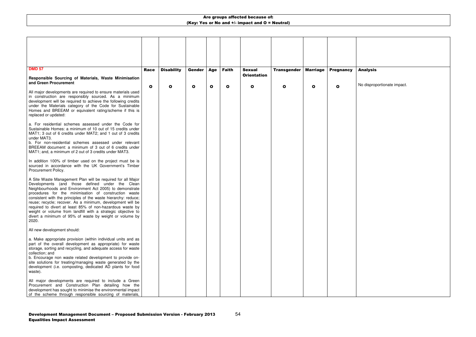| <b>DMD 57</b>                                                                                                                                                                                                                                                                                                                                                                                                                                                                                                                                                       |              |                   |               |     |              |                                     |                    |                 |                  |  |
|---------------------------------------------------------------------------------------------------------------------------------------------------------------------------------------------------------------------------------------------------------------------------------------------------------------------------------------------------------------------------------------------------------------------------------------------------------------------------------------------------------------------------------------------------------------------|--------------|-------------------|---------------|-----|--------------|-------------------------------------|--------------------|-----------------|------------------|--|
|                                                                                                                                                                                                                                                                                                                                                                                                                                                                                                                                                                     | Race         | <b>Disability</b> | <b>Gender</b> | Age | <b>Faith</b> | <b>Sexual</b><br><b>Orientation</b> | <b>Transgender</b> | <b>Marriage</b> | <b>Pregnancy</b> |  |
| Responsible Sourcing of Materials, Waste Minimisation<br>and Green Procurement                                                                                                                                                                                                                                                                                                                                                                                                                                                                                      |              |                   |               |     |              |                                     |                    |                 |                  |  |
|                                                                                                                                                                                                                                                                                                                                                                                                                                                                                                                                                                     | $\mathbf{o}$ | O                 | $\mathbf o$   | O   | $\mathbf o$  | O                                   | Ω                  | $\mathbf{o}$    | Ω                |  |
| All major developments are required to ensure materials used<br>in construction are responsibly sourced. As a minimum<br>development will be required to achieve the following credits<br>under the Materials category of the Code for Sustainable<br>Homes and BREEAM or equivalent rating/scheme if this is<br>replaced or updated:                                                                                                                                                                                                                               |              |                   |               |     |              |                                     |                    |                 |                  |  |
| a. For residential schemes assessed under the Code for<br>Sustainable Homes: a minimum of 10 out of 15 credits under<br>MAT1; 3 out of 6 credits under MAT2; and 1 out of 3 credits<br>under MAT3.                                                                                                                                                                                                                                                                                                                                                                  |              |                   |               |     |              |                                     |                    |                 |                  |  |
| b. For non-residential schemes assessed under relevant<br>BREEAM document: a minimum of 3 out of 6 credits under<br>MAT1; and, a minimum of 2 out of 3 credits under MAT3.                                                                                                                                                                                                                                                                                                                                                                                          |              |                   |               |     |              |                                     |                    |                 |                  |  |
| In addition 100% of timber used on the project must be is<br>sourced in accordance with the UK Government's Timber<br>Procurement Policy.                                                                                                                                                                                                                                                                                                                                                                                                                           |              |                   |               |     |              |                                     |                    |                 |                  |  |
| A Site Waste Management Plan will be required for all Major<br>Developments (and those defined under the Clean<br>Neighbourhoods and Environment Act 2005) to demonstrate<br>procedures for the minimisation of construction waste<br>consistent with the principles of the waste hierarchy: reduce;<br>reuse; recycle; recover. As a minimum, development will be<br>required to divert at least 85% of non-hazardous waste by<br>weight or volume from landfill with a strategic objective to<br>divert a minimum of 95% of waste by weight or volume by<br>2020. |              |                   |               |     |              |                                     |                    |                 |                  |  |
| All new development should:                                                                                                                                                                                                                                                                                                                                                                                                                                                                                                                                         |              |                   |               |     |              |                                     |                    |                 |                  |  |
| a. Make appropriate provision (within individual units and as<br>part of the overall development as appropriate) for waste<br>storage, sorting and recycling, and adequate access for waste<br>collection; and<br>b. Encourage non waste related development to provide on-<br>site solutions for treating/managing waste generated by the<br>development (i.e. composting, dedicated AD plants for food                                                                                                                                                            |              |                   |               |     |              |                                     |                    |                 |                  |  |
| waste).                                                                                                                                                                                                                                                                                                                                                                                                                                                                                                                                                             |              |                   |               |     |              |                                     |                    |                 |                  |  |
| All major developments are required to include a Green<br>Procurement and Construction Plan detailing how the<br>development has sought to minimise the environmental impact<br>of the scheme through responsible sourcing of materials,                                                                                                                                                                                                                                                                                                                            |              |                   |               |     |              |                                     |                    |                 |                  |  |

## Analysis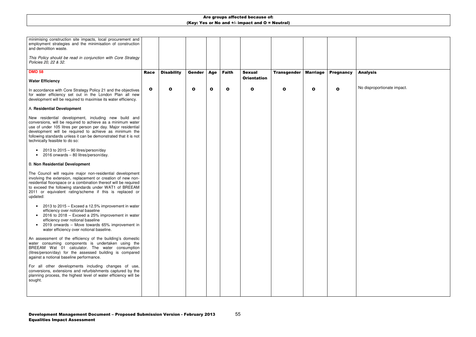55

| minimising construction site impacts, local procurement and<br>employment strategies and the minimisation of construction<br>and demolition waste.<br>This Policy should be read in conjunction with Core Strategy                                                                                                                                   |              |                   |               |            |              |                                     |                    |                 |                  |  |
|------------------------------------------------------------------------------------------------------------------------------------------------------------------------------------------------------------------------------------------------------------------------------------------------------------------------------------------------------|--------------|-------------------|---------------|------------|--------------|-------------------------------------|--------------------|-----------------|------------------|--|
| Policies 20, 22 & 32.                                                                                                                                                                                                                                                                                                                                |              |                   |               |            |              |                                     |                    |                 |                  |  |
| <b>DMD 58</b>                                                                                                                                                                                                                                                                                                                                        | <b>Race</b>  | <b>Disability</b> | <b>Gender</b> | <b>Age</b> | <b>Faith</b> | <b>Sexual</b><br><b>Orientation</b> | <b>Transgender</b> | <b>Marriage</b> | <b>Pregnancy</b> |  |
| <b>Water Efficiency</b>                                                                                                                                                                                                                                                                                                                              |              |                   |               |            |              |                                     |                    |                 |                  |  |
| In accordance with Core Strategy Policy 21 and the objectives<br>for water efficiency set out in the London Plan all new<br>development will be required to maximise its water efficiency.                                                                                                                                                           | $\mathbf{o}$ | O                 | O             | O          | $\mathbf{o}$ | $\mathbf o$                         | O                  | O               | O                |  |
| A. Residential Development                                                                                                                                                                                                                                                                                                                           |              |                   |               |            |              |                                     |                    |                 |                  |  |
| New residential development, including new build and<br>conversions, will be required to achieve as a minimum water<br>use of under 105 litres per person per day. Major residential<br>development will be required to achieve as minimum the<br>following standards unless it can be demonstrated that it is not<br>technically feasible to do so: |              |                   |               |            |              |                                     |                    |                 |                  |  |
| 2013 to $2015 - 90$ litres/person/day<br>2016 onwards - 80 litres/person/day.<br>$\bullet$                                                                                                                                                                                                                                                           |              |                   |               |            |              |                                     |                    |                 |                  |  |
| <b>B. Non Residential Development</b>                                                                                                                                                                                                                                                                                                                |              |                   |               |            |              |                                     |                    |                 |                  |  |
| The Council will require major non-residential development<br>involving the extension, replacement or creation of new non-<br>residential floorspace or a combination thereof will be required<br>to exceed the following standards under WAT1 of BREEAM<br>2011 or equivalent rating/scheme if this is replaced or<br>updated:                      |              |                   |               |            |              |                                     |                    |                 |                  |  |
| 2013 to 2015 – Exceed a 12.5% improvement in water<br>efficiency over notional baseline<br>2016 to 2018 - Exceed a 25% improvement in water<br>efficiency over notional baseline<br>2019 onwards - Move towards 65% improvement in<br>water efficiency over notional baseline.                                                                       |              |                   |               |            |              |                                     |                    |                 |                  |  |
| An assessment of the efficiency of the building's domestic<br>water consuming components is undertaken using the<br>BREEAM Wat 01 calculator. The water consumption<br>(litres/person/day) for the assessed building is compared<br>against a notional baseline performance.                                                                         |              |                   |               |            |              |                                     |                    |                 |                  |  |
| For all other developments including changes of use,<br>conversions, extensions and refurbishments captured by the<br>planning process, the highest level of water efficiency will be<br>sought.                                                                                                                                                     |              |                   |               |            |              |                                     |                    |                 |                  |  |
|                                                                                                                                                                                                                                                                                                                                                      |              |                   |               |            |              |                                     |                    |                 |                  |  |

## Analysis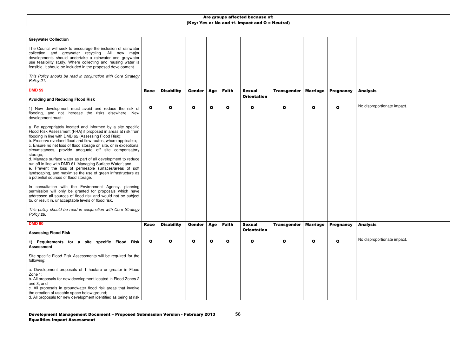| <b>Greywater Collection</b><br>The Council will seek to encourage the inclusion of rainwater<br>collection and greywater recycling. All new major<br>developments should undertake a rainwater and greywater<br>use feasibility study. Where collecting and reusing water is<br>feasible, it should be included in the proposed development.<br>This Policy should be read in conjunction with Core Strategy<br>Policy 21.                                                                                                                                                                                                                                                                       |              |                   |               |              |              |                    |                    |                 |                  |  |
|--------------------------------------------------------------------------------------------------------------------------------------------------------------------------------------------------------------------------------------------------------------------------------------------------------------------------------------------------------------------------------------------------------------------------------------------------------------------------------------------------------------------------------------------------------------------------------------------------------------------------------------------------------------------------------------------------|--------------|-------------------|---------------|--------------|--------------|--------------------|--------------------|-----------------|------------------|--|
| <b>DMD 59</b>                                                                                                                                                                                                                                                                                                                                                                                                                                                                                                                                                                                                                                                                                    | <b>Race</b>  | <b>Disability</b> | <b>Gender</b> | <b>Age</b>   | <b>Faith</b> | <b>Sexual</b>      | <b>Transgender</b> | <b>Marriage</b> | <b>Pregnancy</b> |  |
| <b>Avoiding and Reducing Flood Risk</b>                                                                                                                                                                                                                                                                                                                                                                                                                                                                                                                                                                                                                                                          |              |                   |               |              |              | <b>Orientation</b> |                    |                 |                  |  |
| 1) New development must avoid and reduce the risk of<br>flooding, and not increase the risks elsewhere. New<br>development must:                                                                                                                                                                                                                                                                                                                                                                                                                                                                                                                                                                 | $\mathbf{o}$ | $\mathbf{o}$      | $\mathbf o$   | $\mathbf{o}$ | O            | $\mathbf{o}$       | O                  | $\mathbf{o}$    | O                |  |
| a. Be appropriately located and informed by a site specific<br>Flood Risk Assessment (FRA) if proposed in areas at risk from<br>flooding in line with DMD 62 (Assessing Flood Risk);<br>b. Preserve overland flood and flow routes, where applicable;<br>c. Ensure no net loss of flood storage on site, or in exceptional<br>circumstances, provide adequate off site compensatory<br>storage;<br>d. Manage surface water as part of all development to reduce<br>run off in line with DMD 61 'Managing Surface Water'; and<br>e. Prevent the loss of permeable surfaces/areas of soft<br>landscaping, and maximise the use of green infrastructure as<br>a potential sources of flood storage. |              |                   |               |              |              |                    |                    |                 |                  |  |
| In consultation with the Environment Agency, planning<br>permission will only be granted for proposals which have<br>addressed all sources of flood risk and would not be subject<br>to, or result in, unacceptable levels of flood risk.                                                                                                                                                                                                                                                                                                                                                                                                                                                        |              |                   |               |              |              |                    |                    |                 |                  |  |
| This policy should be read in conjunction with Core Strategy<br>Policy 28.                                                                                                                                                                                                                                                                                                                                                                                                                                                                                                                                                                                                                       |              |                   |               |              |              |                    |                    |                 |                  |  |
| <b>DMD 60</b>                                                                                                                                                                                                                                                                                                                                                                                                                                                                                                                                                                                                                                                                                    | <b>Race</b>  | <b>Disability</b> | Gender        | <b>Age</b>   | <b>Faith</b> | <b>Sexual</b>      | <b>Transgender</b> | <b>Marriage</b> | <b>Pregnancy</b> |  |
| <b>Assessing Flood Risk</b>                                                                                                                                                                                                                                                                                                                                                                                                                                                                                                                                                                                                                                                                      |              |                   |               |              |              | <b>Orientation</b> |                    |                 |                  |  |
| 1) Requirements for a site specific Flood Risk<br><b>Assessment</b>                                                                                                                                                                                                                                                                                                                                                                                                                                                                                                                                                                                                                              | $\mathbf{o}$ | $\mathbf{o}$      | $\mathbf{o}$  | $\mathbf{o}$ | O            | $\mathbf{o}$       | O                  | O               | $\mathbf{o}$     |  |
| Site specific Flood Risk Assessments will be required for the<br>following:<br>a. Development proposals of 1 hectare or greater in Flood<br>Zone 1;<br>b. All proposals for new development located in Flood Zones 2<br>and 3; and<br>c. All proposals in groundwater flood risk areas that involve<br>the creation of useable space below ground;<br>d. All proposals for new development identified as being at risk                                                                                                                                                                                                                                                                           |              |                   |               |              |              |                    |                    |                 |                  |  |

## Analysis

No disproportionate impact.

## Analysis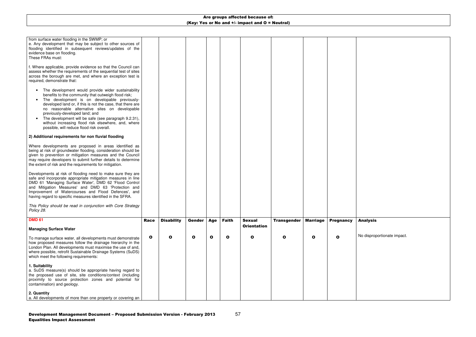| from surface water flooding in the SWMP; or<br>e. Any development that may be subject to other sources of<br>flooding identified in subsequent reviews/updates of the<br>evidence base on flooding.<br>These FRAs must:                                                                                                                                                                                                                                                  |             |                   |               |              |              |                    |                    |                 |                  |  |
|--------------------------------------------------------------------------------------------------------------------------------------------------------------------------------------------------------------------------------------------------------------------------------------------------------------------------------------------------------------------------------------------------------------------------------------------------------------------------|-------------|-------------------|---------------|--------------|--------------|--------------------|--------------------|-----------------|------------------|--|
| f. Where applicable, provide evidence so that the Council can<br>assess whether the requirements of the sequential test of sites<br>across the borough are met, and where an exception test is<br>required, demonstrate that:                                                                                                                                                                                                                                            |             |                   |               |              |              |                    |                    |                 |                  |  |
| The development would provide wider sustainability<br>benefits to the community that outweigh flood risk;<br>The development is on developable previously-<br>developed land or, if this is not the case, that there are<br>no reasonable alternative sites on developable<br>previously-developed land; and<br>The development will be safe (see paragraph 9.2.31),<br>without increasing flood risk elsewhere, and, where<br>possible, will reduce flood risk overall. |             |                   |               |              |              |                    |                    |                 |                  |  |
| 2) Additional requirements for non fluvial flooding                                                                                                                                                                                                                                                                                                                                                                                                                      |             |                   |               |              |              |                    |                    |                 |                  |  |
| Where developments are proposed in areas identified as<br>being at risk of groundwater flooding, consideration should be<br>given to prevention or mitigation measures and the Council<br>may require developers to submit further details to determine<br>the extent of risk and the requirements for mitigation.                                                                                                                                                       |             |                   |               |              |              |                    |                    |                 |                  |  |
| Developments at risk of flooding need to make sure they are<br>safe and incorporate appropriate mitigation measures in line<br>DMD 61 'Managing Surface Water', DMD 62 'Flood Control<br>and Mitigation Measures' and DMD 63 'Protection and<br>Improvement of Watercourses and Flood Defences', and<br>having regard to specific measures identified in the SFRA.                                                                                                       |             |                   |               |              |              |                    |                    |                 |                  |  |
| This Policy should be read in conjunction with Core Strategy<br>Policy 28.                                                                                                                                                                                                                                                                                                                                                                                               |             |                   |               |              |              |                    |                    |                 |                  |  |
| <b>DMD 61</b>                                                                                                                                                                                                                                                                                                                                                                                                                                                            | <b>Race</b> | <b>Disability</b> | <b>Gender</b> | Age          | <b>Faith</b> | <b>Sexual</b>      | <b>Transgender</b> | <b>Marriage</b> | <b>Pregnancy</b> |  |
| <b>Managing Surface Water</b>                                                                                                                                                                                                                                                                                                                                                                                                                                            |             |                   |               |              |              | <b>Orientation</b> |                    |                 |                  |  |
| To manage surface water, all developments must demonstrate<br>how proposed measures follow the drainage hierarchy in the<br>London Plan. All developments must maximise the use of and,<br>where possible, retrofit Sustainable Drainage Systems (SuDS)<br>which meet the following requirements:                                                                                                                                                                        | $\bullet$   | $\mathbf o$       | $\mathbf{o}$  | $\mathbf{o}$ | $\mathbf{o}$ | O                  | O                  | $\mathbf{o}$    | $\mathbf{o}$     |  |
| 1. Suitability<br>a. SuDS measure(s) should be appropriate having regard to<br>the proposed use of site, site conditions/context (including<br>proximity to source protection zones and potential for<br>contamination) and geology.                                                                                                                                                                                                                                     |             |                   |               |              |              |                    |                    |                 |                  |  |
| 2. Quantity<br>a. All developments of more than one property or covering an                                                                                                                                                                                                                                                                                                                                                                                              |             |                   |               |              |              |                    |                    |                 |                  |  |

### Analysis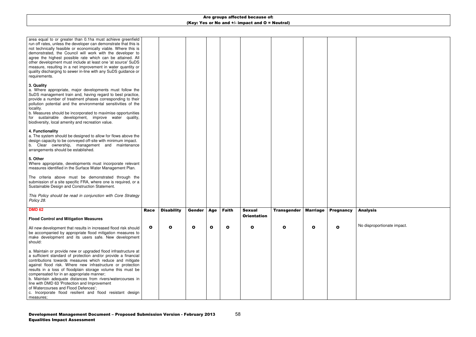| area equal to or greater than 0.1ha must achieve greenfield<br>run off rates, unless the developer can demonstrate that this is<br>not technically feasible or economically viable. Where this is<br>demonstrated, the Council will work with the developer to<br>agree the highest possible rate which can be attained. All<br>other development must include at least one 'at source' SuDS<br>measure, resulting in a net improvement in water quantity or<br>quality discharging to sewer in-line with any SuDS guidance or<br>requirements.                                                        |              |                   |              |              |              |                    |                    |                 |                  |  |
|--------------------------------------------------------------------------------------------------------------------------------------------------------------------------------------------------------------------------------------------------------------------------------------------------------------------------------------------------------------------------------------------------------------------------------------------------------------------------------------------------------------------------------------------------------------------------------------------------------|--------------|-------------------|--------------|--------------|--------------|--------------------|--------------------|-----------------|------------------|--|
| 3. Quality<br>a. Where appropriate, major developments must follow the<br>SuDS management train and, having regard to best practice,<br>provide a number of treatment phases corresponding to their<br>pollution potential and the environmental sensitivities of the<br>locality.<br>b. Measures should be incorporated to maximise opportunities<br>for sustainable development, improve water quality,<br>biodiversity, local amenity and recreation value.                                                                                                                                         |              |                   |              |              |              |                    |                    |                 |                  |  |
| 4. Functionality<br>a. The system should be designed to allow for flows above the<br>design capacity to be conveyed off-site with minimum impact.<br>b. Clear ownership, management and maintenance<br>arrangements should be established.                                                                                                                                                                                                                                                                                                                                                             |              |                   |              |              |              |                    |                    |                 |                  |  |
| 5. Other<br>Where appropriate, developments must incorporate relevant<br>measures identified in the Surface Water Management Plan.                                                                                                                                                                                                                                                                                                                                                                                                                                                                     |              |                   |              |              |              |                    |                    |                 |                  |  |
| The criteria above must be demonstrated through the<br>submission of a site specific FRA, where one is required, or a<br>Sustainable Design and Construction Statement.                                                                                                                                                                                                                                                                                                                                                                                                                                |              |                   |              |              |              |                    |                    |                 |                  |  |
| This Policy should be read in conjunction with Core Strategy<br>Policy 28.                                                                                                                                                                                                                                                                                                                                                                                                                                                                                                                             |              |                   |              |              |              |                    |                    |                 |                  |  |
| <b>DMD 62</b>                                                                                                                                                                                                                                                                                                                                                                                                                                                                                                                                                                                          | <b>Race</b>  | <b>Disability</b> | Gender       | Age          | <b>Faith</b> | <b>Sexual</b>      | <b>Transgender</b> | <b>Marriage</b> | <b>Pregnancy</b> |  |
| <b>Flood Control and Mitigation Measures</b>                                                                                                                                                                                                                                                                                                                                                                                                                                                                                                                                                           |              |                   |              |              |              | <b>Orientation</b> |                    |                 |                  |  |
| All new development that results in increased flood risk should<br>be accompanied by appropriate flood mitigation measures to<br>make development and its users safe. New development<br>should:                                                                                                                                                                                                                                                                                                                                                                                                       | $\mathbf{o}$ | $\mathbf o$       | $\mathbf{o}$ | $\mathbf{o}$ | $\mathbf{o}$ | O                  | Ο                  | $\mathbf{o}$    | O                |  |
| a. Maintain or provide new or upgraded flood infrastructure at<br>a sufficient standard of protection and/or provide a financial<br>contributions towards measures which reduce and mitigate<br>against flood risk. Where new infrastructure or protection<br>results in a loss of floodplain storage volume this must be<br>compensated for in an appropriate manner;<br>b. Maintain adequate distances from rivers/watercourses in<br>line with DMD 63 'Protection and Improvement<br>of Watercourses and Flood Defences';<br>c. Incorporate flood resilient and flood resistant design<br>measures; |              |                   |              |              |              |                    |                    |                 |                  |  |

## Analysis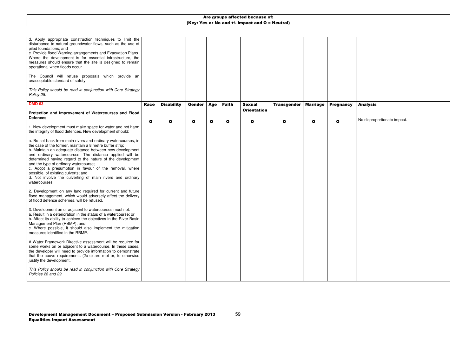| d. Apply appropriate construction techniques to limit the<br>disturbance to natural groundwater flows, such as the use of<br>piled foundations; and<br>e. Provide flood Warning arrangements and Evacuation Plans.<br>Where the development is for essential infrastructure, the<br>measures should ensure that the site is designed to remain<br>operational when floods occur.<br>The Council will refuse proposals which provide an<br>unacceptable standard of safety.<br>This Policy should be read in conjunction with Core Strategy<br>Policy 28. |             |                   |              |              |              |                                     |                    |                 |                  |  |
|----------------------------------------------------------------------------------------------------------------------------------------------------------------------------------------------------------------------------------------------------------------------------------------------------------------------------------------------------------------------------------------------------------------------------------------------------------------------------------------------------------------------------------------------------------|-------------|-------------------|--------------|--------------|--------------|-------------------------------------|--------------------|-----------------|------------------|--|
| <b>DMD 63</b>                                                                                                                                                                                                                                                                                                                                                                                                                                                                                                                                            | <b>Race</b> | <b>Disability</b> | Gender       | Age          | <b>Faith</b> | <b>Sexual</b><br><b>Orientation</b> | <b>Transgender</b> | <b>Marriage</b> | <b>Pregnancy</b> |  |
| Protection and Improvement of Watercourses and Flood<br><b>Defences</b>                                                                                                                                                                                                                                                                                                                                                                                                                                                                                  |             |                   |              |              |              |                                     |                    |                 |                  |  |
| 1. New development must make space for water and not harm<br>the integrity of flood defences. New development should:                                                                                                                                                                                                                                                                                                                                                                                                                                    | O           | $\mathbf{o}$      | $\mathbf{o}$ | $\mathbf{o}$ | $\mathbf{o}$ | $\mathbf{o}$                        | O                  | $\mathbf o$     | O                |  |
| a. Be set back from main rivers and ordinary watercourses, in<br>the case of the former, maintain a 8 metre buffer strip;<br>b. Maintain an adequate distance between new development<br>and ordinary watercourses. The distance applied will be<br>determined having regard to the nature of the development<br>and the type of ordinary watercourse;<br>c. Adopt a presumption in favour of the removal, where<br>possible, of existing culverts; and<br>d. Not involve the culverting of main rivers and ordinary<br>watercourses.                    |             |                   |              |              |              |                                     |                    |                 |                  |  |
| 2. Development on any land required for current and future<br>flood management, which would adversely affect the delivery<br>of flood defence schemes, will be refused.                                                                                                                                                                                                                                                                                                                                                                                  |             |                   |              |              |              |                                     |                    |                 |                  |  |
| 3. Development on or adjacent to watercourses must not:<br>a. Result in a deterioration in the status of a watercourse; or<br>b. Affect its ability to achieve the objectives in the River Basin<br>Management Plan (RBMP); and<br>c. Where possible, it should also implement the mitigation<br>measures identified in the RBMP.                                                                                                                                                                                                                        |             |                   |              |              |              |                                     |                    |                 |                  |  |
| A Water Framework Directive assessment will be required for<br>some works on or adjacent to a watercourse. In these cases,<br>the developer will need to provide information to demonstrate<br>that the above requirements (2a-c) are met or, to otherwise<br>justify the development.                                                                                                                                                                                                                                                                   |             |                   |              |              |              |                                     |                    |                 |                  |  |
| This Policy should be read in conjunction with Core Strategy<br>Policies 28 and 29.                                                                                                                                                                                                                                                                                                                                                                                                                                                                      |             |                   |              |              |              |                                     |                    |                 |                  |  |

## Analysis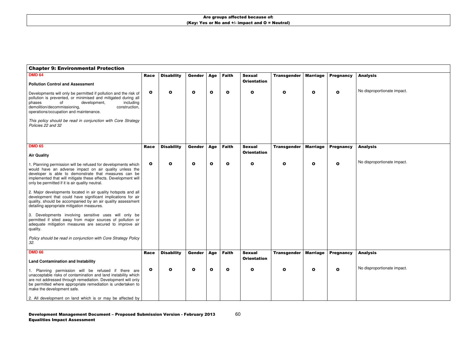## Analysis

No disproportionate impact.

| <b>Chapter 9: Environmental Protection</b>                                                                                                                                                                                                                                                            |             |                   |               |              |              |                                     |                    |                 |                  |  |
|-------------------------------------------------------------------------------------------------------------------------------------------------------------------------------------------------------------------------------------------------------------------------------------------------------|-------------|-------------------|---------------|--------------|--------------|-------------------------------------|--------------------|-----------------|------------------|--|
| <b>DMD 64</b>                                                                                                                                                                                                                                                                                         | Race        | <b>Disability</b> | <b>Gender</b> | Age          | <b>Faith</b> | <b>Sexual</b><br><b>Orientation</b> | <b>Transgender</b> | <b>Marriage</b> | <b>Pregnancy</b> |  |
| <b>Pollution Control and Assessment</b>                                                                                                                                                                                                                                                               |             |                   |               |              |              |                                     |                    |                 |                  |  |
| Developments will only be permitted if pollution and the risk of<br>pollution is prevented, or minimised and mitigated during all<br>development,<br>including<br>phases<br>οf<br>demolition/decommissioning,<br>construction,<br>operations/occupation and maintenance.                              | O           | O                 | $\mathbf{o}$  | $\mathbf{o}$ | O            | $\mathbf o$                         | O                  | O               | O                |  |
| This policy should be read in conjunction with Core Strategy<br>Policies 22 and 32                                                                                                                                                                                                                    |             |                   |               |              |              |                                     |                    |                 |                  |  |
| <b>DMD 65</b>                                                                                                                                                                                                                                                                                         |             |                   |               |              |              |                                     |                    |                 |                  |  |
|                                                                                                                                                                                                                                                                                                       | <b>Race</b> | <b>Disability</b> | <b>Gender</b> | Age          | <b>Faith</b> | <b>Sexual</b><br><b>Orientation</b> | <b>Transgender</b> | <b>Marriage</b> | <b>Pregnancy</b> |  |
| <b>Air Quality</b>                                                                                                                                                                                                                                                                                    |             |                   |               |              |              |                                     |                    |                 |                  |  |
| 1. Planning permission will be refused for developments which<br>would have an adverse impact on air quality unless the<br>developer is able to demonstrate that measures can be<br>implemented that will mitigate these effects. Development will<br>only be permitted if it is air quality neutral. | O           | O                 | $\bullet$     | $\mathbf{o}$ | O            | $\mathbf{o}$                        | O                  | O               | O                |  |
| 2. Major developments located in air quality hotspots and all<br>development that could have significant implications for air<br>quality, should be accompanied by an air quality assessment<br>detailing appropriate mitigation measures.                                                            |             |                   |               |              |              |                                     |                    |                 |                  |  |
| 3. Developments involving sensitive uses will only be<br>permitted if sited away from major sources of pollution or<br>adequate mitigation measures are secured to improve air<br>quality.                                                                                                            |             |                   |               |              |              |                                     |                    |                 |                  |  |
| Policy should be read in conjunction with Core Strategy Policy<br>32.                                                                                                                                                                                                                                 |             |                   |               |              |              |                                     |                    |                 |                  |  |
| <b>DMD 66</b>                                                                                                                                                                                                                                                                                         | <b>Race</b> | <b>Disability</b> | Gender        | <b>Age</b>   | <b>Faith</b> | <b>Sexual</b>                       | <b>Transgender</b> | <b>Marriage</b> | <b>Pregnancy</b> |  |
| <b>Land Contamination and Instability</b>                                                                                                                                                                                                                                                             |             |                   |               |              |              | <b>Orientation</b>                  |                    |                 |                  |  |
| 1. Planning permission will be refused if there are<br>unacceptable risks of contamination and land instability which<br>are not addressed through remediation. Development will only<br>be permitted where appropriate remediation is undertaken to<br>make the development safe.                    | O           | O                 | $\mathbf{o}$  | $\mathbf{o}$ | O            | $\mathbf o$                         | O                  | O               | $\mathbf o$      |  |
| 2. All development on land which is or may be affected by                                                                                                                                                                                                                                             |             |                   |               |              |              |                                     |                    |                 |                  |  |

### Analysis

No disproportionate impact.

## Analysis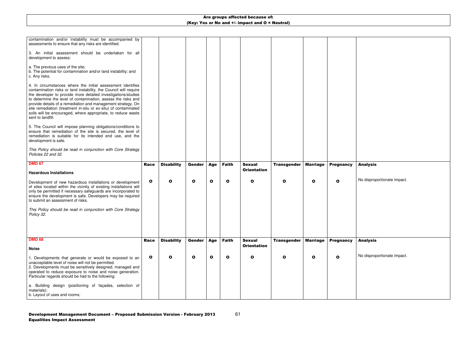| contamination and/or instability must be accompanied by<br>assessments to ensure that any risks are identified.                                                                                                                                                                                                                                                                                                                                                                            |              |                   |               |              |              |                    |                    |                 |                  |  |
|--------------------------------------------------------------------------------------------------------------------------------------------------------------------------------------------------------------------------------------------------------------------------------------------------------------------------------------------------------------------------------------------------------------------------------------------------------------------------------------------|--------------|-------------------|---------------|--------------|--------------|--------------------|--------------------|-----------------|------------------|--|
| 3. An initial assessment should be undertaken for all<br>development to assess:                                                                                                                                                                                                                                                                                                                                                                                                            |              |                   |               |              |              |                    |                    |                 |                  |  |
| a. The previous uses of the site;<br>b. The potential for contamination and/or land instability; and<br>c. Any risks.                                                                                                                                                                                                                                                                                                                                                                      |              |                   |               |              |              |                    |                    |                 |                  |  |
| 4. In circumstances where the initial assessment identifies<br>contamination risks or land instability, the Council will require<br>the developer to provide more detailed investigations/studies<br>to determine the level of contamination, assess the risks and<br>provide details of a remediation and management strategy. On<br>site remediation (treatment in-situ or ex-situ) of contaminated<br>soils will be encouraged, where appropriate, to reduce waste<br>sent to landfill. |              |                   |               |              |              |                    |                    |                 |                  |  |
| 5. The Council will impose planning obligations/conditions to<br>ensure that remediation of the site is secured, the level of<br>remediation is suitable for its intended end use, and the<br>development is safe.                                                                                                                                                                                                                                                                         |              |                   |               |              |              |                    |                    |                 |                  |  |
| This Policy should be read in conjunction with Core Strategy<br>Policies 22 and 32.                                                                                                                                                                                                                                                                                                                                                                                                        |              |                   |               |              |              |                    |                    |                 |                  |  |
| <b>DMD 67</b>                                                                                                                                                                                                                                                                                                                                                                                                                                                                              | <b>Race</b>  | <b>Disability</b> | <b>Gender</b> | Age          | <b>Faith</b> | <b>Sexual</b>      | <b>Transgender</b> | <b>Marriage</b> | <b>Pregnancy</b> |  |
| <b>Hazardous Installations</b>                                                                                                                                                                                                                                                                                                                                                                                                                                                             |              |                   |               |              |              | <b>Orientation</b> |                    |                 |                  |  |
| Development of new hazardous installations or development<br>of sites located within the vicinity of existing installations will<br>only be permitted if necessary safeguards are incorporated to<br>ensure the development is safe. Developers may be required<br>to submit an assessment of risks.                                                                                                                                                                                       | $\mathbf{o}$ | O                 | $\mathbf{o}$  | $\mathbf{o}$ | $\mathbf{o}$ | $\mathbf{o}$       | O                  | $\mathbf o$     | O                |  |
| This Policy should be read in conjunction with Core Strategy<br>Policy 32.                                                                                                                                                                                                                                                                                                                                                                                                                 |              |                   |               |              |              |                    |                    |                 |                  |  |
|                                                                                                                                                                                                                                                                                                                                                                                                                                                                                            |              |                   |               |              |              |                    |                    |                 |                  |  |
| <b>DMD 68</b>                                                                                                                                                                                                                                                                                                                                                                                                                                                                              | <b>Race</b>  | <b>Disability</b> | <b>Gender</b> | <b>Age</b>   | <b>Faith</b> | <b>Sexual</b>      | <b>Transgender</b> | <b>Marriage</b> | <b>Pregnancy</b> |  |
| <b>Noise</b>                                                                                                                                                                                                                                                                                                                                                                                                                                                                               |              |                   |               |              |              | <b>Orientation</b> |                    |                 |                  |  |
| 1. Developments that generate or would be exposed to an<br>unacceptable level of noise will not be permitted.<br>2. Developments must be sensitively designed, managed and<br>operated to reduce exposure to noise and noise generation.<br>Particular regards should be had to the following:                                                                                                                                                                                             | $\mathbf{o}$ | O                 | $\mathbf{o}$  | $\mathbf{o}$ | $\mathbf{o}$ | $\mathbf{o}$       | O                  | $\mathbf o$     | O                |  |
| a. Building design (positioning of façades, selection of<br>materials);<br>b. Layout of uses and rooms;                                                                                                                                                                                                                                                                                                                                                                                    |              |                   |               |              |              |                    |                    |                 |                  |  |

### Analysis

No disproportionate impact.

## Analysis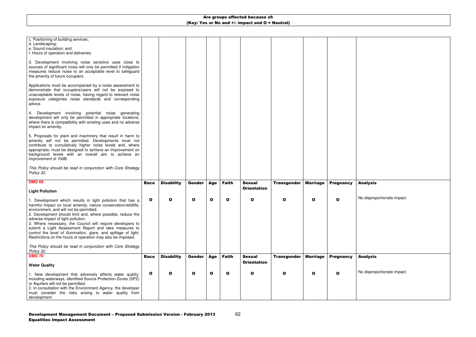#### c. Positioning of building services; d. Landscaping; e. Sound insulation; and f. Hours of operation and deliveries. 3. Development involving noise sensitive uses close to sources of significant noise will only be permitted if mitigation measures reduce noise to an acceptable level to safeguard the amenity of future occupiers. Applications must be accompanied by a noise assessment to demonstrate that occupiers/users will not be exposed to unacceptable levels of noise, having regard to relevant noise exposure categories noise standards and corresponding advice. 4. Development involving potential noise generating development will only be permitted in appropriate locations, where there is compatibility with existing uses and no adverse impact on amenity. 5. Proposals for plant and machinery that result in harm to amenity will not be permitted. Developments must not contribute to cumulatively higher noise levels and, where appropriate, must be designed to achieve an improvement on background levels with an overall aim to achieve animprovement of 10dB. This Policy should be read in conjunction with Core Strategy Policy 32. **DMD 69 Light Pollution** 1. Development which results in light pollution that has a harmful impact on local amenity, nature conservation/wildlife, environment, and will not be permitted. 2. Development should limit and, where possible, reduce the adverse impact of light pollution. 3. Where necessary, the Council will require developers to submit a Light Assessment Report and take measures to control the level of illumination, glare, and spillage of light. Restrictions on the hours of operation may also be imposed. This Policy should be read in conjunction with Core Strategy Policy 32.Race O **Disability**  O Gender O **Age**  O Faith O Sexual **Orientation**  O Transgender O **Marriage**  O **Pregnancy**  O **DMD 70 Water Quality** 1. New development that adversely affects water quality, including waterways, identified Source Protection Zones (SPZ) or Aquifers will not be permitted. 2. In consultation with the Environment Agency, the developer must consider the risks arising to water quality from development. Race O **Disability**  O Gender O **Age**  O Faith O Sexual **Orientation**  O Transgender O Marriage O **Pregnancy** O

#### Analysis

No disproportionate impact.

#### Analysis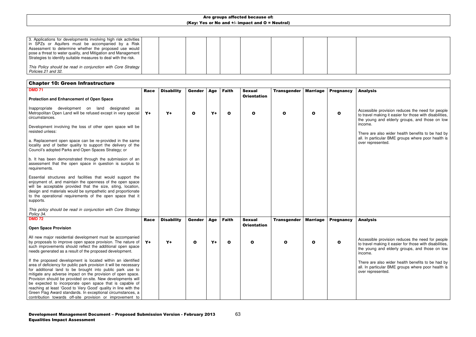| 3. Applications for developments involving high risk activities  <br>in SPZs or Aquifers must be accompanied by a Risk<br>Assessment to determine whether the proposed use would  <br>pose a threat to water quality, and Mitigation and Management  <br>Strategies to identify suitable measures to deal with the risk. |  |  |  |  |  |
|--------------------------------------------------------------------------------------------------------------------------------------------------------------------------------------------------------------------------------------------------------------------------------------------------------------------------|--|--|--|--|--|
| This Policy should be read in conjunction with Core Strategy  <br>Policies 21 and 32.                                                                                                                                                                                                                                    |  |  |  |  |  |

## Chapter 10: Green Infrastructure

### Analysis

| <b>DMD 71</b>                                                                                                                                                                                                                                                                                                                    | <b>Race</b> | <b>Disability</b> | <b>Gender</b> | Age  | <b>Faith</b> | <b>Sexual</b>      | <b>Transgender</b> | <b>Marriage</b> | <b>Pregnancy</b> |  |
|----------------------------------------------------------------------------------------------------------------------------------------------------------------------------------------------------------------------------------------------------------------------------------------------------------------------------------|-------------|-------------------|---------------|------|--------------|--------------------|--------------------|-----------------|------------------|--|
| <b>Protection and Enhancement of Open Space</b>                                                                                                                                                                                                                                                                                  |             |                   |               |      |              | <b>Orientation</b> |                    |                 |                  |  |
| development on land designated<br>Inappropriate<br>as<br>Metropolitan Open Land will be refused except in very special<br>circumstances.                                                                                                                                                                                         | $Y+$        | $Y+$              | $\mathbf{o}$  | $Y+$ | $\mathbf{o}$ | O                  | O                  | $\mathbf{o}$    | O                |  |
| Development involving the loss of other open space will be<br>resisted unless:                                                                                                                                                                                                                                                   |             |                   |               |      |              |                    |                    |                 |                  |  |
| a. Replacement open space can be re-provided in the same<br>locality and of better quality to support the delivery of the<br>Council's adopted Parks and Open Spaces Strategy; or                                                                                                                                                |             |                   |               |      |              |                    |                    |                 |                  |  |
| b. It has been demonstrated through the submission of an<br>assessment that the open space in question is surplus to<br>requirements.                                                                                                                                                                                            |             |                   |               |      |              |                    |                    |                 |                  |  |
| Essential structures and facilities that would support the<br>enjoyment of, and maintain the openness of the open space<br>will be acceptable provided that the size, siting, location,<br>design and materials would be sympathetic and proportionate<br>to the operational requirements of the open space that it<br>supports. |             |                   |               |      |              |                    |                    |                 |                  |  |
| This policy should be read in conjunction with Core Strategy<br>Policy 34.                                                                                                                                                                                                                                                       |             |                   |               |      |              |                    |                    |                 |                  |  |
| <b>DMD 72</b>                                                                                                                                                                                                                                                                                                                    | <b>Race</b> | <b>Disability</b> | Gender        | Age  | <b>Faith</b> | <b>Sexual</b>      | <b>Transgender</b> | <b>Marriage</b> | <b>Pregnancy</b> |  |
| <b>Open Space Provision</b>                                                                                                                                                                                                                                                                                                      |             |                   |               |      |              | <b>Orientation</b> |                    |                 |                  |  |
| All new major residential development must be accompanied<br>by proposals to improve open space provision. The nature of<br>such improvements should reflect the additional open space<br>needs generated as a result of the proposed development.                                                                               | $Y +$       | $Y+$              | $\mathbf{o}$  | $Y+$ | $\mathbf{o}$ | $\mathbf o$        | O                  | $\mathbf{o}$    | O                |  |
| If the proposed development is located within an identified<br>area of deficiency for public park provision it will be necessary<br>for additional land to be brought into public park use to<br>mitigate any adverse impact on the provision of open space.                                                                     |             |                   |               |      |              |                    |                    |                 |                  |  |
| Provision should be provided on-site. New developments will<br>be expected to incorporate open space that is capable of<br>reaching at least 'Good to Very Good' quality in line with the<br>Green Flag Award standards. In exceptional circumstances, a<br>contribution towards off-site provision or improvement to            |             |                   |               |      |              |                    |                    |                 |                  |  |

Accessible provision reduces the need for people to travel making it easier for those with disabilities, the young and elderly groups, and those on low income.

There are also wider health benefits to be had by all. In particular BME groups where poor health is over represented.

#### Analysis

Accessible provision reduces the need for people to travel making it easier for those with disabilities, the young and elderly groups, and those on low income.

There are also wider health benefits to be had by all. In particular BME groups where poor health is over represented.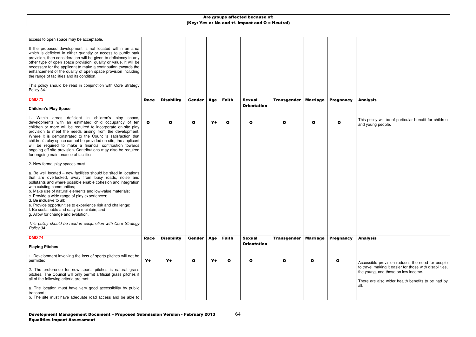| access to open space may be acceptable.<br>If the proposed development is not located within an area<br>which is deficient in either quantity or access to public park<br>provision, then consideration will be given to deficiency in any<br>other type of open space provision, quality or value. It will be<br>necessary for the applicant to make a contribution towards the<br>enhancement of the quality of open space provision including<br>the range of facilities and its condition.<br>This policy should be read in conjunction with Core Strategy<br>Policy 34. |              |                   |              |       |              |                    |                    |                 |                  |  |
|------------------------------------------------------------------------------------------------------------------------------------------------------------------------------------------------------------------------------------------------------------------------------------------------------------------------------------------------------------------------------------------------------------------------------------------------------------------------------------------------------------------------------------------------------------------------------|--------------|-------------------|--------------|-------|--------------|--------------------|--------------------|-----------------|------------------|--|
| <b>DMD 73</b>                                                                                                                                                                                                                                                                                                                                                                                                                                                                                                                                                                | <b>Race</b>  | <b>Disability</b> | Gender       | Age   | <b>Faith</b> | <b>Sexual</b>      | <b>Transgender</b> | <b>Marriage</b> | <b>Pregnancy</b> |  |
| <b>Children's Play Space</b>                                                                                                                                                                                                                                                                                                                                                                                                                                                                                                                                                 |              |                   |              |       |              | <b>Orientation</b> |                    |                 |                  |  |
| Within areas deficient in children's play<br>space,<br>developments with an estimated child occupancy of ten<br>children or more will be required to incorporate on-site play<br>provision to meet the needs arising from the development.<br>Where it is demonstrated to the Council's satisfaction that<br>children's play space cannot be provided on-site, the applicant<br>will be required to make a financial contribution towards<br>ongoing off-site provision. Contributions may also be required<br>for ongoing maintenance of facilities.                        | $\mathbf{o}$ | $\mathbf{o}$      | $\mathbf{o}$ | $Y +$ | $\mathbf{o}$ | $\mathbf{o}$       | O                  | $\mathbf o$     | O                |  |
| 2. New formal play spaces must:                                                                                                                                                                                                                                                                                                                                                                                                                                                                                                                                              |              |                   |              |       |              |                    |                    |                 |                  |  |
| a. Be well located – new facilities should be sited in locations<br>that are overlooked, away from busy roads, noise and<br>pollutants and where possible enable cohesion and integration<br>with existing communities;<br>b. Make use of natural elements and low-value materials;<br>c. Provide a wide range of play experiences;<br>d. Be inclusive to all:<br>e. Provide opportunities to experience risk and challenge;<br>f. Be sustainable and easy to maintain; and<br>g. Allow for change and evolution.                                                            |              |                   |              |       |              |                    |                    |                 |                  |  |
| This policy should be read in conjunction with Core Strategy<br>Policy 34.                                                                                                                                                                                                                                                                                                                                                                                                                                                                                                   |              |                   |              |       |              |                    |                    |                 |                  |  |
| <b>DMD 74</b>                                                                                                                                                                                                                                                                                                                                                                                                                                                                                                                                                                | <b>Race</b>  | <b>Disability</b> | Gender       | Age   | <b>Faith</b> | <b>Sexual</b>      | <b>Transgender</b> | <b>Marriage</b> | <b>Pregnancy</b> |  |
| <b>Playing Pitches</b>                                                                                                                                                                                                                                                                                                                                                                                                                                                                                                                                                       |              |                   |              |       |              | <b>Orientation</b> |                    |                 |                  |  |
|                                                                                                                                                                                                                                                                                                                                                                                                                                                                                                                                                                              |              |                   |              |       |              |                    |                    |                 |                  |  |
| 1. Development involving the loss of sports pitches will not be<br>permitted.                                                                                                                                                                                                                                                                                                                                                                                                                                                                                                | $Y+$         | $Y+$              | $\mathbf{o}$ | $Y+$  | $\mathbf{o}$ | O                  | O                  | O               | O                |  |
| 2. The preference for new sports pitches is natural grass<br>pitches. The Council will only permit artificial grass pitches if<br>all of the following criteria are met:                                                                                                                                                                                                                                                                                                                                                                                                     |              |                   |              |       |              |                    |                    |                 |                  |  |
| a. The location must have very good accessibility by public<br>transport;                                                                                                                                                                                                                                                                                                                                                                                                                                                                                                    |              |                   |              |       |              |                    |                    |                 |                  |  |
| b. The site must have adequate road access and be able to                                                                                                                                                                                                                                                                                                                                                                                                                                                                                                                    |              |                   |              |       |              |                    |                    |                 |                  |  |

### Analysis

This policy will be of particular benefit for children and young people.

### Analysis

Accessible provision reduces the need for people to travel making it easier for those with disabilities, the young, and those on low income.

There are also wider health benefits to be had by all.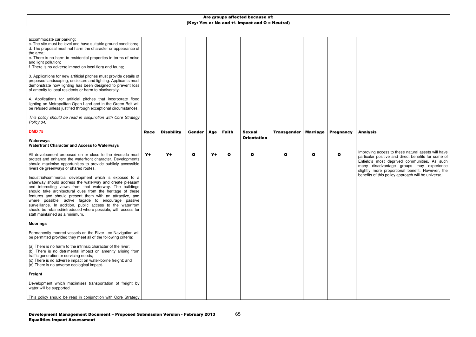| accommodate car parking;<br>c. The site must be level and have suitable ground conditions;<br>d. The proposal must not harm the character or appearance of<br>the area;<br>e. There is no harm to residential properties in terms of noise<br>and light pollution;<br>f. There is no adverse impact on local flora and fauna;<br>3. Applications for new artificial pitches must provide details of<br>proposed landscaping, enclosure and lighting. Applicants must<br>demonstrate how lighting has been designed to prevent loss<br>of amenity to local residents or harm to biodiversity.<br>4. Applications for artificial pitches that incorporate flood<br>lighting on Metropolitan Open Land and in the Green Belt will<br>be refused unless justified through exceptional circumstances.<br>This policy should be read in conjunction with Core Strategy<br>Policy 34. |             |                   |               |      |              |                    |                    |                 |                  |  |
|--------------------------------------------------------------------------------------------------------------------------------------------------------------------------------------------------------------------------------------------------------------------------------------------------------------------------------------------------------------------------------------------------------------------------------------------------------------------------------------------------------------------------------------------------------------------------------------------------------------------------------------------------------------------------------------------------------------------------------------------------------------------------------------------------------------------------------------------------------------------------------|-------------|-------------------|---------------|------|--------------|--------------------|--------------------|-----------------|------------------|--|
| <b>DMD 75</b>                                                                                                                                                                                                                                                                                                                                                                                                                                                                                                                                                                                                                                                                                                                                                                                                                                                                  | <b>Race</b> | <b>Disability</b> | <b>Gender</b> | Age  | <b>Faith</b> | <b>Sexual</b>      | <b>Transgender</b> | <b>Marriage</b> | <b>Pregnancy</b> |  |
| Waterways<br><b>Waterfront Character and Access to Waterways</b>                                                                                                                                                                                                                                                                                                                                                                                                                                                                                                                                                                                                                                                                                                                                                                                                               |             |                   |               |      |              | <b>Orientation</b> |                    |                 |                  |  |
| All development proposed on or close to the riverside must<br>protect and enhance the waterfront character. Developments<br>should maximise opportunities to provide publicly accessible<br>riverside greenways or shared routes.                                                                                                                                                                                                                                                                                                                                                                                                                                                                                                                                                                                                                                              | $Y+$        | $Y+$              | $\mathbf o$   | $Y+$ | $\mathbf o$  | $\mathbf{o}$       | O                  | $\mathbf{o}$    | $\mathbf{o}$     |  |
| Industrial/commercial development which is exposed to a<br>waterway should address the waterway and create pleasant<br>and interesting views from that waterway. The buildings<br>should take architectural cues from the heritage of these<br>features and should present them with an attractive, and<br>where possible, active façade to encourage passive<br>surveillance. In addition, public access to the waterfront<br>should be retained/introduced where possible, with access for<br>staff maintained as a minimum.                                                                                                                                                                                                                                                                                                                                                 |             |                   |               |      |              |                    |                    |                 |                  |  |
| <b>Moorings</b>                                                                                                                                                                                                                                                                                                                                                                                                                                                                                                                                                                                                                                                                                                                                                                                                                                                                |             |                   |               |      |              |                    |                    |                 |                  |  |
| Permanently moored vessels on the River Lee Navigation will<br>be permitted provided they meet all of the following criteria:                                                                                                                                                                                                                                                                                                                                                                                                                                                                                                                                                                                                                                                                                                                                                  |             |                   |               |      |              |                    |                    |                 |                  |  |
| (a) There is no harm to the intrinsic character of the river;<br>(b) There is no detrimental impact on amenity arising from<br>traffic generation or servicing needs;<br>(c) There is no adverse impact on water-borne freight; and<br>(d) There is no adverse ecological impact.                                                                                                                                                                                                                                                                                                                                                                                                                                                                                                                                                                                              |             |                   |               |      |              |                    |                    |                 |                  |  |
| Freight                                                                                                                                                                                                                                                                                                                                                                                                                                                                                                                                                                                                                                                                                                                                                                                                                                                                        |             |                   |               |      |              |                    |                    |                 |                  |  |
| Development which maximises transportation of freight by<br>water will be supported.                                                                                                                                                                                                                                                                                                                                                                                                                                                                                                                                                                                                                                                                                                                                                                                           |             |                   |               |      |              |                    |                    |                 |                  |  |
| This policy should be read in conjunction with Core Strategy                                                                                                                                                                                                                                                                                                                                                                                                                                                                                                                                                                                                                                                                                                                                                                                                                   |             |                   |               |      |              |                    |                    |                 |                  |  |

#### Analysis

Improving access to these natural assets will have particular positive and direct benefits for some of Enfield's most deprived communities. As such many disadvantage groups may experience slightly more proportional benefit. However, the benefits of this policy approach will be universal.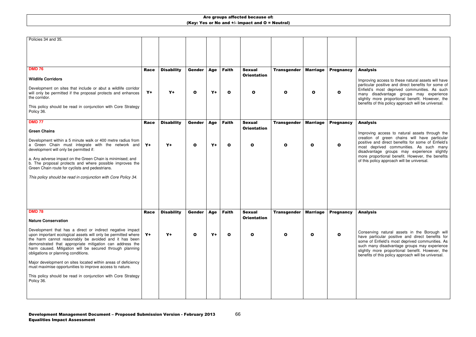### Analysis

Improving access to these natural assets will have particular positive and direct benefits for some of Enfield's most deprived communities. As such many disadvantage groups may experience slightly more proportional benefit. However, the benefits of this policy approach will be universal.

| Policies 34 and 35.                                                                                               |             |                   |               |            |              |                    |                    |                 |                  |  |
|-------------------------------------------------------------------------------------------------------------------|-------------|-------------------|---------------|------------|--------------|--------------------|--------------------|-----------------|------------------|--|
|                                                                                                                   |             |                   |               |            |              |                    |                    |                 |                  |  |
|                                                                                                                   |             |                   |               |            |              |                    |                    |                 |                  |  |
|                                                                                                                   |             |                   |               |            |              |                    |                    |                 |                  |  |
| <b>DMD 76</b>                                                                                                     | <b>Race</b> | <b>Disability</b> | Gender        | Age        | <b>Faith</b> | <b>Sexual</b>      | <b>Transgender</b> | <b>Marriage</b> | <b>Pregnancy</b> |  |
|                                                                                                                   |             |                   |               |            |              | <b>Orientation</b> |                    |                 |                  |  |
| <b>Wildlife Corridors</b>                                                                                         |             |                   |               |            |              |                    |                    |                 |                  |  |
| Development on sites that include or abut a wildlife corridor                                                     |             |                   |               |            |              |                    |                    |                 |                  |  |
| will only be permitted if the proposal protects and enhances<br>the corridor.                                     | $Y+$        | $Y+$              | $\mathbf{o}$  | $Y+$       | $\mathbf{o}$ | $\mathbf{o}$       | O                  | $\mathbf{o}$    | O                |  |
|                                                                                                                   |             |                   |               |            |              |                    |                    |                 |                  |  |
| This policy should be read in conjunction with Core Strategy<br>Policy 36.                                        |             |                   |               |            |              |                    |                    |                 |                  |  |
|                                                                                                                   |             |                   |               |            |              |                    |                    |                 |                  |  |
| <b>DMD 77</b>                                                                                                     | <b>Race</b> | <b>Disability</b> | <b>Gender</b> | Age        | <b>Faith</b> | <b>Sexual</b>      | <b>Transgender</b> | <b>Marriage</b> | <b>Pregnancy</b> |  |
| <b>Green Chains</b>                                                                                               |             |                   |               |            |              | <b>Orientation</b> |                    |                 |                  |  |
|                                                                                                                   |             |                   |               |            |              |                    |                    |                 |                  |  |
| Development within a 5 minute walk or 400 metre radius from<br>a Green Chain must integrate with the network and  | $Y+$        | $Y+$              | $\mathbf{o}$  | $Y+$       | $\mathbf{o}$ | $\mathbf{o}$       | O                  | O               | O                |  |
| development will only be permitted if:                                                                            |             |                   |               |            |              |                    |                    |                 |                  |  |
| a. Any adverse impact on the Green Chain is minimised; and                                                        |             |                   |               |            |              |                    |                    |                 |                  |  |
| b. The proposal protects and where possible improves the                                                          |             |                   |               |            |              |                    |                    |                 |                  |  |
| Green Chain route for cyclists and pedestrians.                                                                   |             |                   |               |            |              |                    |                    |                 |                  |  |
| This policy should be read in conjunction with Core Policy 34.                                                    |             |                   |               |            |              |                    |                    |                 |                  |  |
|                                                                                                                   |             |                   |               |            |              |                    |                    |                 |                  |  |
|                                                                                                                   |             |                   |               |            |              |                    |                    |                 |                  |  |
|                                                                                                                   |             |                   |               |            |              |                    |                    |                 |                  |  |
|                                                                                                                   |             |                   |               |            |              |                    |                    |                 |                  |  |
| <b>DMD 78</b>                                                                                                     | <b>Race</b> | <b>Disability</b> | Gender        | <b>Age</b> | <b>Faith</b> | <b>Sexual</b>      | <b>Transgender</b> | <b>Marriage</b> | <b>Pregnancy</b> |  |
| <b>Nature Conservation</b>                                                                                        |             |                   |               |            |              | <b>Orientation</b> |                    |                 |                  |  |
| Development that has a direct or indirect negative impact                                                         |             |                   |               |            |              |                    |                    |                 |                  |  |
| upon important ecological assets will only be permitted where                                                     | $Y+$        | $Y+$              | $\mathbf{o}$  | $Y+$       | $\mathbf{o}$ | $\mathbf{o}$       | O                  | O               | O                |  |
| the harm cannot reasonably be avoided and it has been<br>demonstrated that appropriate mitigation can address the |             |                   |               |            |              |                    |                    |                 |                  |  |
| harm caused. Mitigation will be secured through planning                                                          |             |                   |               |            |              |                    |                    |                 |                  |  |
| obligations or planning conditions.                                                                               |             |                   |               |            |              |                    |                    |                 |                  |  |
| Major development on sites located within areas of deficiency                                                     |             |                   |               |            |              |                    |                    |                 |                  |  |
| must maximise opportunities to improve access to nature.                                                          |             |                   |               |            |              |                    |                    |                 |                  |  |
| This policy should be read in conjunction with Core Strategy                                                      |             |                   |               |            |              |                    |                    |                 |                  |  |
| Policy 36.                                                                                                        |             |                   |               |            |              |                    |                    |                 |                  |  |
|                                                                                                                   |             |                   |               |            |              |                    |                    |                 |                  |  |
|                                                                                                                   |             |                   |               |            |              |                    |                    |                 |                  |  |

### Analysis

Improving access to natural assets through the creation of green chains will have particular positive and direct benefits for some of Enfield's most deprived communities. As such many disadvantage groups may experience slightly more proportional benefit. However, the benefits of this policy approach will be universal.

#### Analysis

Conserving natural assets in the Borough will have particular positive and direct benefits for some of Enfield's most deprived communities. As such many disadvantage groups may experience slightly more proportional benefit. However, the benefits of this policy approach will be universal.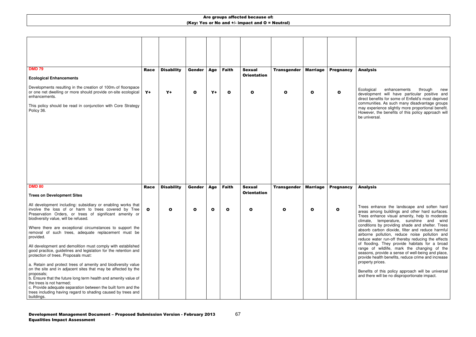### Analysis

Ecological enhancements through new development will have particular positive and direct benefits for some of Enfield's most deprived communities. As such many disadvantage groups may experience slightly more proportional benefit. However, the benefits of this policy approach will be universal.

| <b>DMD 79</b>                                                                                                                                                                                                                                                                                                                                                                | <b>Race</b> | <b>Disability</b> | <b>Gender</b> | <b>Age</b>   | <b>Faith</b> | <b>Sexual</b>      | <b>Transgender</b> | <b>Marriage</b> | <b>Pregnancy</b> |                   |
|------------------------------------------------------------------------------------------------------------------------------------------------------------------------------------------------------------------------------------------------------------------------------------------------------------------------------------------------------------------------------|-------------|-------------------|---------------|--------------|--------------|--------------------|--------------------|-----------------|------------------|-------------------|
| <b>Ecological Enhancements</b>                                                                                                                                                                                                                                                                                                                                               |             |                   |               |              |              | <b>Orientation</b> |                    |                 |                  |                   |
| Developments resulting in the creation of 100m <sub>2</sub> of floorspace<br>or one net dwelling or more should provide on-site ecological<br>enhancements.                                                                                                                                                                                                                  | $Y+$        | $Y+$              | $\mathbf{o}$  | Y+           | $\bullet$    | $\mathbf{o}$       | $\mathbf{o}$       | $\mathbf{o}$    | $\mathbf{o}$     |                   |
| This policy should be read in conjunction with Core Strategy<br>Policy 36.                                                                                                                                                                                                                                                                                                   |             |                   |               |              |              |                    |                    |                 |                  | c<br>n<br>b       |
|                                                                                                                                                                                                                                                                                                                                                                              |             |                   |               |              |              |                    |                    |                 |                  |                   |
| <b>DMD 80</b>                                                                                                                                                                                                                                                                                                                                                                | <b>Race</b> | <b>Disability</b> | <b>Gender</b> | Age          | <b>Faith</b> | <b>Sexual</b>      | <b>Transgender</b> | <b>Marriage</b> | <b>Pregnancy</b> |                   |
| <b>Trees on Development Sites</b>                                                                                                                                                                                                                                                                                                                                            |             |                   |               |              |              | <b>Orientation</b> |                    |                 |                  |                   |
| All development including: subsidiary or enabling works that<br>involve the loss of or harm to trees covered by Tree<br>Preservation Orders, or trees of significant amenity or<br>biodiversity value, will be refused.                                                                                                                                                      | $\bullet$   | O                 | O             | $\mathbf{o}$ | O            | $\mathbf o$        | O                  | $\mathbf o$     | O                | c                 |
| Where there are exceptional circumstances to support the<br>removal of such trees, adequate replacement must be<br>provided.                                                                                                                                                                                                                                                 |             |                   |               |              |              |                    |                    |                 |                  | c<br>а<br>а<br>r( |
| All development and demolition must comply with established<br>good practice, guidelines and legislation for the retention and<br>protection of trees. Proposals must:                                                                                                                                                                                                       |             |                   |               |              |              |                    |                    |                 |                  | o<br>r<br>s<br>p  |
| a. Retain and protect trees of amenity and biodiversity value<br>on the site and in adjacent sites that may be affected by the<br>proposals;<br>b. Ensure that the future long term health and amenity value of<br>the trees is not harmed;<br>c. Provide adequate separation between the built form and the<br>trees including having regard to shading caused by trees and |             |                   |               |              |              |                    |                    |                 |                  | p<br>а            |
| buildings.                                                                                                                                                                                                                                                                                                                                                                   |             |                   |               |              |              |                    |                    |                 |                  |                   |

#### Analysis

Trees enhance the landscape and soften hard areas among buildings and other hard surfaces. Trees enhance visual amenity, help to moderate climate, temperature, sunshine and wind conditions by providing shade and shelter. Trees absorb carbon dioxide, filter and reduce harmful airborne pollution, reduce noise pollution and reduce water run-off thereby reducing the effects of flooding. They provide habitats for a broad range of wildlife, mark the changing of the seasons, provide a sense of well-being and place, provide health benefits, reduce crime and increase property prices.

Benefits of this policy approach will be universal and there will be no disproportionate impact.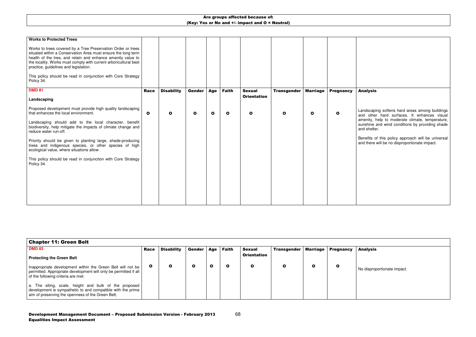| <b>Race</b>                                                 | <b>Disability</b>                                                                                                                                                                                                                                                                                                                                                                                                                                                                                                                                                                                                                                   | <b>Gender</b> | <b>Age</b> | <b>Faith</b> | <b>Sexual</b> | <b>Transgender</b> | <b>Marriage</b> | <b>Pregnancy</b> |             |
|-------------------------------------------------------------|-----------------------------------------------------------------------------------------------------------------------------------------------------------------------------------------------------------------------------------------------------------------------------------------------------------------------------------------------------------------------------------------------------------------------------------------------------------------------------------------------------------------------------------------------------------------------------------------------------------------------------------------------------|---------------|------------|--------------|---------------|--------------------|-----------------|------------------|-------------|
|                                                             |                                                                                                                                                                                                                                                                                                                                                                                                                                                                                                                                                                                                                                                     |               |            |              |               |                    |                 |                  |             |
| $\mathbf{o}$                                                | O                                                                                                                                                                                                                                                                                                                                                                                                                                                                                                                                                                                                                                                   | $\mathbf{o}$  | O          | O            | $\mathbf{o}$  | $\mathbf o$        | O               | O                |             |
|                                                             |                                                                                                                                                                                                                                                                                                                                                                                                                                                                                                                                                                                                                                                     |               |            |              |               |                    |                 |                  | а<br>s<br>a |
|                                                             |                                                                                                                                                                                                                                                                                                                                                                                                                                                                                                                                                                                                                                                     |               |            |              |               |                    |                 |                  | a           |
|                                                             |                                                                                                                                                                                                                                                                                                                                                                                                                                                                                                                                                                                                                                                     |               |            |              |               |                    |                 |                  |             |
|                                                             |                                                                                                                                                                                                                                                                                                                                                                                                                                                                                                                                                                                                                                                     |               |            |              |               |                    |                 |                  |             |
|                                                             |                                                                                                                                                                                                                                                                                                                                                                                                                                                                                                                                                                                                                                                     |               |            |              |               |                    |                 |                  |             |
|                                                             |                                                                                                                                                                                                                                                                                                                                                                                                                                                                                                                                                                                                                                                     |               |            |              |               |                    |                 |                  |             |
| health of the tree, and retain and enhance amenity value to | Works to trees covered by a Tree Preservation Order or trees<br>situated within a Conservation Area must ensure the long term<br>the locality. Works must comply with current arboricultural best<br>This policy should be read in conjunction with Core Strategy<br>Proposed development must provide high quality landscaping<br>Landscaping should add to the local character, benefit<br>biodiversity, help mitigate the impacts of climate change and<br>Priority should be given to planting large, shade-producing<br>trees and indigenous species, or other species of high<br>This policy should be read in conjunction with Core Strategy |               |            |              |               | <b>Orientation</b> |                 |                  |             |

Benefits of this policy approach will be universal and there will be no disproportionate impact.

### Analysis

Landscaping softens hard areas among buildings and other hard surfaces. It enhances visual amenity, help to moderate climate, temperature, sunshine and wind conditions by providing shade and shelter.

| Chapter 11: Green Belt                                                                                                                                                    |             |                   |               |     |              |                    |                    |                 |                  |   |
|---------------------------------------------------------------------------------------------------------------------------------------------------------------------------|-------------|-------------------|---------------|-----|--------------|--------------------|--------------------|-----------------|------------------|---|
| <b>DMD 82</b>                                                                                                                                                             | <b>Race</b> | <b>Disability</b> | <b>Gender</b> | Age | <b>Faith</b> | <b>Sexual</b>      | <b>Transgender</b> | <b>Marriage</b> | <b>Pregnancy</b> | A |
| <b>Protecting the Green Belt</b>                                                                                                                                          |             |                   |               |     |              | <b>Orientation</b> |                    |                 |                  |   |
| Inappropriate development within the Green Belt will not be<br>permitted. Appropriate development will only be permitted if all<br>of the following criteria are met:     | O           |                   |               | O   |              |                    |                    | O               | O                |   |
| a. The siting, scale, height and bulk of the proposed<br>development is sympathetic to and compatible with the prime<br>aim of preserving the openness of the Green Belt; |             |                   |               |     |              |                    |                    |                 |                  |   |

#### Analysis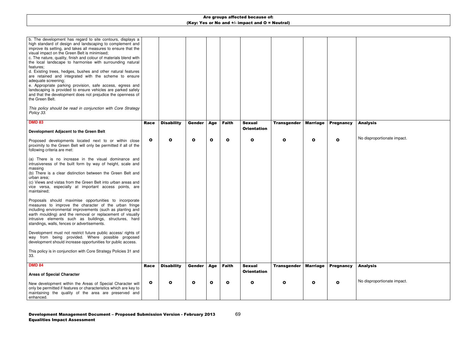| b. The development has regard to site contours, displays a<br>high standard of design and landscaping to complement and<br>improve its setting, and takes all measures to ensure that the<br>visual impact on the Green Belt is minimised;<br>c. The nature, quality, finish and colour of materials blend with<br>the local landscape to harmonise with surrounding natural<br>features;<br>d. Existing trees, hedges, bushes and other natural features<br>are retained and integrated with the scheme to ensure<br>adequate screening;<br>e. Appropriate parking provision, safe access, egress and<br>landscaping is provided to ensure vehicles are parked safely<br>and that the development does not prejudice the openness of<br>the Green Belt.<br>This policy should be read in conjunction with Core Strategy<br>Policy 33. |      |                   |              |              |              |                                     |                    |                 |                  |  |
|----------------------------------------------------------------------------------------------------------------------------------------------------------------------------------------------------------------------------------------------------------------------------------------------------------------------------------------------------------------------------------------------------------------------------------------------------------------------------------------------------------------------------------------------------------------------------------------------------------------------------------------------------------------------------------------------------------------------------------------------------------------------------------------------------------------------------------------|------|-------------------|--------------|--------------|--------------|-------------------------------------|--------------------|-----------------|------------------|--|
| <b>DMD 83</b>                                                                                                                                                                                                                                                                                                                                                                                                                                                                                                                                                                                                                                                                                                                                                                                                                          | Race | <b>Disability</b> | Gender       | Age          | <b>Faith</b> | <b>Sexual</b><br><b>Orientation</b> | <b>Transgender</b> | <b>Marriage</b> | <b>Pregnancy</b> |  |
| Development Adjacent to the Green Belt                                                                                                                                                                                                                                                                                                                                                                                                                                                                                                                                                                                                                                                                                                                                                                                                 |      |                   |              |              |              |                                     |                    |                 |                  |  |
| Proposed developments located next to or within close<br>proximity to the Green Belt will only be permitted if all of the<br>following criteria are met:                                                                                                                                                                                                                                                                                                                                                                                                                                                                                                                                                                                                                                                                               | O    | O                 | $\mathbf{o}$ | $\mathbf{o}$ | O            | $\mathbf{o}$                        | O                  | $\mathbf{o}$    | O                |  |
| (a) There is no increase in the visual dominance and<br>intrusiveness of the built form by way of height, scale and<br>massing<br>(b) There is a clear distinction between the Green Belt and<br>urban area;<br>(c) Views and vistas from the Green Belt into urban areas and<br>vice versa, especially at important access points, are<br>maintained;                                                                                                                                                                                                                                                                                                                                                                                                                                                                                 |      |                   |              |              |              |                                     |                    |                 |                  |  |
| Proposals should maximise opportunities to incorporate<br>measures to improve the character of the urban fringe<br>including environmental improvements (such as planting and<br>earth moulding) and the removal or replacement of visually<br>intrusive elements such as buildings, structures, hard<br>standings, walls, fences or advertisements.                                                                                                                                                                                                                                                                                                                                                                                                                                                                                   |      |                   |              |              |              |                                     |                    |                 |                  |  |
| Development must not restrict future public access/ rights of<br>way from being provided. Where possible proposed<br>development should increase opportunities for public access.                                                                                                                                                                                                                                                                                                                                                                                                                                                                                                                                                                                                                                                      |      |                   |              |              |              |                                     |                    |                 |                  |  |
| This policy is in conjunction with Core Strategy Policies 31 and<br>33.                                                                                                                                                                                                                                                                                                                                                                                                                                                                                                                                                                                                                                                                                                                                                                |      |                   |              |              |              |                                     |                    |                 |                  |  |
| <b>DMD 84</b>                                                                                                                                                                                                                                                                                                                                                                                                                                                                                                                                                                                                                                                                                                                                                                                                                          | Race | <b>Disability</b> | Gender       | Age          | <b>Faith</b> | <b>Sexual</b>                       | <b>Transgender</b> | <b>Marriage</b> | <b>Pregnancy</b> |  |
| <b>Areas of Special Character</b>                                                                                                                                                                                                                                                                                                                                                                                                                                                                                                                                                                                                                                                                                                                                                                                                      |      |                   |              |              |              | <b>Orientation</b>                  |                    |                 |                  |  |
| New development within the Areas of Special Character will<br>only be permitted if features or characteristics which are key to<br>maintaining the quality of the area are preserved and<br>enhanced.                                                                                                                                                                                                                                                                                                                                                                                                                                                                                                                                                                                                                                  | O    | O                 | $\mathbf{o}$ | $\mathbf{o}$ | O            | O                                   |                    | $\mathbf o$     | O                |  |

## Analysis

No disproportionate impact.

# Analysis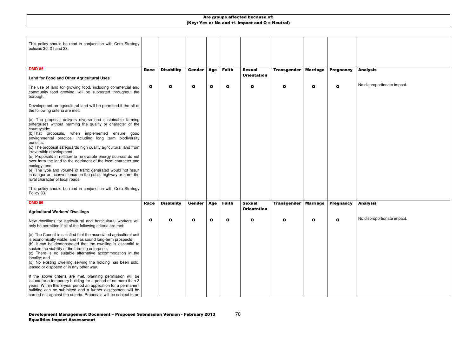| This policy should be read in conjunction with Core Strategy<br>policies 30, 31 and 33.                                                                                                                                                                                                                                                                                                                                                                                                                                                                                                                                                                                                                                                                                  |              |                   |               |             |              |                                     |                    |                 |                  |    |
|--------------------------------------------------------------------------------------------------------------------------------------------------------------------------------------------------------------------------------------------------------------------------------------------------------------------------------------------------------------------------------------------------------------------------------------------------------------------------------------------------------------------------------------------------------------------------------------------------------------------------------------------------------------------------------------------------------------------------------------------------------------------------|--------------|-------------------|---------------|-------------|--------------|-------------------------------------|--------------------|-----------------|------------------|----|
| <b>DMD 85</b>                                                                                                                                                                                                                                                                                                                                                                                                                                                                                                                                                                                                                                                                                                                                                            | Race         | <b>Disability</b> | <b>Gender</b> | <b>Age</b>  | <b>Faith</b> | <b>Sexual</b>                       | <b>Transgender</b> | <b>Marriage</b> | <b>Pregnancy</b> |    |
| <b>Land for Food and Other Agricultural Uses</b>                                                                                                                                                                                                                                                                                                                                                                                                                                                                                                                                                                                                                                                                                                                         |              |                   |               |             |              | <b>Orientation</b>                  |                    |                 |                  |    |
| The use of land for growing food, including commercial and<br>community food growing, will be supported throughout the<br>borough.                                                                                                                                                                                                                                                                                                                                                                                                                                                                                                                                                                                                                                       | $\mathbf{o}$ | O                 | $\mathbf o$   | $\mathbf o$ | O            | $\mathbf{o}$                        | O                  | $\mathbf{o}$    | O                |    |
| Development on agricultural land will be permitted if the all of<br>the following criteria are met:                                                                                                                                                                                                                                                                                                                                                                                                                                                                                                                                                                                                                                                                      |              |                   |               |             |              |                                     |                    |                 |                  |    |
| (a) The proposal delivers diverse and sustainable farming<br>enterprises without harming the quality or character of the<br>countryside;<br>(b)That proposals, when implemented ensure good<br>environmental practice, including long term biodiversity<br>benefits;<br>(c) The proposal safeguards high quality agricultural land from<br>irreversible development;<br>(d) Proposals in relation to renewable energy sources do not<br>over farm the land to the detriment of the local character and<br>ecology; and<br>(e) The type and volume of traffic generated would not result<br>in danger or inconvenience on the public highway or harm the<br>rural character of local roads.<br>This policy should be read in conjunction with Core Strategy<br>Policy 33. |              |                   |               |             |              |                                     |                    |                 |                  |    |
| <b>DMD 86</b><br><b>Agricultural Workers' Dwellings</b>                                                                                                                                                                                                                                                                                                                                                                                                                                                                                                                                                                                                                                                                                                                  | Race         | <b>Disability</b> | Gender        | Age         | <b>Faith</b> | <b>Sexual</b><br><b>Orientation</b> | <b>Transgender</b> | <b>Marriage</b> | <b>Pregnancy</b> |    |
| New dwellings for agricultural and horticultural workers will<br>only be permitted if all of the following criteria are met:<br>(a) The Council is satisfied that the associated agricultural unit<br>is economically viable, and has sound long-term prospects;<br>(b) It can be demonstrated that the dwelling is essential to<br>sustain the viability of the farming enterprise;<br>(c) There is no suitable alternative accommodation in the<br>locality; and<br>(d) No existing dwelling serving the holding has been sold,<br>leased or disposed of in any other way.                                                                                                                                                                                             | O            |                   | О             | o           | Ο            | Ο                                   | Ο                  | О               |                  | J. |
| If the above criteria are met, planning permission will be<br>issued for a temporary building for a period of no more than 3<br>years. Within this 3-year period an application for a permanent<br>building can be submitted and a further assessment will be<br>carried out against the criteria. Proposals will be subject to an                                                                                                                                                                                                                                                                                                                                                                                                                                       |              |                   |               |             |              |                                     |                    |                 |                  |    |

### Analysis

No disproportionate impact.

### Analysis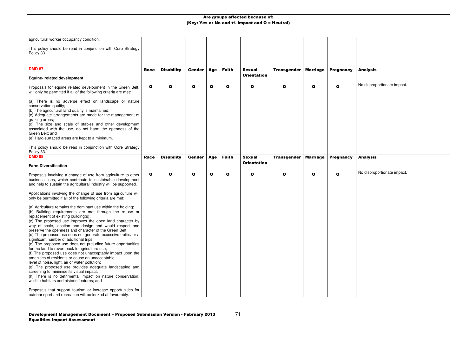## Analysis

No disproportionate impact.

| agricultural worker occupancy condition.                                                                                                                                                                                                                                                                                                                                                                                                                                                                                                                                                                                                                                                                                                                                                                                                                                                                                                                                                                                                |              |                   |              |              |              |                    |                    |                 |                  |  |
|-----------------------------------------------------------------------------------------------------------------------------------------------------------------------------------------------------------------------------------------------------------------------------------------------------------------------------------------------------------------------------------------------------------------------------------------------------------------------------------------------------------------------------------------------------------------------------------------------------------------------------------------------------------------------------------------------------------------------------------------------------------------------------------------------------------------------------------------------------------------------------------------------------------------------------------------------------------------------------------------------------------------------------------------|--------------|-------------------|--------------|--------------|--------------|--------------------|--------------------|-----------------|------------------|--|
| This policy should be read in conjunction with Core Strategy<br>Policy 33.                                                                                                                                                                                                                                                                                                                                                                                                                                                                                                                                                                                                                                                                                                                                                                                                                                                                                                                                                              |              |                   |              |              |              |                    |                    |                 |                  |  |
|                                                                                                                                                                                                                                                                                                                                                                                                                                                                                                                                                                                                                                                                                                                                                                                                                                                                                                                                                                                                                                         |              |                   |              |              |              |                    |                    |                 |                  |  |
| <b>DMD 87</b>                                                                                                                                                                                                                                                                                                                                                                                                                                                                                                                                                                                                                                                                                                                                                                                                                                                                                                                                                                                                                           | Race         | <b>Disability</b> | Gender       | Age          | <b>Faith</b> | <b>Sexual</b>      | <b>Transgender</b> | <b>Marriage</b> | <b>Pregnancy</b> |  |
|                                                                                                                                                                                                                                                                                                                                                                                                                                                                                                                                                                                                                                                                                                                                                                                                                                                                                                                                                                                                                                         |              |                   |              |              |              | <b>Orientation</b> |                    |                 |                  |  |
| <b>Equine- related development</b>                                                                                                                                                                                                                                                                                                                                                                                                                                                                                                                                                                                                                                                                                                                                                                                                                                                                                                                                                                                                      |              |                   |              |              |              |                    |                    |                 |                  |  |
| Proposals for equine related development in the Green Belt,<br>will only be permitted if all of the following criteria are met:                                                                                                                                                                                                                                                                                                                                                                                                                                                                                                                                                                                                                                                                                                                                                                                                                                                                                                         | $\mathbf{o}$ | $\mathbf{o}$      | $\mathbf{o}$ | $\mathbf{o}$ | $\mathbf{o}$ | O                  | O                  | $\mathbf{o}$    | O                |  |
| (a) There is no adverse effect on landscape or nature<br>conservation quality;<br>(b) The agricultural land quality is maintained;<br>(c) Adequate arrangements are made for the management of<br>grazing areas;<br>(d) The size and scale of stables and other development<br>associated with the use, do not harm the openness of the<br>Green Belt; and<br>(e) Hard-surfaced areas are kept to a minimum.<br>This policy should be read in conjunction with Core Strategy                                                                                                                                                                                                                                                                                                                                                                                                                                                                                                                                                            |              |                   |              |              |              |                    |                    |                 |                  |  |
| Policy 33.<br><b>DMD 88</b>                                                                                                                                                                                                                                                                                                                                                                                                                                                                                                                                                                                                                                                                                                                                                                                                                                                                                                                                                                                                             |              |                   |              |              | <b>Faith</b> | <b>Sexual</b>      |                    |                 |                  |  |
|                                                                                                                                                                                                                                                                                                                                                                                                                                                                                                                                                                                                                                                                                                                                                                                                                                                                                                                                                                                                                                         | <b>Race</b>  | <b>Disability</b> | Gender       | Age          |              | <b>Orientation</b> | <b>Transgender</b> | <b>Marriage</b> | <b>Pregnancy</b> |  |
| <b>Farm Diversification</b>                                                                                                                                                                                                                                                                                                                                                                                                                                                                                                                                                                                                                                                                                                                                                                                                                                                                                                                                                                                                             |              |                   |              |              |              |                    |                    |                 |                  |  |
| Proposals involving a change of use from agriculture to other<br>business uses, which contribute to sustainable development<br>and help to sustain the agricultural industry will be supported.                                                                                                                                                                                                                                                                                                                                                                                                                                                                                                                                                                                                                                                                                                                                                                                                                                         | $\mathbf{o}$ | $\mathbf o$       | $\mathbf o$  | $\mathbf{o}$ | $\mathbf{o}$ | O                  | O                  | $\mathbf o$     | O                |  |
| Applications involving the change of use from agriculture will<br>only be permitted if all of the following criteria are met:                                                                                                                                                                                                                                                                                                                                                                                                                                                                                                                                                                                                                                                                                                                                                                                                                                                                                                           |              |                   |              |              |              |                    |                    |                 |                  |  |
| (a) Agriculture remains the dominant use within the holding;<br>(b) Building requirements are met through the re-use or<br>replacement of existing building(s);<br>(c) The proposed use improves the open land character by<br>way of scale, location and design and would respect and<br>preserve the openness and character of the Green Belt;<br>(d) The proposed use does not generate excessive traffic/ or a<br>significant number of additional trips;<br>(e) The proposed use does not prejudice future opportunities<br>for the land to revert back to agriculture use;<br>(f) The proposed use does not unacceptably impact upon the<br>amenities of residents or cause an unacceptable<br>level of noise, light, air or water pollution;<br>(g) The proposed use provides adequate landscaping and<br>screening to minimise its visual impact;<br>(h) There is no detrimental impact on nature conservation,<br>wildlife habitats and historic features; and<br>Proposals that support tourism or increase opportunities for |              |                   |              |              |              |                    |                    |                 |                  |  |
| outdoor sport and recreation will be looked at favourably.                                                                                                                                                                                                                                                                                                                                                                                                                                                                                                                                                                                                                                                                                                                                                                                                                                                                                                                                                                              |              |                   |              |              |              |                    |                    |                 |                  |  |

## Analysis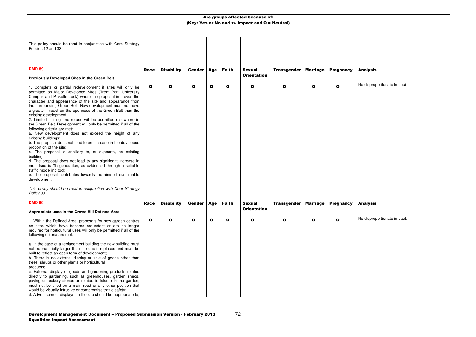| This policy should be read in conjunction with Core Strategy<br>Policies 12 and 33.                                                                                                                                                                                                                                                                                                                                                                                                                                                                                                                                                                                                                                                                                                                                                                                                                                                                                                                                                                                                                                                                      |              |                   |               |             |              |                                     |                    |                 |                  |  |
|----------------------------------------------------------------------------------------------------------------------------------------------------------------------------------------------------------------------------------------------------------------------------------------------------------------------------------------------------------------------------------------------------------------------------------------------------------------------------------------------------------------------------------------------------------------------------------------------------------------------------------------------------------------------------------------------------------------------------------------------------------------------------------------------------------------------------------------------------------------------------------------------------------------------------------------------------------------------------------------------------------------------------------------------------------------------------------------------------------------------------------------------------------|--------------|-------------------|---------------|-------------|--------------|-------------------------------------|--------------------|-----------------|------------------|--|
|                                                                                                                                                                                                                                                                                                                                                                                                                                                                                                                                                                                                                                                                                                                                                                                                                                                                                                                                                                                                                                                                                                                                                          |              |                   |               |             |              |                                     |                    |                 |                  |  |
| <b>DMD 89</b>                                                                                                                                                                                                                                                                                                                                                                                                                                                                                                                                                                                                                                                                                                                                                                                                                                                                                                                                                                                                                                                                                                                                            | Race         | <b>Disability</b> | <b>Gender</b> | Age         | <b>Faith</b> | <b>Sexual</b><br><b>Orientation</b> | <b>Transgender</b> | <b>Marriage</b> | <b>Pregnancy</b> |  |
| <b>Previously Developed Sites in the Green Belt</b>                                                                                                                                                                                                                                                                                                                                                                                                                                                                                                                                                                                                                                                                                                                                                                                                                                                                                                                                                                                                                                                                                                      |              |                   |               |             |              |                                     |                    |                 |                  |  |
| 1. Complete or partial redevelopment if sites will only be<br>permitted on Major Developed Sites (Trent Park University<br>Campus and Picketts Lock) where the proposal improves the<br>character and appearance of the site and appearance from<br>the surrounding Green Belt. New development must not have<br>a greater impact on the openness of the Green Belt than the<br>existing development.<br>2. Limited infilling and re-use will be permitted elsewhere in<br>the Green Belt. Development will only be permitted if all of the<br>following criteria are met:<br>a. New development does not exceed the height of any<br>existing buildings;<br>b. The proposal does not lead to an increase in the developed<br>proportion of the site;<br>c. The proposal is ancillary to, or supports, an existing<br>building;<br>d. The proposal does not lead to any significant increase in<br>motorised traffic generation, as evidenced through a suitable<br>traffic modelling tool;<br>e. The proposal contributes towards the aims of sustainable<br>development.<br>This policy should be read in conjunction with Core Strategy<br>Policy 33. | $\mathbf{o}$ | O                 | $\mathbf{o}$  | $\mathbf o$ | $\mathbf{o}$ | $\mathbf{o}$                        | O                  | $\mathbf{o}$    | O                |  |
| <b>DMD 90</b>                                                                                                                                                                                                                                                                                                                                                                                                                                                                                                                                                                                                                                                                                                                                                                                                                                                                                                                                                                                                                                                                                                                                            | <b>Race</b>  |                   | <b>Gender</b> |             |              | <b>Sexual</b>                       |                    | <b>Marriage</b> |                  |  |
| Appropriate uses in the Crews Hill Defined Area                                                                                                                                                                                                                                                                                                                                                                                                                                                                                                                                                                                                                                                                                                                                                                                                                                                                                                                                                                                                                                                                                                          |              | <b>Disability</b> |               | Age         | <b>Faith</b> | <b>Orientation</b>                  | <b>Transgender</b> |                 | <b>Pregnancy</b> |  |
| 1. Within the Defined Area, proposals for new garden centres<br>on sites which have become redundant or are no longer<br>required for horticultural uses will only be permitted if all of the<br>following criteria are met:<br>a. In the case of a replacement building the new building must<br>not be materially larger than the one it replaces and must be<br>built to reflect an open form of development;<br>b. There is no external display or sale of goods other than<br>trees, shrubs or other plants or horticultural<br>products;<br>c. External display of goods and gardening products related<br>directly to gardening, such as greenhouses, garden sheds,<br>paving or rockery stones or related to leisure in the garden,<br>must not be sited on a main road or any other position that<br>would be visually intrusive or compromise traffic safety;<br>d. Advertisement displays on the site should be appropriate to,                                                                                                                                                                                                               | O            |                   | О             | Ο           | О            | Ω                                   |                    | О               | О                |  |

### Analysis

No disproportionate impact

### Analysis